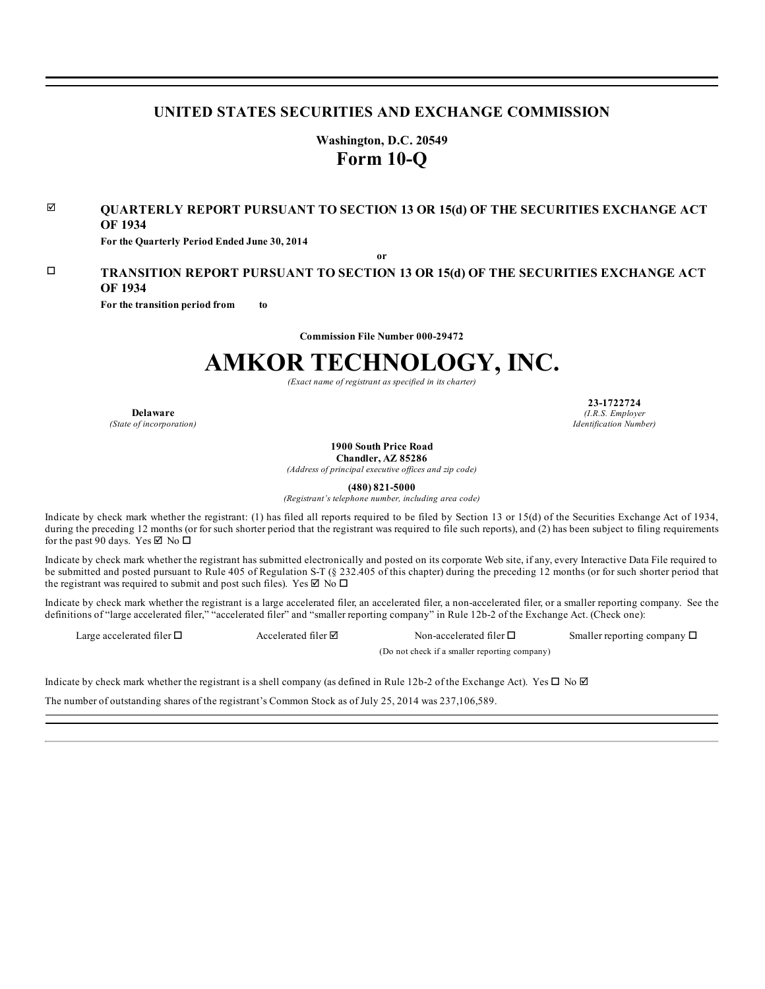# <span id="page-0-0"></span>**UNITED STATES SECURITIES AND EXCHANGE COMMISSION**

# **Washington, D.C. 20549 Form 10-Q**

# þ **QUARTERLY REPORT PURSUANT TO SECTION 13 OR 15(d) OF THE SECURITIES EXCHANGE ACT OF 1934**

**For the Quarterly Period Ended June 30, 2014**

**or**

# o **TRANSITION REPORT PURSUANT TO SECTION 13 OR 15(d) OF THE SECURITIES EXCHANGE ACT OF 1934**

**For the transition period from to**

**Commission File Number 000-29472**

# **AMKOR TECHNOLOGY, INC.**

*(Exact name of registrant as specified in its charter)*

**Delaware** *(State of incorporation)*

**23-1722724** *(I.R.S. Employer Identification Number)*

**1900 South Price Road**

**Chandler, AZ 85286** *(Address of principal executive of ices and zip code)*

**(480) 821-5000**

*(Registrant's telephone number, including area code)*

Indicate by check mark whether the registrant: (1) has filed all reports required to be filed by Section 13 or 15(d) of the Securities Exchange Act of 1934, during the preceding 12 months (or for such shorter period that the registrant was required to file such reports), and (2) has been subject to filing requirements for the past 90 days. Yes  $\boxtimes$  No  $\square$ 

Indicate by check mark whether the registrant has submitted electronically and posted on its corporate Web site, if any, every Interactive Data File required to be submitted and posted pursuant to Rule 405 of Regulation S-T (§ 232.405 of this chapter) during the preceding 12 months (or for such shorter period that the registrant was required to submit and post such files). Yes  $\boxtimes$  No  $\Box$ 

Indicate by check mark whether the registrant is a large accelerated filer, an accelerated filer, a non-accelerated filer, or a smaller reporting company. See the definitions of "large accelerated filer," "accelerated filer" and "smaller reporting company" in Rule 12b-2 of the Exchange Act. (Check one):

Large accelerated filer  $\square$  Accelerated filer  $\square$  Non-accelerated filer  $\square$  Smaller reporting company  $\square$ 

(Do not check if a smaller reporting company)

Indicate by check mark whether the registrant is a shell company (as defined in Rule 12b-2 of the Exchange Act). Yes  $\Box$  No  $\Box$ 

The number of outstanding shares of the registrant's Common Stock as of July 25, 2014 was 237,106,589.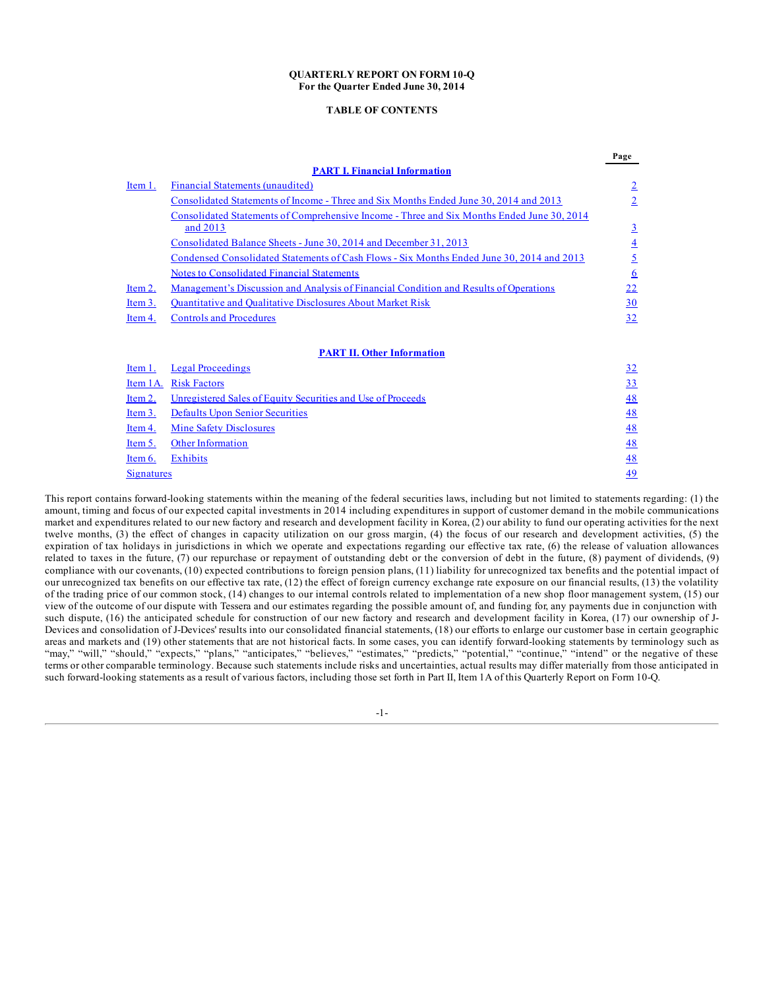#### **QUARTERLY REPORT ON FORM 10-Q For the Quarter Ended June 30, 2014**

# **TABLE OF CONTENTS**

|                   |                                                                                              | Page             |
|-------------------|----------------------------------------------------------------------------------------------|------------------|
|                   | <b>PART I. Financial Information</b>                                                         |                  |
| Item 1.           | <b>Financial Statements (unaudited)</b>                                                      | $\overline{2}$   |
|                   | Consolidated Statements of Income - Three and Six Months Ended June 30, 2014 and 2013        | $\overline{2}$   |
|                   | Consolidated Statements of Comprehensive Income - Three and Six Months Ended June 30, 2014   |                  |
|                   | and 2013                                                                                     | $\overline{3}$   |
|                   | Consolidated Balance Sheets - June 30, 2014 and December 31, 2013                            | $\overline{4}$   |
|                   | Condensed Consolidated Statements of Cash Flows - Six Months Ended June 30, 2014 and 2013    | $\overline{2}$   |
|                   | <b>Notes to Consolidated Financial Statements</b>                                            | $6 \overline{6}$ |
| Item 2.           | <u>Management's Discussion and Analysis of Financial Condition and Results of Operations</u> | 22               |
| Item 3.           | <b>Quantitative and Qualitative Disclosures About Market Risk</b>                            | 30               |
| Item 4.           | <b>Controls and Procedures</b>                                                               | 32               |
|                   |                                                                                              |                  |
|                   | <b>PART II. Other Information</b>                                                            |                  |
| Item 1.           | <b>Legal Proceedings</b>                                                                     | 32               |
| Item 1A.          | <b>Risk Factors</b>                                                                          | 33               |
| Item 2.           | Unregistered Sales of Equity Securities and Use of Proceeds                                  | 48               |
| Item $3.$         | <b>Defaults Upon Senior Securities</b>                                                       | 48               |
| Item 4.           | <b>Mine Safety Disclosures</b>                                                               | <u>48</u>        |
| Item $5.$         | Other Information                                                                            | 48               |
| Item $6.$         | Exhibits                                                                                     | 48               |
| <b>Signatures</b> |                                                                                              | 49               |

This report contains forward-looking statements within the meaning of the federal securities laws, including but not limited to statements regarding: (1) the amount, timing and focus of our expected capital investments in 2014 including expenditures in support of customer demand in the mobile communications market and expenditures related to our new factory and research and development facility in Korea, (2) our ability to fund our operating activities for the next twelve months, (3) the effect of changes in capacity utilization on our gross margin, (4) the focus of our research and development activities, (5) the expiration of tax holidays in jurisdictions in which we operate and expectations regarding our effective tax rate, (6) the release of valuation allowances related to taxes in the future, (7) our repurchase or repayment of outstanding debt or the conversion of debt in the future, (8) payment of dividends, (9) compliance with our covenants, (10) expected contributions to foreign pension plans, (11) liability for unrecognized tax benefits and the potential impact of our unrecognized tax benefits on our effective tax rate, (12) the effect of foreign currency exchange rate exposure on our financial results, (13) the volatility of the trading price of our common stock, (14) changes to our internal controls related to implementation of a new shop floor management system, (15) our view of the outcome of our dispute with Tessera and our estimates regarding the possible amount of, and funding for, any payments due in conjunction with such dispute, (16) the anticipated schedule for construction of our new factory and research and development facility in Korea, (17) our ownership of J-Devices and consolidation of J-Devices' results into our consolidated financial statements, (18) our efforts to enlarge our customer base in certain geographic areas and markets and (19) other statements that are not historical facts. In some cases, you can identify forward-looking statements by terminology such as "may," "will," "should," "expects," "plans," "anticipates," "believes," "estimates," "predicts," "potential," "continue," "intend" or the negative of these terms or other comparable terminology. Because such statements include risks and uncertainties, actual results may differ materially from those anticipated in such forward-looking statements as a result of various factors, including those set forth in Part II, Item 1A of this Quarterly Report on Form 10-Q.

# -1-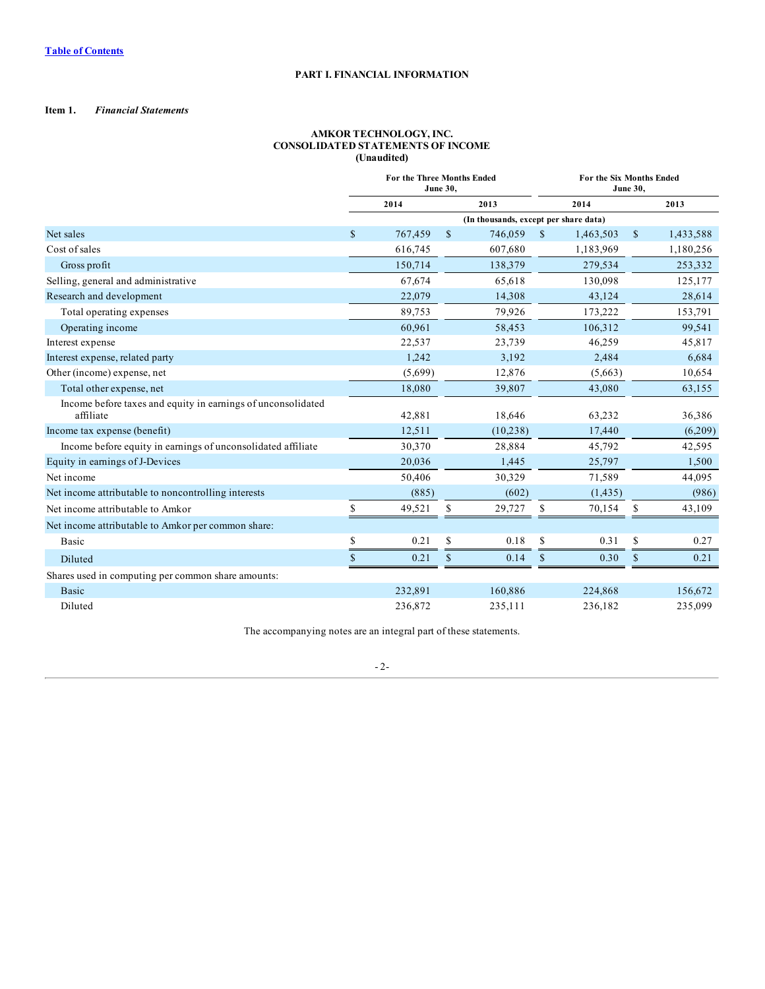# **PART I. FINANCIAL INFORMATION**

# <span id="page-2-0"></span>**Item 1.** *Financial Statements*

# **AMKOR TECHNOLOGY, INC. CONSOLIDATED STATEMENTS OF INCOME (Unaudited)**

|                                                                           | <b>For the Three Months Ended</b><br><b>June 30.</b> |         |              |           |              | For the Six Months Ended<br><b>June 30.</b> |              |           |  |
|---------------------------------------------------------------------------|------------------------------------------------------|---------|--------------|-----------|--------------|---------------------------------------------|--------------|-----------|--|
|                                                                           |                                                      | 2014    |              | 2013      |              | 2014                                        |              | 2013      |  |
|                                                                           |                                                      |         |              |           |              |                                             |              |           |  |
| Net sales                                                                 | $\mathbb{S}$                                         | 767,459 | $\mathbb{S}$ | 746,059   | $\mathbb{S}$ | 1,463,503                                   | $\mathbb{S}$ | 1,433,588 |  |
| Cost of sales                                                             |                                                      | 616,745 |              | 607,680   |              | 1,183,969                                   |              | 1,180,256 |  |
| Gross profit                                                              |                                                      | 150,714 |              | 138,379   |              | 279,534                                     |              | 253,332   |  |
| Selling, general and administrative                                       |                                                      | 67,674  |              | 65,618    |              | 130,098                                     |              | 125,177   |  |
| Research and development                                                  |                                                      | 22,079  |              | 14,308    |              | 43,124                                      |              | 28,614    |  |
| Total operating expenses                                                  |                                                      | 89,753  |              | 79,926    |              | 173,222                                     |              | 153,791   |  |
| Operating income                                                          |                                                      | 60,961  |              | 58,453    |              | 106,312                                     |              | 99,541    |  |
| Interest expense                                                          |                                                      | 22,537  |              | 23,739    |              | 46,259                                      |              | 45,817    |  |
| Interest expense, related party                                           |                                                      | 1,242   |              | 3,192     |              | 2,484                                       |              | 6,684     |  |
| Other (income) expense, net                                               |                                                      | (5,699) |              | 12,876    |              | (5,663)                                     |              | 10,654    |  |
| Total other expense, net                                                  |                                                      | 18,080  |              | 39,807    |              | 43,080                                      |              | 63,155    |  |
| Income before taxes and equity in earnings of unconsolidated<br>affiliate |                                                      | 42,881  |              | 18,646    |              | 63,232                                      |              | 36,386    |  |
| Income tax expense (benefit)                                              |                                                      | 12,511  |              | (10, 238) |              | 17,440                                      |              | (6,209)   |  |
| Income before equity in earnings of unconsolidated affiliate              |                                                      | 30,370  |              | 28,884    |              | 45,792                                      |              | 42,595    |  |
| Equity in earnings of J-Devices                                           |                                                      | 20,036  |              | 1,445     |              | 25,797                                      |              | 1,500     |  |
| Net income                                                                |                                                      | 50,406  |              | 30,329    |              | 71,589                                      |              | 44,095    |  |
| Net income attributable to noncontrolling interests                       |                                                      | (885)   |              | (602)     |              | (1, 435)                                    |              | (986)     |  |
| Net income attributable to Amkor                                          | \$                                                   | 49,521  | S            | 29,727    | \$           | 70,154                                      | \$           | 43,109    |  |
| Net income attributable to Amkor per common share:                        |                                                      |         |              |           |              |                                             |              |           |  |
| <b>Basic</b>                                                              | \$                                                   | 0.21    | \$           | 0.18      | \$           | 0.31                                        | S            | 0.27      |  |
| Diluted                                                                   | $\$$                                                 | 0.21    | \$           | 0.14      | \$           | 0.30                                        | \$           | 0.21      |  |
| Shares used in computing per common share amounts:                        |                                                      |         |              |           |              |                                             |              |           |  |
| <b>Basic</b>                                                              |                                                      | 232,891 |              | 160,886   |              | 224,868                                     |              | 156,672   |  |
| Diluted                                                                   |                                                      | 236,872 |              | 235,111   |              | 236,182                                     |              | 235,099   |  |

The accompanying notes are an integral part of these statements.

- 2-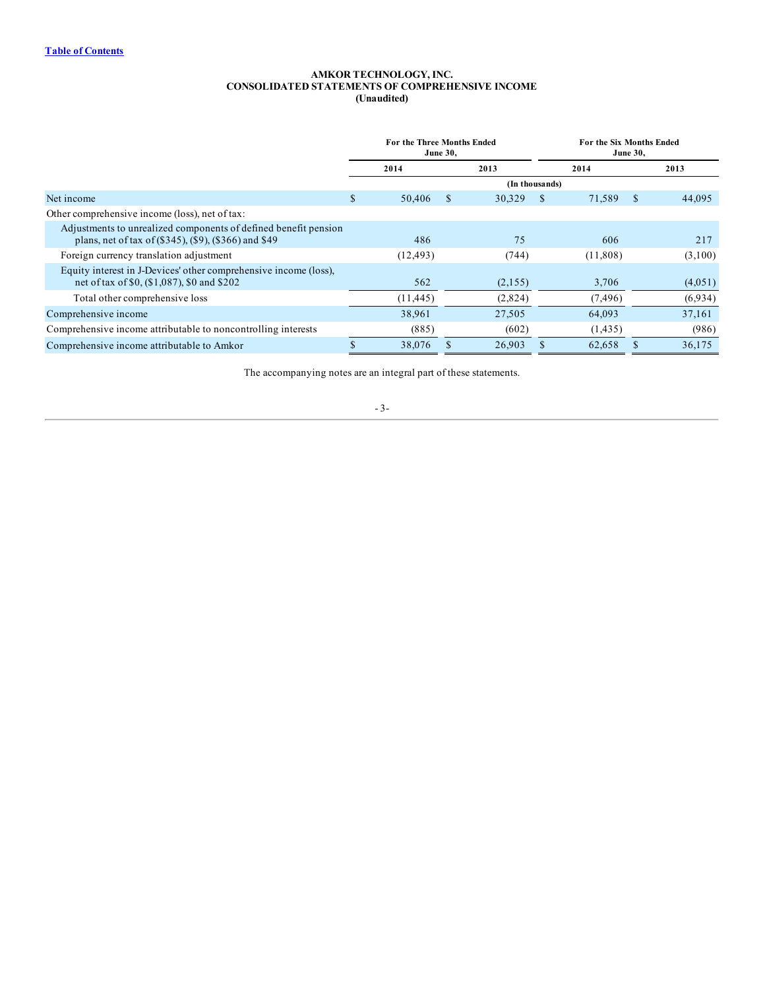#### **AMKOR TECHNOLOGY, INC. CONSOLIDATED STATEMENTS OF COMPREHENSIVE INCOME (Unaudited)**

<span id="page-3-0"></span>

|                                                                                                                          | <b>For the Three Months Ended</b><br><b>June 30,</b> |    |                | For the Six Months Ended<br><b>June 30,</b> |               |         |
|--------------------------------------------------------------------------------------------------------------------------|------------------------------------------------------|----|----------------|---------------------------------------------|---------------|---------|
|                                                                                                                          | 2014                                                 |    | 2013           | 2014                                        |               | 2013    |
|                                                                                                                          |                                                      |    | (In thousands) |                                             |               |         |
| Net income                                                                                                               | \$<br>50,406                                         | -S | 30,329<br>S    | 71,589                                      | <sup>\$</sup> | 44,095  |
| Other comprehensive income (loss), net of tax:                                                                           |                                                      |    |                |                                             |               |         |
| Adjustments to unrealized components of defined benefit pension<br>plans, net of tax of (\$345), (\$9), (\$366) and \$49 | 486                                                  |    | 75             | 606                                         |               | 217     |
| Foreign currency translation adjustment                                                                                  | (12, 493)                                            |    | (744)          | (11,808)                                    |               | (3,100) |
| Equity interest in J-Devices' other comprehensive income (loss),<br>net of tax of \$0, (\$1,087), \$0 and \$202          | 562                                                  |    | (2,155)        | 3,706                                       |               | (4,051) |
| Total other comprehensive loss                                                                                           | (11, 445)                                            |    | (2,824)        | (7, 496)                                    |               | (6,934) |
| Comprehensive income                                                                                                     | 38,961                                               |    | 27,505         | 64,093                                      |               | 37,161  |
| Comprehensive income attributable to noncontrolling interests                                                            | (885)                                                |    | (602)          | (1, 435)                                    |               | (986)   |
| Comprehensive income attributable to Amkor                                                                               | 38,076                                               |    | 26,903         | 62,658                                      | \$            | 36,175  |

The accompanying notes are an integral part of these statements.

# - 3-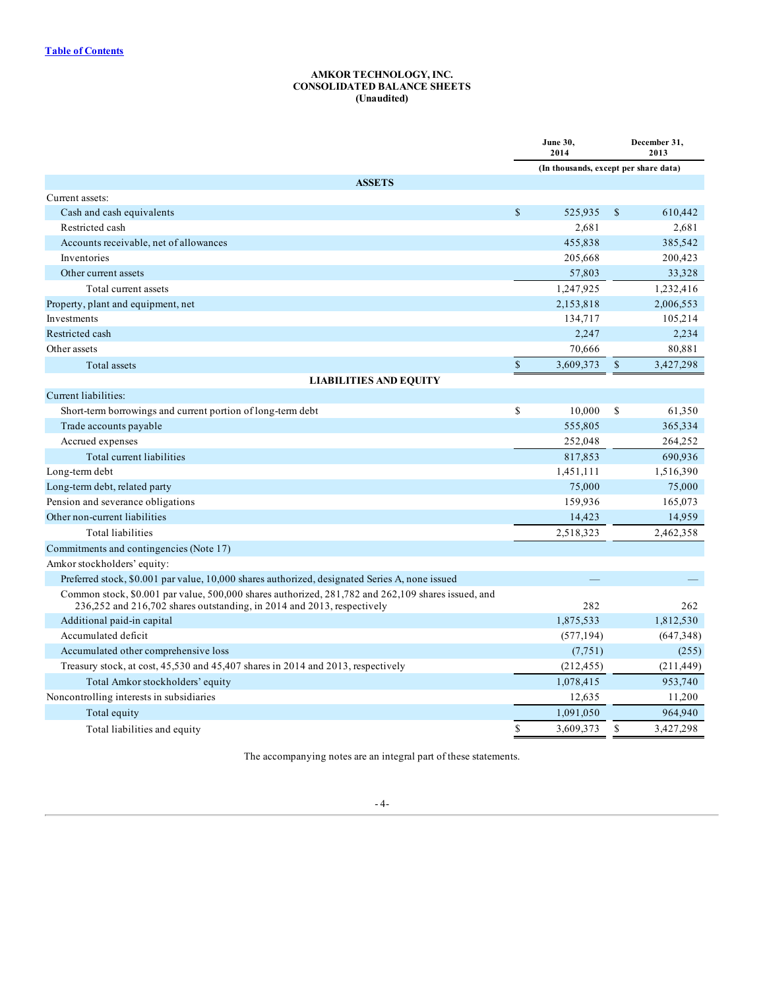## **AMKOR TECHNOLOGY, INC. CONSOLIDATED BALANCE SHEETS (Unaudited)**

|                                                                                                                                                                              |               | June 30,<br>2014                      |               | December 31,<br>2013 |
|------------------------------------------------------------------------------------------------------------------------------------------------------------------------------|---------------|---------------------------------------|---------------|----------------------|
|                                                                                                                                                                              |               | (In thousands, except per share data) |               |                      |
| <b>ASSETS</b>                                                                                                                                                                |               |                                       |               |                      |
| Current assets:                                                                                                                                                              |               |                                       |               |                      |
| Cash and cash equivalents                                                                                                                                                    | $\mathcal{S}$ | 525,935                               | $\mathbb{S}$  | 610,442              |
| Restricted cash                                                                                                                                                              |               | 2,681                                 |               | 2,681                |
| Accounts receivable, net of allowances                                                                                                                                       |               | 455,838                               |               | 385,542              |
| Inventories                                                                                                                                                                  |               | 205,668                               |               | 200,423              |
| Other current assets                                                                                                                                                         |               | 57,803                                |               | 33,328               |
| Total current assets                                                                                                                                                         |               | 1,247,925                             |               | 1,232,416            |
| Property, plant and equipment, net                                                                                                                                           |               | 2,153,818                             |               | 2,006,553            |
| Investments                                                                                                                                                                  |               | 134,717                               |               | 105,214              |
| Restricted cash                                                                                                                                                              |               | 2,247                                 |               | 2,234                |
| Other assets                                                                                                                                                                 |               | 70,666                                |               | 80,881               |
| <b>Total assets</b>                                                                                                                                                          | $\mathcal{S}$ | 3,609,373                             | $\mathcal{S}$ | 3,427,298            |
| <b>LIABILITIES AND EQUITY</b>                                                                                                                                                |               |                                       |               |                      |
| Current liabilities:                                                                                                                                                         |               |                                       |               |                      |
| Short-term borrowings and current portion of long-term debt                                                                                                                  | <sup>\$</sup> | 10,000                                | S             | 61,350               |
| Trade accounts payable                                                                                                                                                       |               | 555,805                               |               | 365,334              |
| Accrued expenses                                                                                                                                                             |               | 252,048                               |               | 264,252              |
| Total current liabilities                                                                                                                                                    |               | 817,853                               |               | 690,936              |
| Long-term debt                                                                                                                                                               |               | 1,451,111                             |               | 1,516,390            |
| Long-term debt, related party                                                                                                                                                |               | 75,000                                |               | 75,000               |
| Pension and severance obligations                                                                                                                                            |               | 159,936                               |               | 165,073              |
| Other non-current liabilities                                                                                                                                                |               | 14,423                                |               | 14,959               |
| <b>Total liabilities</b>                                                                                                                                                     |               | 2,518,323                             |               | 2,462,358            |
| Commitments and contingencies (Note 17)                                                                                                                                      |               |                                       |               |                      |
| Amkor stockholders' equity:                                                                                                                                                  |               |                                       |               |                      |
| Preferred stock, \$0.001 par value, 10,000 shares authorized, designated Series A, none issued                                                                               |               |                                       |               |                      |
| Common stock, \$0.001 par value, 500,000 shares authorized, 281,782 and 262,109 shares issued, and<br>236,252 and 216,702 shares outstanding, in 2014 and 2013, respectively |               | 282                                   |               | 262                  |
| Additional paid-in capital                                                                                                                                                   |               | 1.875.533                             |               | 1,812,530            |
| Accumulated deficit                                                                                                                                                          |               | (577, 194)                            |               | (647, 348)           |
| Accumulated other comprehensive loss                                                                                                                                         |               | (7,751)                               |               | (255)                |
| Treasury stock, at cost, 45,530 and 45,407 shares in 2014 and 2013, respectively                                                                                             |               | (212, 455)                            |               | (211, 449)           |
| Total Amkor stockholders' equity                                                                                                                                             |               | 1,078,415                             |               | 953,740              |
| Noncontrolling interests in subsidiaries                                                                                                                                     |               | 12,635                                |               | 11,200               |
| Total equity                                                                                                                                                                 |               | 1,091,050                             |               | 964,940              |
| Total liabilities and equity                                                                                                                                                 | \$            | 3,609,373                             | \$            | 3,427,298            |

The accompanying notes are an integral part of these statements.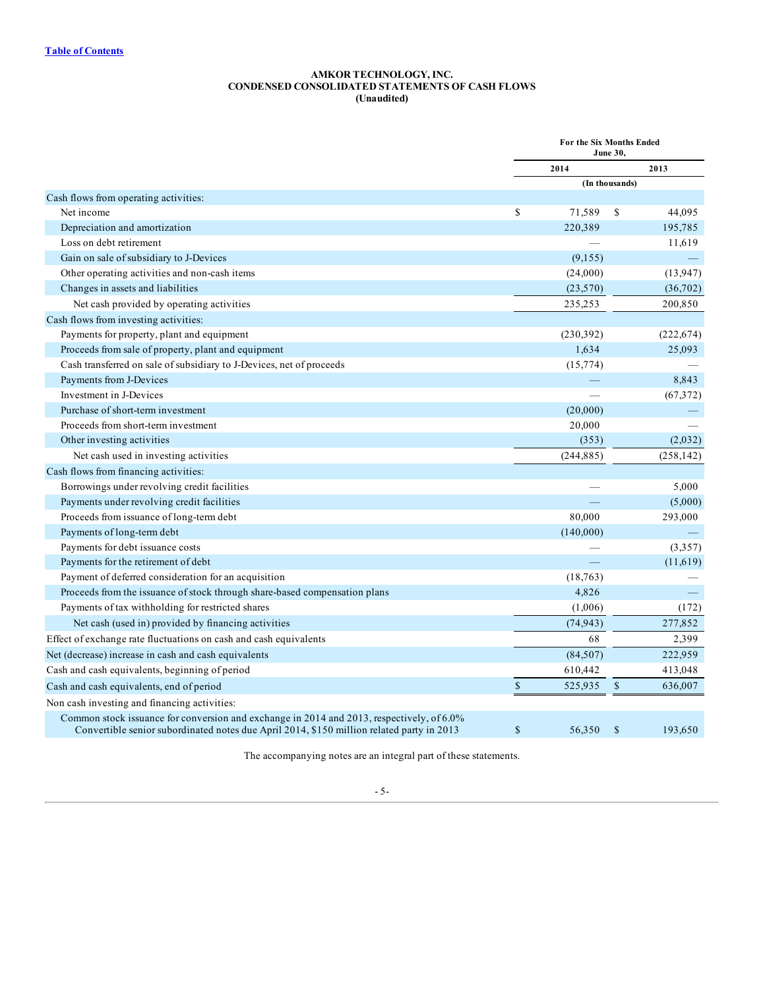#### **AMKOR TECHNOLOGY, INC. CONDENSED CONSOLIDATED STATEMENTS OF CASH FLOWS (Unaudited)**

<span id="page-5-0"></span>

|                                                                                           | For the Six Months Ended<br>June 30, |            |                |            |  |
|-------------------------------------------------------------------------------------------|--------------------------------------|------------|----------------|------------|--|
|                                                                                           |                                      | 2014       |                | 2013       |  |
|                                                                                           |                                      |            | (In thousands) |            |  |
| Cash flows from operating activities:                                                     |                                      |            |                |            |  |
| Net income                                                                                | $\mathbb{S}% _{t}\left( t\right)$    | 71,589     | <sup>\$</sup>  | 44,095     |  |
| Depreciation and amortization                                                             |                                      | 220,389    |                | 195,785    |  |
| Loss on debt retirement                                                                   |                                      |            |                | 11,619     |  |
| Gain on sale of subsidiary to J-Devices                                                   |                                      | (9,155)    |                |            |  |
| Other operating activities and non-cash items                                             |                                      | (24,000)   |                | (13, 947)  |  |
| Changes in assets and liabilities                                                         |                                      | (23, 570)  |                | (36,702)   |  |
| Net cash provided by operating activities                                                 |                                      | 235,253    |                | 200,850    |  |
| Cash flows from investing activities:                                                     |                                      |            |                |            |  |
| Payments for property, plant and equipment                                                |                                      | (230, 392) |                | (222, 674) |  |
| Proceeds from sale of property, plant and equipment                                       |                                      | 1,634      |                | 25,093     |  |
| Cash transferred on sale of subsidiary to J-Devices, net of proceeds                      |                                      | (15,774)   |                |            |  |
| Payments from J-Devices                                                                   |                                      |            |                | 8.843      |  |
| Investment in J-Devices                                                                   |                                      |            |                | (67, 372)  |  |
| Purchase of short-term investment                                                         |                                      | (20,000)   |                |            |  |
| Proceeds from short-term investment                                                       |                                      | 20,000     |                |            |  |
| Other investing activities                                                                |                                      | (353)      |                | (2,032)    |  |
| Net cash used in investing activities                                                     |                                      | (244, 885) |                | (258, 142) |  |
| Cash flows from financing activities:                                                     |                                      |            |                |            |  |
| Borrowings under revolving credit facilities                                              |                                      |            |                | 5,000      |  |
| Payments under revolving credit facilities                                                |                                      |            |                | (5,000)    |  |
| Proceeds from issuance of long-term debt                                                  |                                      | 80,000     |                | 293,000    |  |
| Payments of long-term debt                                                                |                                      | (140,000)  |                |            |  |
| Payments for debt issuance costs                                                          |                                      |            |                | (3,357)    |  |
| Payments for the retirement of debt                                                       |                                      |            |                | (11,619)   |  |
| Payment of deferred consideration for an acquisition                                      |                                      | (18, 763)  |                |            |  |
| Proceeds from the issuance of stock through share-based compensation plans                |                                      | 4,826      |                |            |  |
| Payments of tax withholding for restricted shares                                         |                                      | (1,006)    |                | (172)      |  |
| Net cash (used in) provided by financing activities                                       |                                      | (74, 943)  |                | 277,852    |  |
| Effect of exchange rate fluctuations on cash and cash equivalents                         |                                      | 68         |                | 2,399      |  |
| Net (decrease) increase in cash and cash equivalents                                      |                                      | (84, 507)  |                | 222,959    |  |
| Cash and cash equivalents, beginning of period                                            |                                      | 610,442    |                | 413,048    |  |
| Cash and cash equivalents, end of period                                                  | $\mathbb{S}$                         | 525,935    | $\mathbb{S}$   | 636,007    |  |
| Non cash investing and financing activities:                                              |                                      |            |                |            |  |
| Common stock issuance for conversion and exchange in 2014 and 2013, respectively, of 6.0% |                                      |            |                |            |  |
| Convertible senior subordinated notes due April 2014, \$150 million related party in 2013 | $\mathcal{S}$                        | 56,350     | $\mathbb{S}$   | 193,650    |  |

The accompanying notes are an integral part of these statements.

- 5-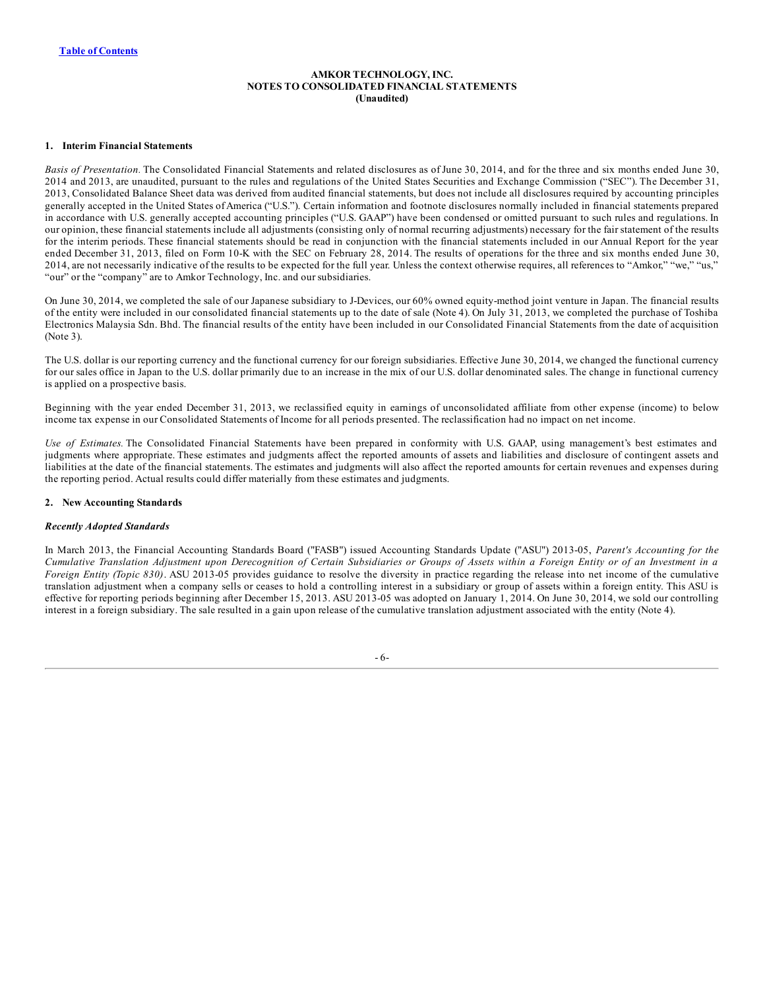### **1. Interim Financial Statements**

*Basis of Presentation.* The Consolidated Financial Statements and related disclosures as of June 30, 2014, and for the three and six months ended June 30, 2014 and 2013, are unaudited, pursuant to the rules and regulations of the United States Securities and Exchange Commission ("SEC"). The December 31, 2013, Consolidated Balance Sheet data was derived from audited financial statements, but does not include all disclosures required by accounting principles generally accepted in the United States of America ("U.S."). Certain information and footnote disclosures normally included in financial statements prepared in accordance with U.S. generally accepted accounting principles ("U.S. GAAP") have been condensed or omitted pursuant to such rules and regulations. In our opinion, these financial statements include all adjustments (consisting only of normal recurring adjustments) necessary for the fair statement of the results for the interim periods. These financial statements should be read in conjunction with the financial statements included in our Annual Report for the year ended December 31, 2013, filed on Form 10-K with the SEC on February 28, 2014. The results of operations for the three and six months ended June 30, 2014, are not necessarily indicative of the results to be expected for the full year. Unless the context otherwise requires, all references to "Amkor," "we," "us," "our" or the "company" are to Amkor Technology, Inc. and our subsidiaries.

On June 30, 2014, we completed the sale of our Japanese subsidiary to J-Devices, our 60% owned equity-method joint venture in Japan. The financial results of the entity were included in our consolidated financial statements up to the date of sale (Note 4). On July 31, 2013, we completed the purchase of Toshiba Electronics Malaysia Sdn. Bhd. The financial results of the entity have been included in our Consolidated Financial Statements from the date of acquisition (Note 3).

The U.S. dollar is our reporting currency and the functional currency for our foreign subsidiaries. Effective June 30, 2014, we changed the functional currency for our sales office in Japan to the U.S. dollar primarily due to an increase in the mix of our U.S. dollar denominated sales. The change in functional currency is applied on a prospective basis.

Beginning with the year ended December 31, 2013, we reclassified equity in earnings of unconsolidated affiliate from other expense (income) to below income tax expense in our Consolidated Statements of Income for all periods presented. The reclassification had no impact on net income.

*Use of Estimates.* The Consolidated Financial Statements have been prepared in conformity with U.S. GAAP, using management's best estimates and judgments where appropriate. These estimates and judgments affect the reported amounts of assets and liabilities and disclosure of contingent assets and liabilities at the date of the financial statements. The estimates and judgments will also affect the reported amounts for certain revenues and expenses during the reporting period. Actual results could differ materially from these estimates and judgments.

#### **2. New Accounting Standards**

#### *Recently Adopted Standards*

In March 2013, the Financial Accounting Standards Board ("FASB") issued Accounting Standards Update ("ASU") 2013-05, *Parent's Accounting for the* Cumulative Translation Adjustment upon Derecognition of Certain Subsidiaries or Groups of Assets within a Foreign Entity or of an Investment in a *Foreign Entity (Topic 830)*. ASU 2013-05 provides guidance to resolve the diversity in practice regarding the release into net income of the cumulative translation adjustment when a company sells or ceases to hold a controlling interest in a subsidiary or group of assets within a foreign entity. This ASU is effective for reporting periods beginning after December 15, 2013. ASU 2013-05 was adopted on January 1, 2014. On June 30, 2014, we sold our controlling interest in a foreign subsidiary. The sale resulted in a gain upon release of the cumulative translation adjustment associated with the entity (Note 4).

- 6-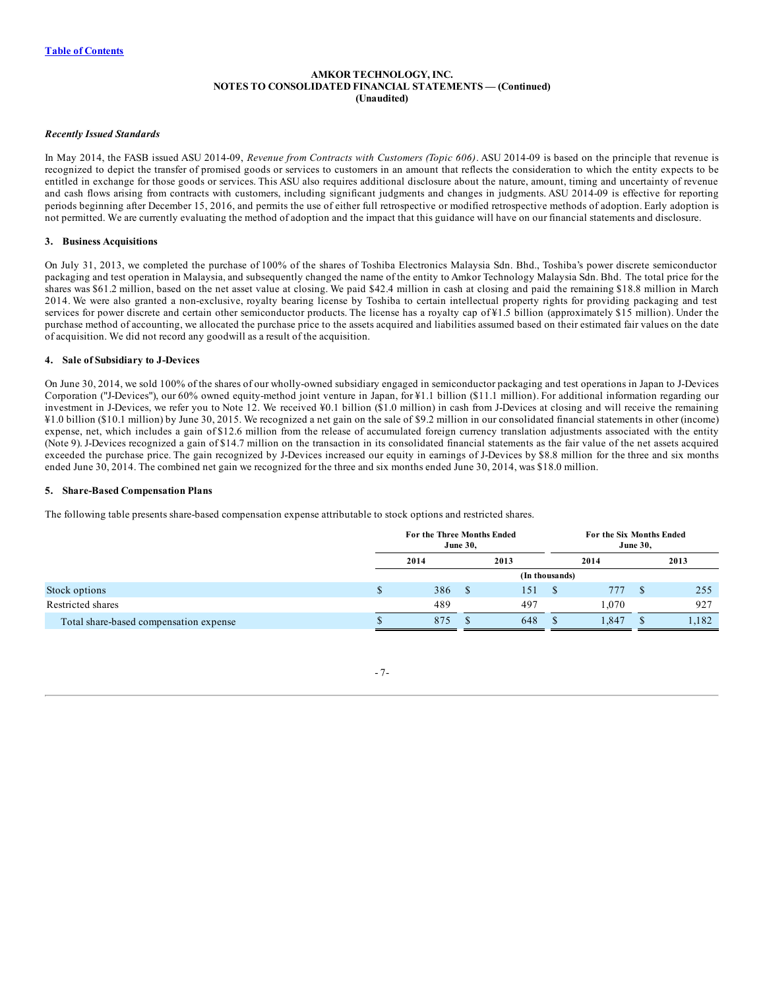#### *Recently Issued Standards*

In May 2014, the FASB issued ASU 2014-09, *Revenue from Contracts with Customers (Topic 606)*. ASU 2014-09 is based on the principle that revenue is recognized to depict the transfer of promised goods or services to customers in an amount that reflects the consideration to which the entity expects to be entitled in exchange for those goods or services. This ASU also requires additional disclosure about the nature, amount, timing and uncertainty of revenue and cash flows arising from contracts with customers, including significant judgments and changes in judgments. ASU 2014-09 is effective for reporting periods beginning after December 15, 2016, and permits the use of either full retrospective or modified retrospective methods of adoption. Early adoption is not permitted. We are currently evaluating the method of adoption and the impact that this guidance will have on our financial statements and disclosure.

#### **3. Business Acquisitions**

On July 31, 2013, we completed the purchase of 100% of the shares of Toshiba Electronics Malaysia Sdn. Bhd., Toshiba's power discrete semiconductor packaging and test operation in Malaysia, and subsequently changed the name of the entity to Amkor Technology Malaysia Sdn. Bhd. The total price for the shares was \$61.2 million, based on the net asset value at closing. We paid \$42.4 million in cash at closing and paid the remaining \$18.8 million in March 2014. We were also granted a non-exclusive, royalty bearing license by Toshiba to certain intellectual property rights for providing packaging and test services for power discrete and certain other semiconductor products. The license has a royalty cap of ¥1.5 billion (approximately \$15 million). Under the purchase method of accounting, we allocated the purchase price to the assets acquired and liabilities assumed based on their estimated fair values on the date of acquisition. We did not record any goodwill as a result of the acquisition.

# **4. Sale of Subsidiary to J-Devices**

On June 30, 2014, we sold 100% of the shares of our wholly-owned subsidiary engaged in semiconductor packaging and test operations in Japan to J-Devices Corporation ("J-Devices"), our 60% owned equity-method joint venture in Japan, for ¥1.1 billion (\$11.1 million). For additional information regarding our investment in J-Devices, we refer you to Note 12. We received ¥0.1 billion (\$1.0 million) in cash from J-Devices at closing and will receive the remaining ¥1.0 billion (\$10.1 million) by June 30, 2015. We recognized a net gain on the sale of \$9.2 million in our consolidated financial statements in other (income) expense, net, which includes a gain of \$12.6 million from the release of accumulated foreign currency translation adjustments associated with the entity (Note 9). J-Devices recognized a gain of \$14.7 million on the transaction in its consolidated financial statements as the fair value of the net assets acquired exceeded the purchase price. The gain recognized by J-Devices increased our equity in earnings of J-Devices by \$8.8 million for the three and six months ended June 30, 2014. The combined net gain we recognized for the three and six months ended June 30, 2014, was \$18.0 million.

# **5. Share-Based Compensation Plans**

The following table presents share-based compensation expense attributable to stock options and restricted shares.

|                                        | For the Three Months Ended<br><b>June 30,</b> |      |  | For the Six Months Ended<br><b>June 30,</b> |  |       |  |       |
|----------------------------------------|-----------------------------------------------|------|--|---------------------------------------------|--|-------|--|-------|
|                                        |                                               | 2014 |  | 2013                                        |  | 2014  |  | 2013  |
|                                        |                                               |      |  | (In thousands)                              |  |       |  |       |
| Stock options                          |                                               | 386  |  | 151                                         |  | 777   |  | 255   |
| Restricted shares                      |                                               | 489  |  | 497                                         |  | 1.070 |  | 927   |
| Total share-based compensation expense |                                               | 875  |  | 648                                         |  | 1,847 |  | 1,182 |

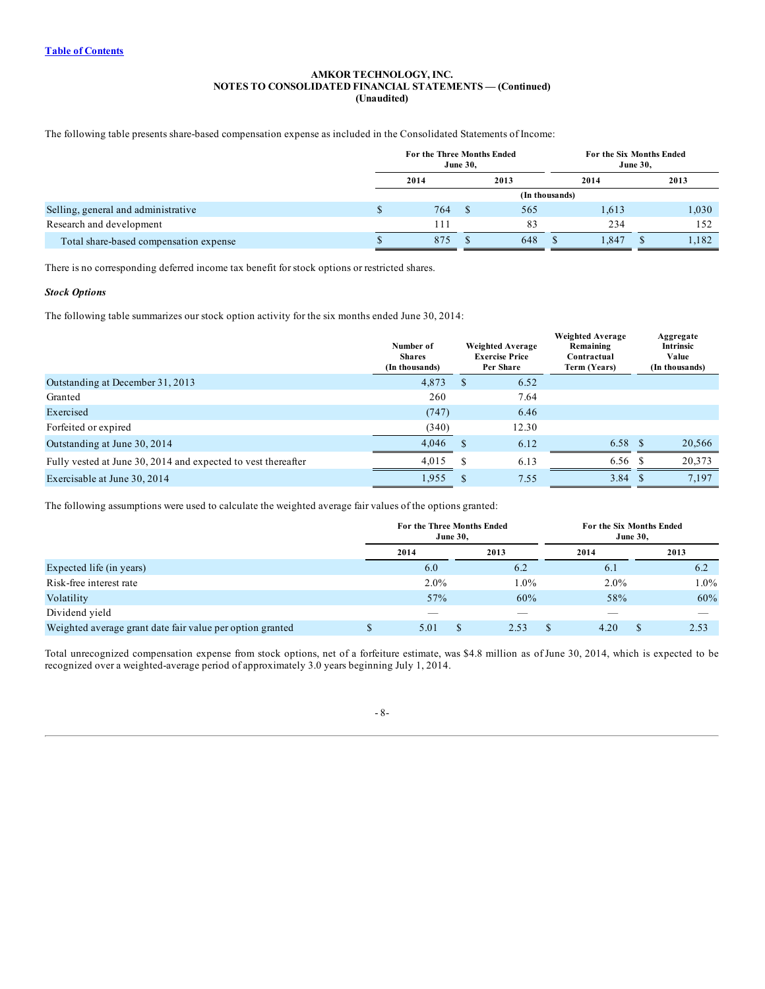The following table presents share-based compensation expense as included in the Consolidated Statements of Income:

|                                        | For the Three Months Ended<br><b>June 30,</b> |  |      | For the Six Months Ended<br><b>June 30,</b> |       |  |       |
|----------------------------------------|-----------------------------------------------|--|------|---------------------------------------------|-------|--|-------|
|                                        | 2014                                          |  | 2013 |                                             | 2014  |  | 2013  |
|                                        |                                               |  |      | (In thousands)                              |       |  |       |
| Selling, general and administrative    | 764                                           |  | 565  |                                             | 1.613 |  | 1,030 |
| Research and development               | 111                                           |  | 83   |                                             | 234   |  | 152   |
| Total share-based compensation expense | 875                                           |  | 648  |                                             | l.847 |  | 1,182 |

There is no corresponding deferred income tax benefit for stock options or restricted shares.

#### *Stock Options*

The following table summarizes our stock option activity for the six months ended June 30, 2014:

|                                                               | Number of<br><b>Shares</b><br>(In thousands) | <b>Weighted Average</b><br><b>Exercise Price</b><br>Per Share |       |                   |              | <b>Weighted Average</b><br>Remaining<br>Contractual<br>Term (Years) |  | Aggregate<br>Intrinsic<br>Value<br>(In thousands) |
|---------------------------------------------------------------|----------------------------------------------|---------------------------------------------------------------|-------|-------------------|--------------|---------------------------------------------------------------------|--|---------------------------------------------------|
| Outstanding at December 31, 2013                              | 4,873                                        | -8                                                            | 6.52  |                   |              |                                                                     |  |                                                   |
| Granted                                                       | 260                                          |                                                               | 7.64  |                   |              |                                                                     |  |                                                   |
| Exercised                                                     | (747)                                        |                                                               | 6.46  |                   |              |                                                                     |  |                                                   |
| Forfeited or expired                                          | (340)                                        |                                                               | 12.30 |                   |              |                                                                     |  |                                                   |
| Outstanding at June 30, 2014                                  | 4,046                                        |                                                               | 6.12  | 6.58 <sup>8</sup> |              | 20,566                                                              |  |                                                   |
| Fully vested at June 30, 2014 and expected to vest thereafter | 4.015                                        |                                                               | 6.13  | 6.56              | -8           | 20,373                                                              |  |                                                   |
| Exercisable at June 30, 2014                                  | 1.955                                        |                                                               | 7.55  | 3.84              | <sup>S</sup> | 7,197                                                               |  |                                                   |

The following assumptions were used to calculate the weighted average fair values of the options granted:

|                                                           | <b>For the Three Months Ended</b><br><b>June 30.</b> |  |         | For the Six Months Ended<br><b>June 30,</b> |  |         |  |
|-----------------------------------------------------------|------------------------------------------------------|--|---------|---------------------------------------------|--|---------|--|
|                                                           | 2014                                                 |  | 2013    | 2014                                        |  | 2013    |  |
| Expected life (in years)                                  | 6.0                                                  |  | 6.2     | 6.1                                         |  | 6.2     |  |
| Risk-free interest rate                                   | $2.0\%$                                              |  | $1.0\%$ | $2.0\%$                                     |  | $1.0\%$ |  |
| Volatility                                                | 57%                                                  |  | 60%     | 58%                                         |  | 60%     |  |
| Dividend vield                                            |                                                      |  | __      | __                                          |  |         |  |
| Weighted average grant date fair value per option granted | 5.01                                                 |  | 2.53    | 4.20                                        |  | 2.53    |  |

Total unrecognized compensation expense from stock options, net of a forfeiture estimate, was \$4.8 million as of June 30, 2014, which is expected to be recognized over a weighted-average period of approximately 3.0 years beginning July 1, 2014.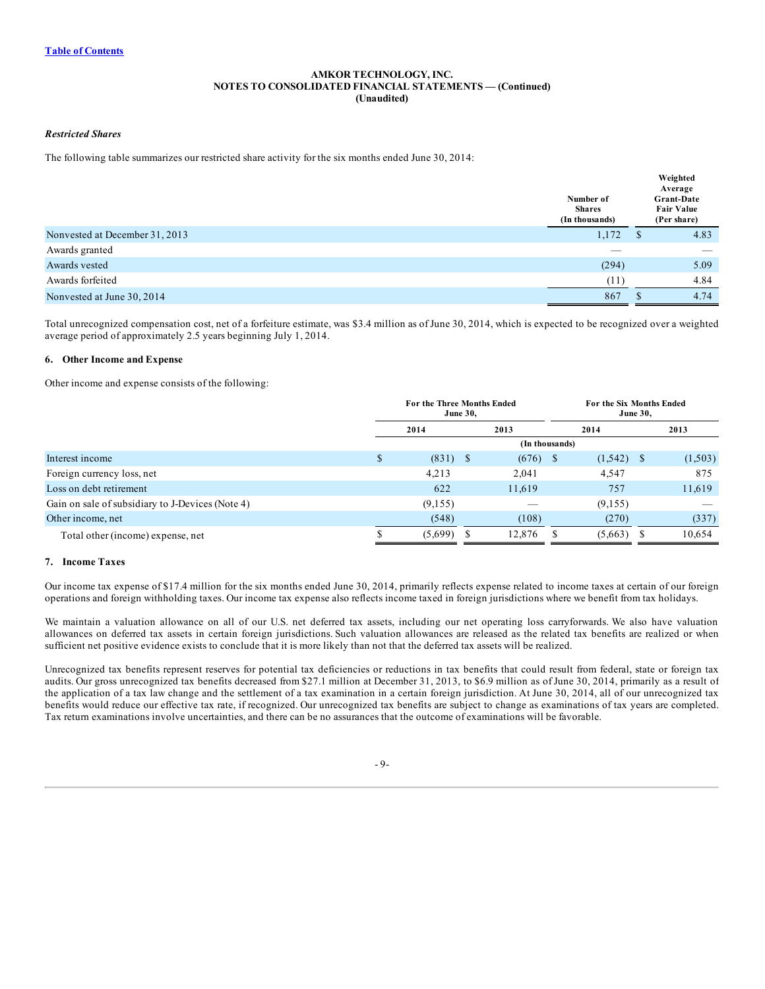#### *Restricted Shares*

The following table summarizes our restricted share activity for the six months ended June 30, 2014:

|                                | Number of<br><b>Shares</b><br>(In thousands) |      | Weighted<br>Average<br><b>Grant-Date</b><br><b>Fair Value</b><br>(Per share) |
|--------------------------------|----------------------------------------------|------|------------------------------------------------------------------------------|
| Nonvested at December 31, 2013 | 1,172                                        | - \$ | 4.83                                                                         |
| Awards granted                 |                                              |      |                                                                              |
| Awards vested                  | (294)                                        |      | 5.09                                                                         |
| Awards forfeited               | (11)                                         |      | 4.84                                                                         |
| Nonvested at June 30, 2014     | 867                                          |      | 4.74                                                                         |

Total unrecognized compensation cost, net of a forfeiture estimate, was \$3.4 million as of June 30, 2014, which is expected to be recognized over a weighted average period of approximately 2.5 years beginning July 1, 2014.

# **6. Other Income and Expense**

Other income and expense consists of the following:

|                                                  |              | For the Three Months Ended<br><b>June 30,</b> |  | For the Six Months Ended<br><b>June 30,</b> |          |      |         |
|--------------------------------------------------|--------------|-----------------------------------------------|--|---------------------------------------------|----------|------|---------|
|                                                  |              | 2014                                          |  | 2013                                        | 2014     |      | 2013    |
|                                                  |              |                                               |  | (In thousands)                              |          |      |         |
| Interest income                                  | $\mathbf{D}$ | $(831)$ \$                                    |  | $(676)$ \$                                  | (1, 542) | - \$ | (1,503) |
| Foreign currency loss, net                       |              | 4,213                                         |  | 2,041                                       | 4,547    |      | 875     |
| Loss on debt retirement                          |              | 622                                           |  | 11,619                                      | 757      |      | 11,619  |
| Gain on sale of subsidiary to J-Devices (Note 4) |              | (9,155)                                       |  |                                             | (9,155)  |      |         |
| Other income, net                                |              | (548)                                         |  | (108)                                       | (270)    |      | (337)   |
| Total other (income) expense, net                |              | (5,699)                                       |  | 12,876                                      | (5,663)  |      | 10.654  |

#### **7. Income Taxes**

Our income tax expense of \$17.4 million for the six months ended June 30, 2014, primarily reflects expense related to income taxes at certain of our foreign operations and foreign withholding taxes. Our income tax expense also reflects income taxed in foreign jurisdictions where we benefit from tax holidays.

We maintain a valuation allowance on all of our U.S. net deferred tax assets, including our net operating loss carryforwards. We also have valuation allowances on deferred tax assets in certain foreign jurisdictions. Such valuation allowances are released as the related tax benefits are realized or when sufficient net positive evidence exists to conclude that it is more likely than not that the deferred tax assets will be realized.

Unrecognized tax benefits represent reserves for potential tax deficiencies or reductions in tax benefits that could result from federal, state or foreign tax audits. Our gross unrecognized tax benefits decreased from \$27.1 million at December 31, 2013, to \$6.9 million as of June 30, 2014, primarily as a result of the application of a tax law change and the settlement of a tax examination in a certain foreign jurisdiction. At June 30, 2014, all of our unrecognized tax benefits would reduce our effective tax rate, if recognized. Our unrecognized tax benefits are subject to change as examinations of tax years are completed. Tax return examinations involve uncertainties, and there can be no assurances that the outcome of examinations will be favorable.

#### - 9-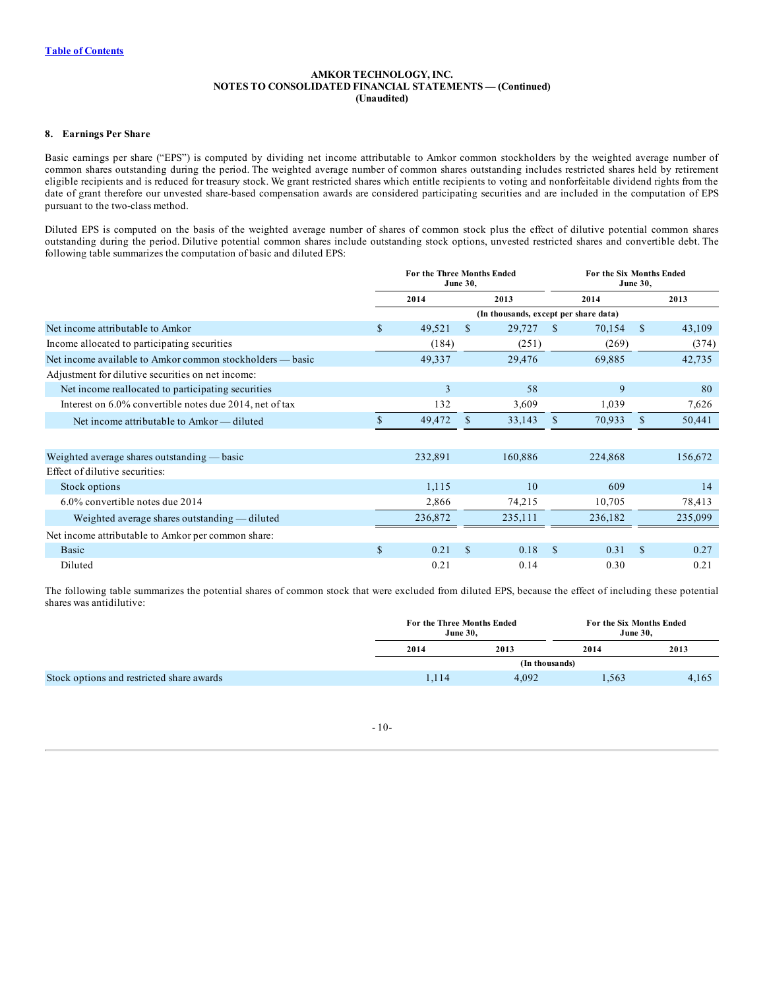#### **8. Earnings Per Share**

Basic earnings per share ("EPS") is computed by dividing net income attributable to Amkor common stockholders by the weighted average number of common shares outstanding during the period. The weighted average number of common shares outstanding includes restricted shares held by retirement eligible recipients and is reduced for treasury stock. We grant restricted shares which entitle recipients to voting and nonforfeitable dividend rights from the date of grant therefore our unvested share-based compensation awards are considered participating securities and are included in the computation of EPS pursuant to the two-class method.

Diluted EPS is computed on the basis of the weighted average number of shares of common stock plus the effect of dilutive potential common shares outstanding during the period. Dilutive potential common shares include outstanding stock options, unvested restricted shares and convertible debt. The following table summarizes the computation of basic and diluted EPS:

|                                                           | For the Three Months Ended<br><b>June 30,</b> |         |               |                                       |               | For the Six Months Ended<br><b>June 30,</b> |               |         |  |
|-----------------------------------------------------------|-----------------------------------------------|---------|---------------|---------------------------------------|---------------|---------------------------------------------|---------------|---------|--|
|                                                           |                                               | 2014    |               | 2013                                  |               | 2014                                        |               | 2013    |  |
|                                                           |                                               |         |               | (In thousands, except per share data) |               |                                             |               |         |  |
| Net income attributable to Amkor                          | $\mathbb{S}$                                  | 49,521  | <sup>\$</sup> | 29,727                                | <sup>\$</sup> | 70,154                                      | <sup>\$</sup> | 43,109  |  |
| Income allocated to participating securities              |                                               | (184)   |               | (251)                                 |               | (269)                                       |               | (374)   |  |
| Net income available to Amkor common stockholders — basic |                                               | 49,337  |               | 29,476                                |               | 69,885                                      |               | 42,735  |  |
| Adjustment for dilutive securities on net income:         |                                               |         |               |                                       |               |                                             |               |         |  |
| Net income reallocated to participating securities        |                                               | 3       |               | 58                                    |               | 9                                           |               | 80      |  |
| Interest on 6.0% convertible notes due 2014, net of tax   |                                               | 132     |               | 3,609                                 |               | 1,039                                       |               | 7,626   |  |
| Net income attributable to Amkor — diluted                |                                               | 49,472  | S             | 33,143                                | S             | 70,933                                      | <sup>\$</sup> | 50,441  |  |
|                                                           |                                               |         |               |                                       |               |                                             |               |         |  |
| Weighted average shares outstanding $-$ basic             |                                               | 232,891 |               | 160,886                               |               | 224,868                                     |               | 156,672 |  |
| Effect of dilutive securities:                            |                                               |         |               |                                       |               |                                             |               |         |  |
| Stock options                                             |                                               | 1,115   |               | 10                                    |               | 609                                         |               | 14      |  |
| $6.0\%$ convertible notes due 2014                        |                                               | 2,866   |               | 74,215                                |               | 10,705                                      |               | 78,413  |  |
| Weighted average shares outstanding — diluted             |                                               | 236,872 |               | 235,111                               |               | 236,182                                     |               | 235,099 |  |
| Net income attributable to Amkor per common share:        |                                               |         |               |                                       |               |                                             |               |         |  |
| <b>Basic</b>                                              | \$                                            | 0.21    | \$.           | 0.18                                  | <sup>\$</sup> | 0.31                                        | $\mathcal{S}$ | 0.27    |  |
| Diluted                                                   |                                               | 0.21    |               | 0.14                                  |               | 0.30                                        |               | 0.21    |  |

The following table summarizes the potential shares of common stock that were excluded from diluted EPS, because the effect of including these potential shares was antidilutive:

|                                           | For the Three Months Ended<br><b>June 30.</b> |                | For the Six Months Ended<br><b>June 30.</b> |       |  |
|-------------------------------------------|-----------------------------------------------|----------------|---------------------------------------------|-------|--|
|                                           | 2014                                          | 2013           | 2014                                        | 2013  |  |
|                                           |                                               | (In thousands) |                                             |       |  |
| Stock options and restricted share awards | 1,114                                         | 4.092          | 1.563                                       | 4.165 |  |

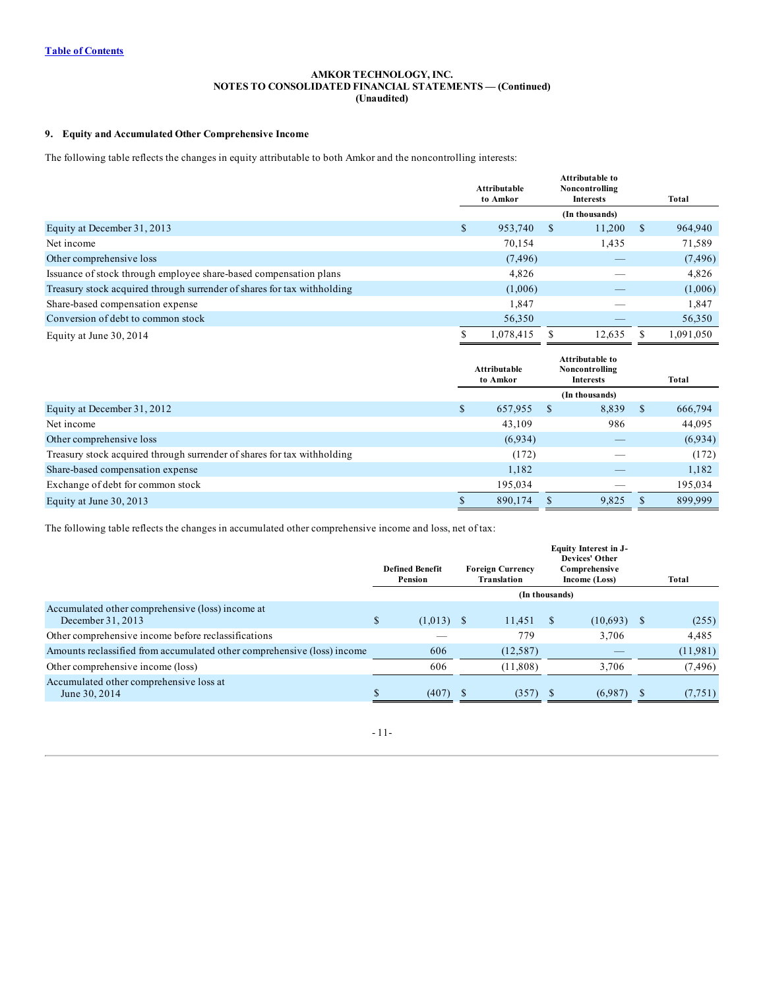# **9. Equity and Accumulated Other Comprehensive Income**

The following table reflects the changes in equity attributable to both Amkor and the noncontrolling interests:

|                                                                         |    | <b>Attributable to</b><br><b>Attributable</b><br>Noncontrolling<br>to Amkor<br><b>Interests</b> |           |   |                | Total        |           |  |
|-------------------------------------------------------------------------|----|-------------------------------------------------------------------------------------------------|-----------|---|----------------|--------------|-----------|--|
|                                                                         |    |                                                                                                 |           |   | (In thousands) |              |           |  |
| Equity at December 31, 2013                                             | \$ |                                                                                                 | 953,740   | S | 11,200         | <sup>S</sup> | 964,940   |  |
| Net income                                                              |    |                                                                                                 | 70,154    |   | 1,435          |              | 71,589    |  |
| Other comprehensive loss                                                |    |                                                                                                 | (7, 496)  |   |                |              | (7, 496)  |  |
| Issuance of stock through employee share-based compensation plans       |    |                                                                                                 | 4,826     |   |                |              | 4,826     |  |
| Treasury stock acquired through surrender of shares for tax withholding |    |                                                                                                 | (1,006)   |   |                |              | (1,006)   |  |
| Share-based compensation expense                                        |    |                                                                                                 | 1,847     |   |                |              | 1,847     |  |
| Conversion of debt to common stock                                      |    |                                                                                                 | 56,350    |   |                |              | 56,350    |  |
| Equity at June 30, 2014                                                 | S  |                                                                                                 | 1.078.415 |   | 12.635         |              | 1,091,050 |  |

|                                                                         | <b>Attributable to</b><br>Attributable<br>Noncontrolling<br>to Amkor<br><b>Interests</b> |         |               | Total          |   |         |
|-------------------------------------------------------------------------|------------------------------------------------------------------------------------------|---------|---------------|----------------|---|---------|
|                                                                         |                                                                                          |         |               | (In thousands) |   |         |
| Equity at December 31, 2012                                             | \$                                                                                       | 657,955 | <sup>\$</sup> | 8,839          | S | 666,794 |
| Net income                                                              |                                                                                          | 43.109  |               | 986            |   | 44,095  |
| Other comprehensive loss                                                |                                                                                          | (6,934) |               |                |   | (6,934) |
| Treasury stock acquired through surrender of shares for tax withholding |                                                                                          | (172)   |               |                |   | (172)   |
| Share-based compensation expense                                        |                                                                                          | 1,182   |               |                |   | 1,182   |
| Exchange of debt for common stock                                       |                                                                                          | 195,034 |               |                |   | 195,034 |
| Equity at June 30, 2013                                                 |                                                                                          | 890,174 |               | 9,825          |   | 899,999 |

The following table reflects the changes in accumulated other comprehensive income and loss, net of tax:

|                                                                         | <b>Defined Benefit</b><br><b>Foreign Currency</b><br>Translation<br>Pension |      | <b>Equity Interest in J-</b><br><b>Devices' Other</b><br>Comprehensive<br>Income (Loss) |               |          | Total |          |
|-------------------------------------------------------------------------|-----------------------------------------------------------------------------|------|-----------------------------------------------------------------------------------------|---------------|----------|-------|----------|
|                                                                         |                                                                             |      | (In thousands)                                                                          |               |          |       |          |
| Accumulated other comprehensive (loss) income at<br>December 31, 2013   | $(1,013)$ \$                                                                |      | 11,451                                                                                  | <sup>\$</sup> | (10,693) | - \$  | (255)    |
| Other comprehensive income before reclassifications                     | __                                                                          |      | 779                                                                                     |               | 3.706    |       | 4,485    |
| Amounts reclassified from accumulated other comprehensive (loss) income | 606                                                                         |      | (12, 587)                                                                               |               |          |       | (11,981) |
| Other comprehensive income (loss)                                       | 606                                                                         |      | (11,808)                                                                                |               | 3.706    |       | (7, 496) |
| Accumulated other comprehensive loss at<br>June 30, 2014                | (407)                                                                       | - \$ | $(357)$ \$                                                                              |               | (6,987)  | -S    | (7, 751) |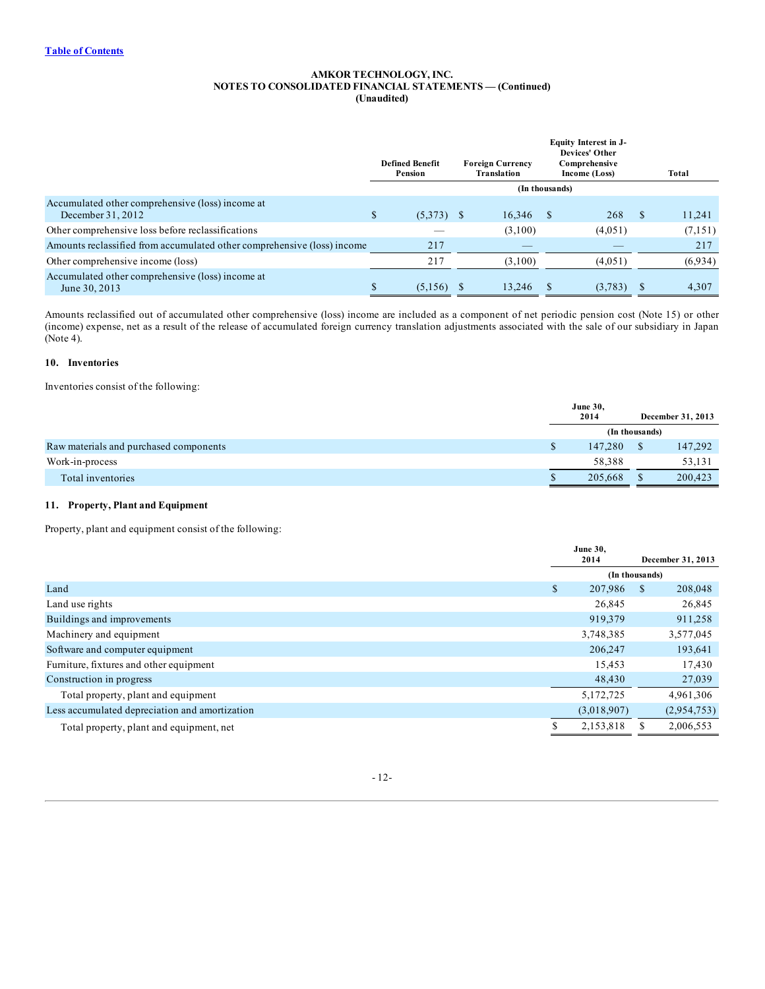|                                                                         | <b>Defined Benefit</b><br><b>Foreign Currency</b><br>Translation<br>Pension |              |  |                |      | <b>Equity Interest in J-</b><br><b>Devices' Other</b><br>Comprehensive<br>Income (Loss) |   | Total   |  |  |
|-------------------------------------------------------------------------|-----------------------------------------------------------------------------|--------------|--|----------------|------|-----------------------------------------------------------------------------------------|---|---------|--|--|
|                                                                         |                                                                             |              |  | (In thousands) |      |                                                                                         |   |         |  |  |
| Accumulated other comprehensive (loss) income at<br>December 31, 2012   | \$                                                                          | $(5,373)$ \$ |  | 16,346         | - \$ | 268                                                                                     | S | 11,241  |  |  |
| Other comprehensive loss before reclassifications                       |                                                                             |              |  | (3,100)        |      | (4,051)                                                                                 |   | (7,151) |  |  |
| Amounts reclassified from accumulated other comprehensive (loss) income |                                                                             | 217          |  | _              |      |                                                                                         |   | 217     |  |  |
| Other comprehensive income (loss)                                       |                                                                             | 217          |  | (3,100)        |      | (4.051)                                                                                 |   | (6,934) |  |  |
| Accumulated other comprehensive (loss) income at<br>June 30, 2013       | S                                                                           | (5,156)      |  | 13.246         |      | (3, 783)                                                                                |   | 4,307   |  |  |

Amounts reclassified out of accumulated other comprehensive (loss) income are included as a component of net periodic pension cost (Note 15) or other (income) expense, net as a result of the release of accumulated foreign currency translation adjustments associated with the sale of our subsidiary in Japan (Note 4).

# **10. Inventories**

Inventories consist of the following:

|                                        | <b>June 30,</b><br>2014 | December 31, 2013 |         |  |
|----------------------------------------|-------------------------|-------------------|---------|--|
|                                        |                         | (In thousands)    |         |  |
| Raw materials and purchased components | 147.280                 |                   | 147,292 |  |
| Work-in-process                        | 58,388                  |                   | 53,131  |  |
| Total inventories                      | 205,668                 |                   | 200,423 |  |

# **11. Property, Plant and Equipment**

Property, plant and equipment consist of the following:

|                                                | <b>June 30,</b> |                |                   |
|------------------------------------------------|-----------------|----------------|-------------------|
|                                                | 2014            |                | December 31, 2013 |
|                                                |                 | (In thousands) |                   |
| Land                                           | \$<br>207,986   | <sup>\$</sup>  | 208,048           |
| Land use rights                                | 26,845          |                | 26,845            |
| Buildings and improvements                     | 919,379         |                | 911,258           |
| Machinery and equipment                        | 3,748,385       |                | 3,577,045         |
| Software and computer equipment                | 206,247         |                | 193,641           |
| Furniture, fixtures and other equipment        | 15,453          |                | 17,430            |
| Construction in progress                       | 48,430          |                | 27,039            |
| Total property, plant and equipment            | 5,172,725       |                | 4,961,306         |
| Less accumulated depreciation and amortization | (3,018,907)     |                | (2,954,753)       |
| Total property, plant and equipment, net       | 2,153,818<br>\$ | S.             | 2.006.553         |

# - 12-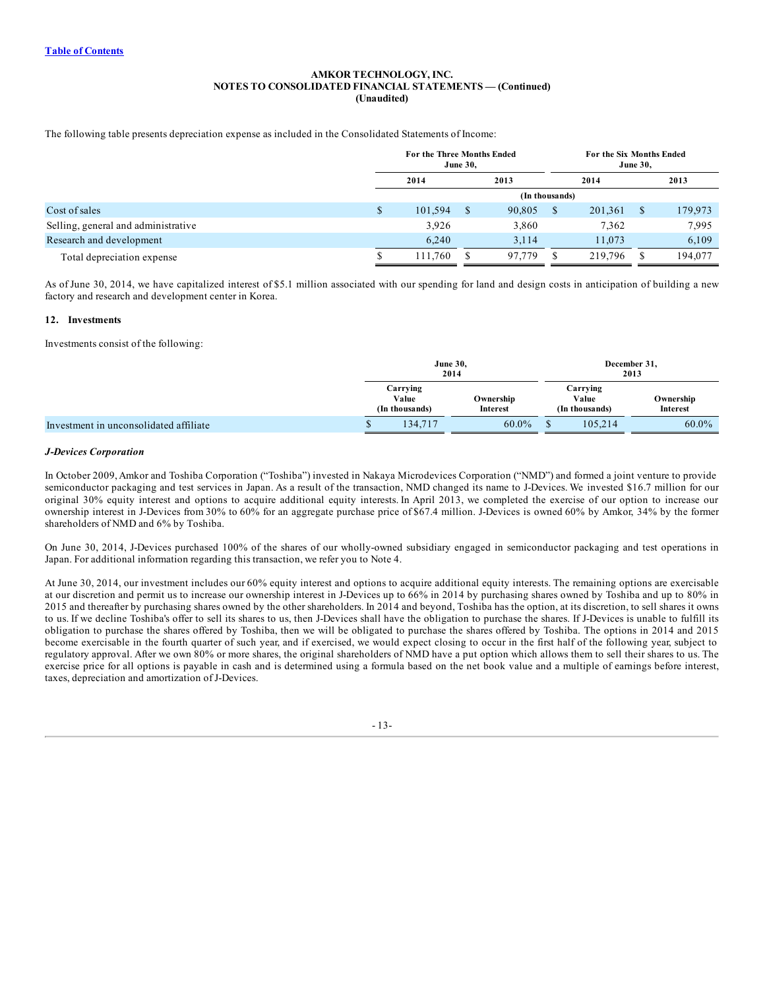The following table presents depreciation expense as included in the Consolidated Statements of Income:

|                                     | <b>For the Three Months Ended</b><br><b>June 30,</b> |     |                |    | For the Six Months Ended<br><b>June 30,</b> |   |         |
|-------------------------------------|------------------------------------------------------|-----|----------------|----|---------------------------------------------|---|---------|
|                                     | 2014                                                 |     | 2013           |    | 2014                                        |   | 2013    |
|                                     |                                                      |     | (In thousands) |    |                                             |   |         |
| Cost of sales                       | 101,594                                              | - S | 90,805         | -S | 201,361                                     | S | 179,973 |
| Selling, general and administrative | 3.926                                                |     | 3,860          |    | 7,362                                       |   | 7.995   |
| Research and development            | 6.240                                                |     | 3.114          |    | 11,073                                      |   | 6,109   |
| Total depreciation expense          | 111,760                                              |     | 97.779         |    | 219,796                                     |   | 194,077 |

As of June 30, 2014, we have capitalized interest of \$5.1 million associated with our spending for land and design costs in anticipation of building a new factory and research and development center in Korea.

#### **12. Investments**

Investments consist of the following:

|                                        |                                     | <b>June 30,</b><br>2014 | December 31,<br>2013                                                |          |  |  |  |
|----------------------------------------|-------------------------------------|-------------------------|---------------------------------------------------------------------|----------|--|--|--|
|                                        | Carrying<br>Value<br>(In thousands) | Ownership<br>Interest   | Carrying<br>Value<br>Ownership<br><b>Interest</b><br>(In thousands) |          |  |  |  |
| Investment in unconsolidated affiliate | 134.717                             | $60.0\%$                | 105.214                                                             | $60.0\%$ |  |  |  |

#### *J-Devices Corporation*

In October 2009, Amkor and Toshiba Corporation ("Toshiba") invested in Nakaya Microdevices Corporation ("NMD") and formed a joint venture to provide semiconductor packaging and test services in Japan. As a result of the transaction, NMD changed its name to J-Devices. We invested \$16.7 million for our original 30% equity interest and options to acquire additional equity interests. In April 2013, we completed the exercise of our option to increase our ownership interest in J-Devices from 30% to 60% for an aggregate purchase price of \$67.4 million. J-Devices is owned 60% by Amkor, 34% by the former shareholders of NMD and 6% by Toshiba.

On June 30, 2014, J-Devices purchased 100% of the shares of our wholly-owned subsidiary engaged in semiconductor packaging and test operations in Japan. For additional information regarding this transaction, we refer you to Note 4.

At June 30, 2014, our investment includes our 60% equity interest and options to acquire additional equity interests. The remaining options are exercisable at our discretion and permit us to increase our ownership interest in J-Devices up to 66% in 2014 by purchasing shares owned by Toshiba and up to 80% in 2015 and thereafter by purchasing shares owned by the other shareholders. In 2014 and beyond, Toshiba has the option, at its discretion, to sell shares it owns to us. If we decline Toshiba's offer to sell its shares to us, then J-Devices shall have the obligation to purchase the shares. If J-Devices is unable to fulfill its obligation to purchase the shares offered by Toshiba, then we will be obligated to purchase the shares offered by Toshiba. The options in 2014 and 2015 become exercisable in the fourth quarter of such year, and if exercised, we would expect closing to occur in the first half of the following year, subject to regulatory approval. After we own 80% or more shares, the original shareholders of NMD have a put option which allows them to sell their shares to us. The exercise price for all options is payable in cash and is determined using a formula based on the net book value and a multiple of earnings before interest, taxes, depreciation and amortization of J-Devices.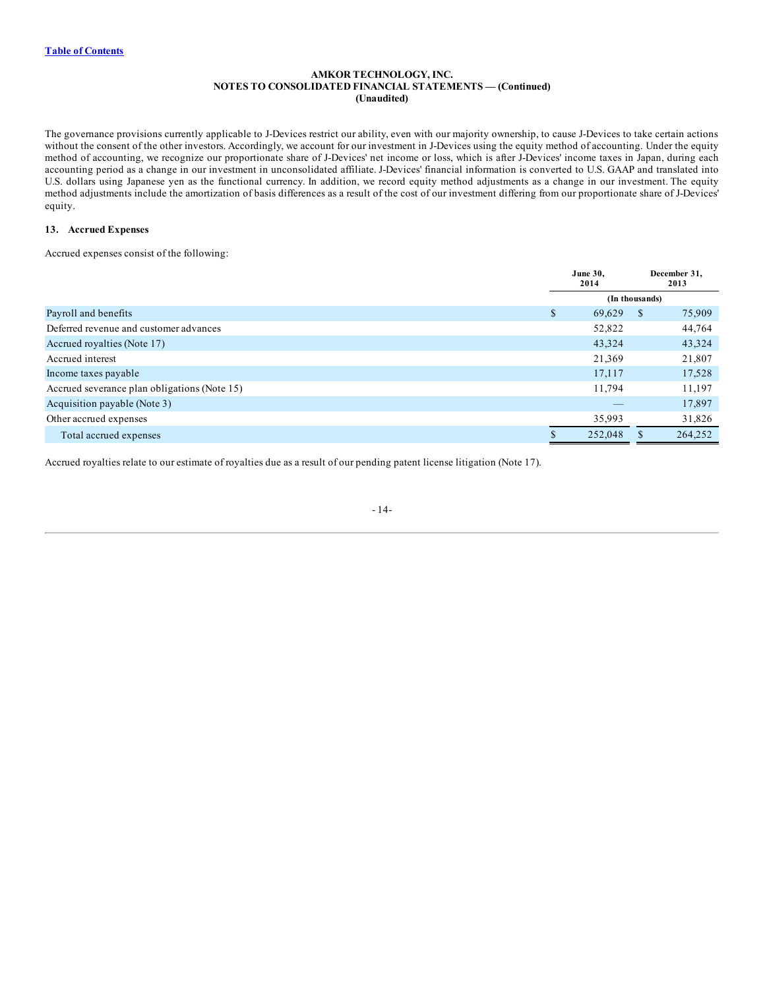The governance provisions currently applicable to J-Devices restrict our ability, even with our majority ownership, to cause J-Devices to take certain actions without the consent of the other investors. Accordingly, we account for our investment in J-Devices using the equity method of accounting. Under the equity method of accounting, we recognize our proportionate share of J-Devices' net income or loss, which is after J-Devices' income taxes in Japan, during each accounting period as a change in our investment in unconsolidated affiliate. J-Devices' financial information is converted to U.S. GAAP and translated into U.S. dollars using Japanese yen as the functional currency. In addition, we record equity method adjustments as a change in our investment. The equity method adjustments include the amortization of basis differences as a result of the cost of our investment differing from our proportionate share of J-Devices' equity.

## **13. Accrued Expenses**

Accrued expenses consist of the following:

| June 30,<br>2014 |               | December 31,<br>2013 |
|------------------|---------------|----------------------|
|                  |               |                      |
| \$<br>69,629     | <sup>\$</sup> | 75,909               |
| 52,822           |               | 44,764               |
| 43,324           |               | 43,324               |
| 21,369           |               | 21,807               |
| 17,117           |               | 17,528               |
| 11,794           |               | 11,197               |
|                  |               | 17,897               |
| 35,993           |               | 31,826               |
| 252,048          |               | 264,252              |
|                  |               | (In thousands)       |

Accrued royalties relate to our estimate of royalties due as a result of our pending patent license litigation (Note 17).

- 14-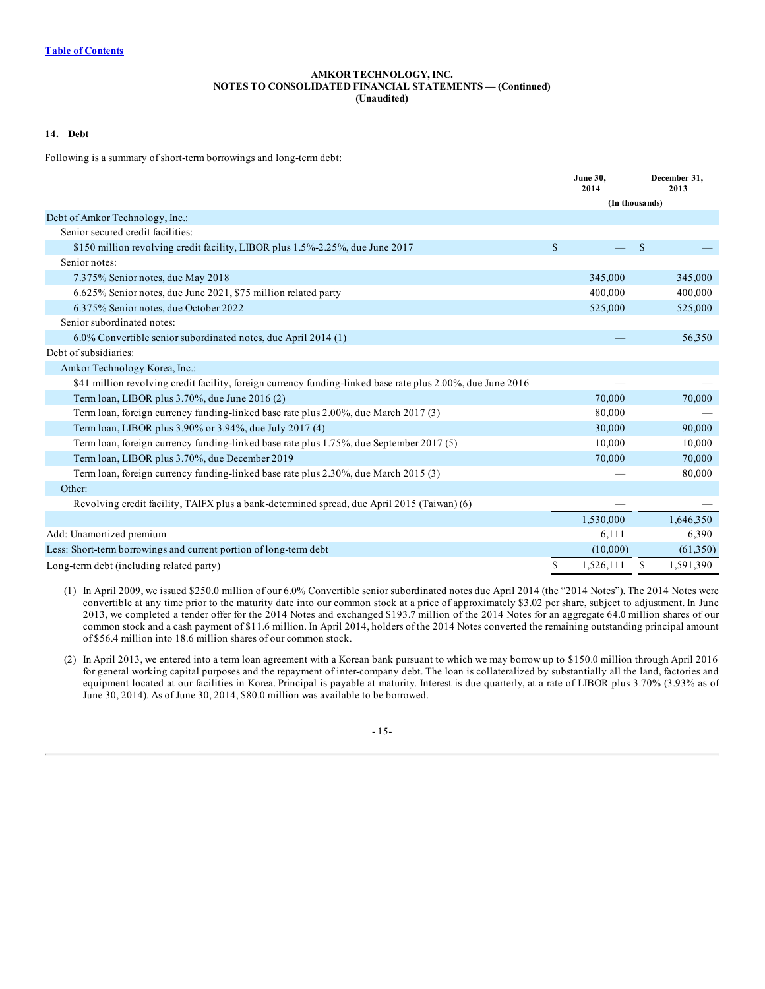#### **14. Debt**

Following is a summary of short-term borrowings and long-term debt:

|                                                                                                             |    | June 30,<br>2014 |               | December 31,<br>2013 |
|-------------------------------------------------------------------------------------------------------------|----|------------------|---------------|----------------------|
|                                                                                                             |    | (In thousands)   |               |                      |
| Debt of Amkor Technology, Inc.:                                                                             |    |                  |               |                      |
| Senior secured credit facilities:                                                                           |    |                  |               |                      |
| \$150 million revolving credit facility, LIBOR plus 1.5%-2.25%, due June 2017                               | \$ |                  | $\mathcal{S}$ |                      |
| Senior notes:                                                                                               |    |                  |               |                      |
| 7.375% Senior notes, due May 2018                                                                           |    | 345,000          |               | 345,000              |
| 6.625% Senior notes, due June 2021, \$75 million related party                                              |    | 400,000          |               | 400,000              |
| 6.375% Senior notes, due October 2022                                                                       |    | 525,000          |               | 525,000              |
| Senior subordinated notes:                                                                                  |    |                  |               |                      |
| 6.0% Convertible senior subordinated notes, due April 2014 (1)                                              |    |                  |               | 56,350               |
| Debt of subsidiaries:                                                                                       |    |                  |               |                      |
| Amkor Technology Korea, Inc.:                                                                               |    |                  |               |                      |
| \$41 million revolving credit facility, foreign currency funding-linked base rate plus 2.00%, due June 2016 |    |                  |               |                      |
| Term loan, LIBOR plus 3.70%, due June 2016 (2)                                                              |    | 70,000           |               | 70,000               |
| Term loan, foreign currency funding-linked base rate plus 2.00%, due March 2017 (3)                         |    | 80,000           |               |                      |
| Term loan, LIBOR plus 3.90% or 3.94%, due July 2017 (4)                                                     |    | 30,000           |               | 90,000               |
| Term loan, foreign currency funding-linked base rate plus 1.75%, due September 2017 (5)                     |    | 10,000           |               | 10,000               |
| Term loan, LIBOR plus 3.70%, due December 2019                                                              |    | 70,000           |               | 70,000               |
| Term loan, foreign currency funding-linked base rate plus 2.30%, due March 2015 (3)                         |    |                  |               | 80,000               |
| Other:                                                                                                      |    |                  |               |                      |
| Revolving credit facility, TAIFX plus a bank-determined spread, due April 2015 (Taiwan) (6)                 |    |                  |               |                      |
|                                                                                                             |    | 1,530,000        |               | 1,646,350            |
| Add: Unamortized premium                                                                                    |    | 6,111            |               | 6,390                |
| Less: Short-term borrowings and current portion of long-term debt                                           |    | (10,000)         |               | (61,350)             |
| Long-term debt (including related party)                                                                    | S  | 1,526,111        | S             | 1,591,390            |

(1) In April 2009, we issued \$250.0 million of our 6.0% Convertible senior subordinated notes due April 2014 (the "2014 Notes"). The 2014 Notes were convertible at any time prior to the maturity date into our common stock at a price of approximately \$3.02 per share, subject to adjustment. In June 2013, we completed a tender offer for the 2014 Notes and exchanged \$193.7 million of the 2014 Notes for an aggregate 64.0 million shares of our common stock and a cash payment of \$11.6 million. In April 2014, holders of the 2014 Notes converted the remaining outstanding principal amount of \$56.4 million into 18.6 million shares of our common stock.

(2) In April 2013, we entered into a term loan agreement with a Korean bank pursuant to which we may borrow up to \$150.0 million through April 2016 for general working capital purposes and the repayment of inter-company debt. The loan is collateralized by substantially all the land, factories and equipment located at our facilities in Korea. Principal is payable at maturity. Interest is due quarterly, at a rate of LIBOR plus 3.70% (3.93% as of June 30, 2014). As of June 30, 2014, \$80.0 million was available to be borrowed.

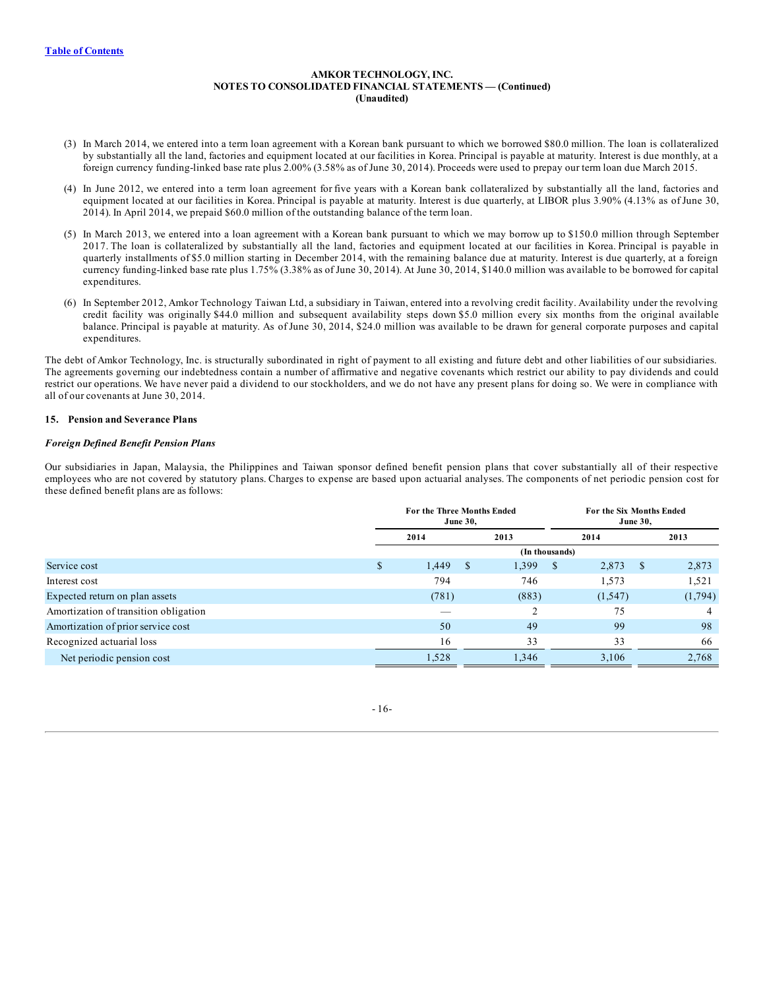- (3) In March 2014, we entered into a term loan agreement with a Korean bank pursuant to which we borrowed \$80.0 million. The loan is collateralized by substantially all the land, factories and equipment located at our facilities in Korea. Principal is payable at maturity. Interest is due monthly, at a foreign currency funding-linked base rate plus 2.00% (3.58% as of June 30, 2014). Proceeds were used to prepay our term loan due March 2015.
- (4) In June 2012, we entered into a term loan agreement for five years with a Korean bank collateralized by substantially all the land, factories and equipment located at our facilities in Korea. Principal is payable at maturity. Interest is due quarterly, at LIBOR plus 3.90% (4.13% as of June 30, 2014). In April 2014, we prepaid \$60.0 million of the outstanding balance of the term loan.
- (5) In March 2013, we entered into a loan agreement with a Korean bank pursuant to which we may borrow up to \$150.0 million through September 2017. The loan is collateralized by substantially all the land, factories and equipment located at our facilities in Korea. Principal is payable in quarterly installments of \$5.0 million starting in December 2014, with the remaining balance due at maturity. Interest is due quarterly, at a foreign currency funding-linked base rate plus 1.75% (3.38% as of June 30, 2014). At June 30, 2014, \$140.0 million was available to be borrowed for capital expenditures.
- (6) In September 2012, Amkor Technology Taiwan Ltd, a subsidiary in Taiwan, entered into a revolving credit facility. Availability under the revolving credit facility was originally \$44.0 million and subsequent availability steps down \$5.0 million every six months from the original available balance. Principal is payable at maturity. As of June 30, 2014, \$24.0 million was available to be drawn for general corporate purposes and capital expenditures.

The debt of Amkor Technology, Inc. is structurally subordinated in right of payment to all existing and future debt and other liabilities of our subsidiaries. The agreements governing our indebtedness contain a number of affirmative and negative covenants which restrict our ability to pay dividends and could restrict our operations. We have never paid a dividend to our stockholders, and we do not have any present plans for doing so. We were in compliance with all of our covenants at June 30, 2014.

# **15. Pension and Severance Plans**

# *Foreign Defined Benefit Pension Plans*

Our subsidiaries in Japan, Malaysia, the Philippines and Taiwan sponsor defined benefit pension plans that cover substantially all of their respective employees who are not covered by statutory plans. Charges to expense are based upon actuarial analyses. The components of net periodic pension cost for these defined benefit plans are as follows:

|                                       | For the Three Months Ended<br><b>June 30,</b> |       |    | For the Six Months Ended<br><b>June 30,</b> |    |          |      |         |
|---------------------------------------|-----------------------------------------------|-------|----|---------------------------------------------|----|----------|------|---------|
|                                       |                                               | 2014  |    | 2013                                        |    | 2014     |      | 2013    |
|                                       |                                               |       |    | (In thousands)                              |    |          |      |         |
| Service cost                          |                                               | 1,449 | -S | 1,399                                       | -S | 2,873    | - \$ | 2,873   |
| Interest cost                         |                                               | 794   |    | 746                                         |    | 1,573    |      | 1,521   |
| Expected return on plan assets        |                                               | (781) |    | (883)                                       |    | (1, 547) |      | (1,794) |
| Amortization of transition obligation |                                               |       |    | 2                                           |    | 75       |      |         |
| Amortization of prior service cost    |                                               | 50    |    | 49                                          |    | 99       |      | 98      |
| Recognized actuarial loss             |                                               | 16    |    | 33                                          |    | 33       |      | 66      |
| Net periodic pension cost             |                                               | 1,528 |    | 1,346                                       |    | 3,106    |      | 2,768   |

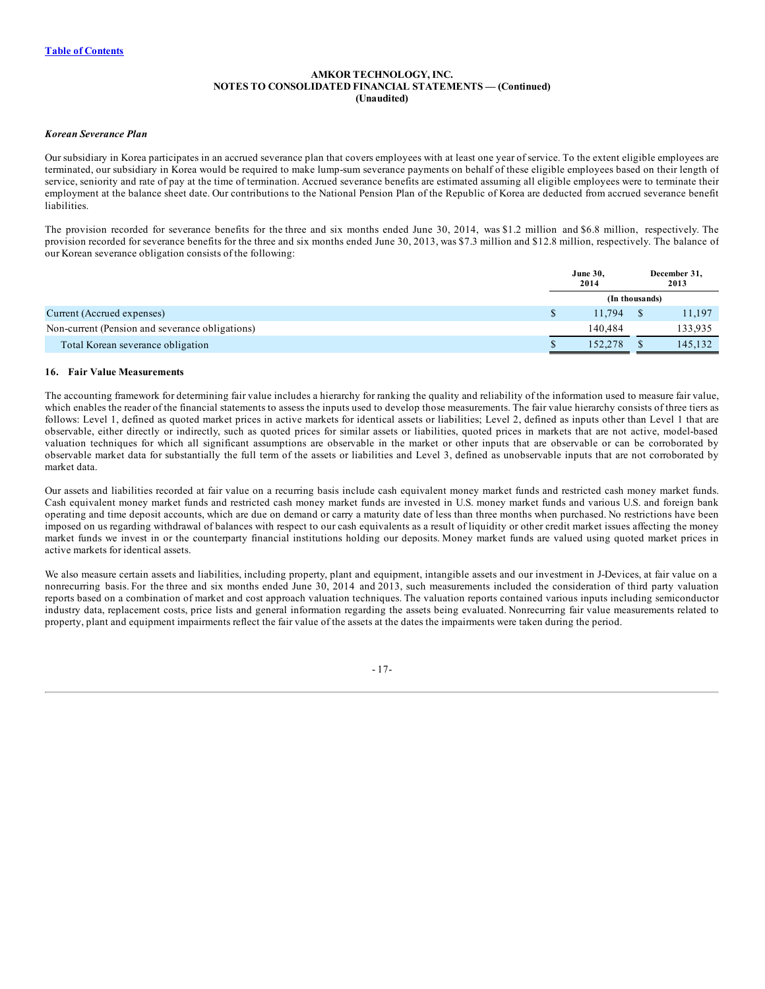#### *Korean Severance Plan*

Our subsidiary in Korea participates in an accrued severance plan that covers employees with at least one year of service. To the extent eligible employees are terminated, our subsidiary in Korea would be required to make lump-sum severance payments on behalf of these eligible employees based on their length of service, seniority and rate of pay at the time of termination. Accrued severance benefits are estimated assuming all eligible employees were to terminate their employment at the balance sheet date. Our contributions to the National Pension Plan of the Republic of Korea are deducted from accrued severance benefit liabilities.

The provision recorded for severance benefits for the three and six months ended June 30, 2014, was \$1.2 million and \$6.8 million, respectively. The provision recorded for severance benefits for the three and six months ended June 30, 2013, was \$7.3 million and \$12.8 million, respectively. The balance of our Korean severance obligation consists of the following:

|                                                 | <b>June 30,</b><br>2014 | December 31,<br>2013 |
|-------------------------------------------------|-------------------------|----------------------|
|                                                 | (In thousands)          |                      |
| Current (Accrued expenses)                      | 11.794                  | 11,197               |
| Non-current (Pension and severance obligations) | 140.484                 | 133,935              |
| Total Korean severance obligation               | 152,278                 | 145,132              |

#### **16. Fair Value Measurements**

The accounting framework for determining fair value includes a hierarchy for ranking the quality and reliability of the information used to measure fair value, which enables the reader of the financial statements to assess the inputs used to develop those measurements. The fair value hierarchy consists of three tiers as follows: Level 1, defined as quoted market prices in active markets for identical assets or liabilities; Level 2, defined as inputs other than Level 1 that are observable, either directly or indirectly, such as quoted prices for similar assets or liabilities, quoted prices in markets that are not active, model-based valuation techniques for which all significant assumptions are observable in the market or other inputs that are observable or can be corroborated by observable market data for substantially the full term of the assets or liabilities and Level 3, defined as unobservable inputs that are not corroborated by market data.

Our assets and liabilities recorded at fair value on a recurring basis include cash equivalent money market funds and restricted cash money market funds. Cash equivalent money market funds and restricted cash money market funds are invested in U.S. money market funds and various U.S. and foreign bank operating and time deposit accounts, which are due on demand or carry a maturity date of less than three months when purchased. No restrictions have been imposed on us regarding withdrawal of balances with respect to our cash equivalents as a result of liquidity or other credit market issues affecting the money market funds we invest in or the counterparty financial institutions holding our deposits. Money market funds are valued using quoted market prices in active markets for identical assets.

We also measure certain assets and liabilities, including property, plant and equipment, intangible assets and our investment in J-Devices, at fair value on a nonrecurring basis. For the three and six months ended June 30, 2014 and 2013, such measurements included the consideration of third party valuation reports based on a combination of market and cost approach valuation techniques. The valuation reports contained various inputs including semiconductor industry data, replacement costs, price lists and general information regarding the assets being evaluated. Nonrecurring fair value measurements related to property, plant and equipment impairments reflect the fair value of the assets at the dates the impairments were taken during the period.

- 17-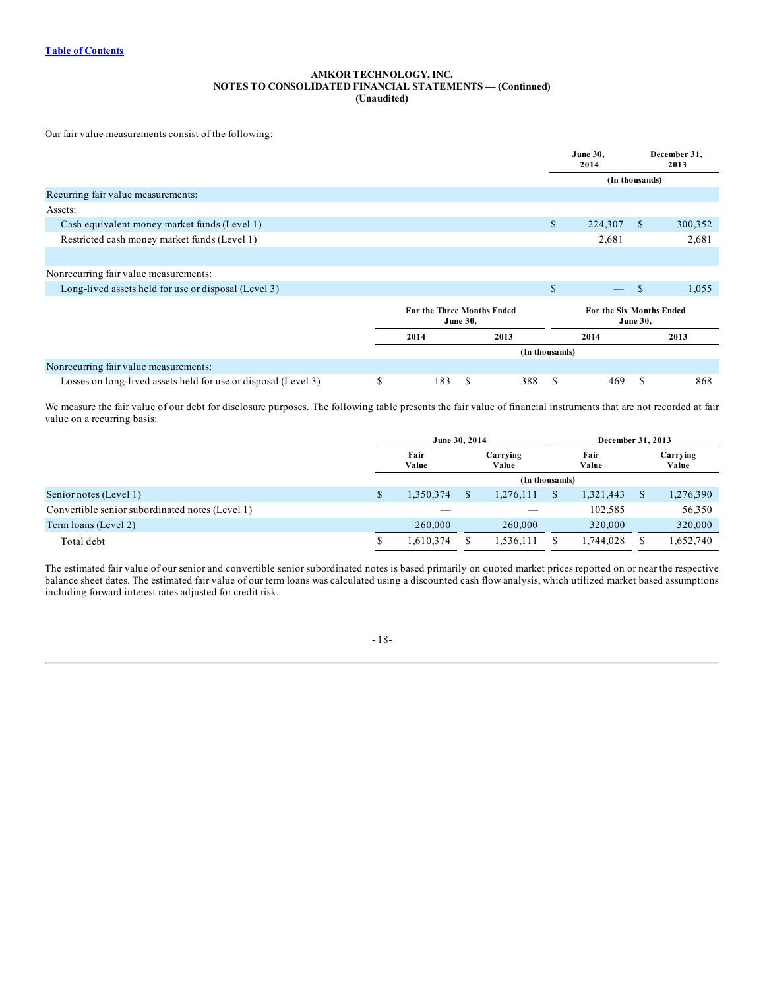Our fair value measurements consist of the following:

|                                                                |                                   |                 |                |              | <b>June 30,</b><br>2014  |                 | December 31,<br>2013 |
|----------------------------------------------------------------|-----------------------------------|-----------------|----------------|--------------|--------------------------|-----------------|----------------------|
|                                                                |                                   |                 |                |              |                          | (In thousands)  |                      |
| Recurring fair value measurements:                             |                                   |                 |                |              |                          |                 |                      |
| Assets:                                                        |                                   |                 |                |              |                          |                 |                      |
| Cash equivalent money market funds (Level 1)                   |                                   |                 |                | $\mathbb{S}$ | 224,307                  | \$              | 300,352              |
| Restricted cash money market funds (Level 1)                   |                                   |                 |                |              | 2,681                    |                 | 2,681                |
|                                                                |                                   |                 |                |              |                          |                 |                      |
| Nonrecurring fair value measurements:                          |                                   |                 |                |              |                          |                 |                      |
| Long-lived assets held for use or disposal (Level 3)           |                                   |                 |                | $\mathbb{S}$ |                          | -S              | 1,055                |
|                                                                | <b>For the Three Months Ended</b> | <b>June 30,</b> |                |              | For the Six Months Ended | <b>June 30,</b> |                      |
|                                                                | 2014                              |                 | 2013           |              | 2014                     |                 | 2013                 |
|                                                                |                                   |                 | (In thousands) |              |                          |                 |                      |
| Nonrecurring fair value measurements:                          |                                   |                 |                |              |                          |                 |                      |
| Losses on long-lived assets held for use or disposal (Level 3) | \$<br>183                         | -S              | 388            | \$.          | 469                      | S               | 868                  |

We measure the fair value of our debt for disclosure purposes. The following table presents the fair value of financial instruments that are not recorded at fair value on a recurring basis:

|                                                 | June 30, 2014 |  |                   |  |               | December 31, 2013 |                   |  |
|-------------------------------------------------|---------------|--|-------------------|--|---------------|-------------------|-------------------|--|
|                                                 | Fair<br>Value |  | Carrying<br>Value |  | Fair<br>Value |                   | Carrying<br>Value |  |
|                                                 |               |  | (In thousands)    |  |               |                   |                   |  |
| Senior notes (Level 1)                          | 1,350,374     |  | 1.276.111         |  | 1,321,443     |                   | 1,276,390         |  |
| Convertible senior subordinated notes (Level 1) |               |  |                   |  | 102,585       |                   | 56,350            |  |
| Term loans (Level 2)                            | 260,000       |  | 260,000           |  | 320,000       |                   | 320,000           |  |
| Total debt                                      | 1,610,374     |  | 1,536,111         |  | 1,744,028     |                   | 1,652,740         |  |

The estimated fair value of our senior and convertible senior subordinated notes is based primarily on quoted market prices reported on or near the respective balance sheet dates. The estimated fair value of our term loans was calculated using a discounted cash flow analysis, which utilized market based assumptions including forward interest rates adjusted for credit risk.

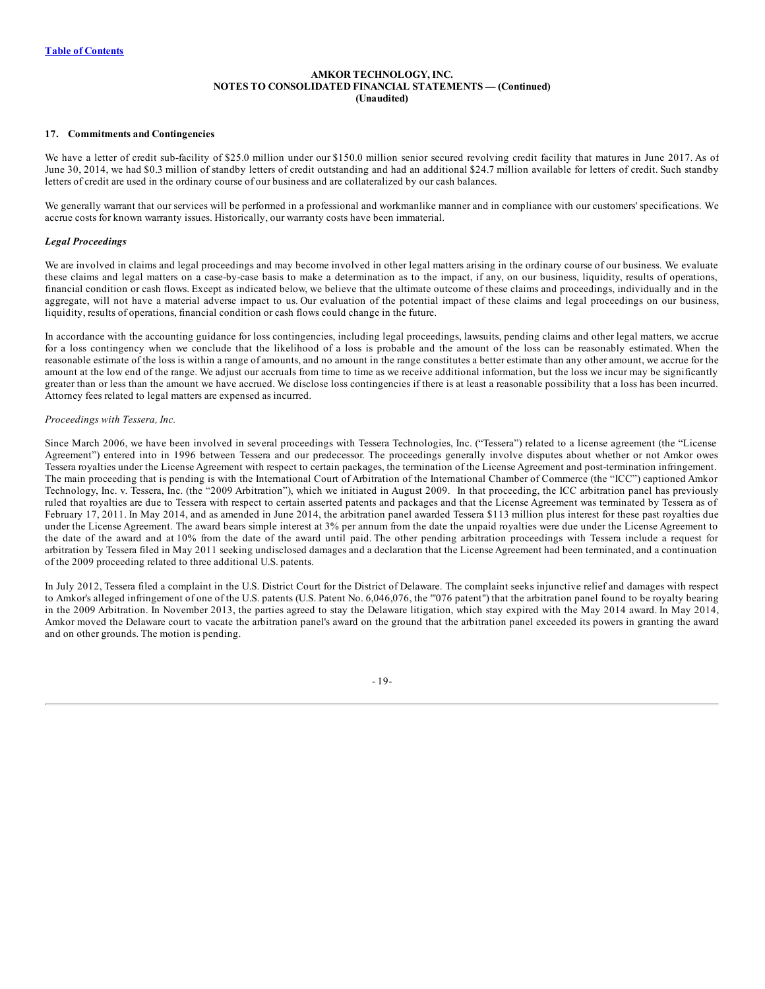#### **17. Commitments and Contingencies**

We have a letter of credit sub-facility of \$25.0 million under our \$150.0 million senior secured revolving credit facility that matures in June 2017. As of June 30, 2014, we had \$0.3 million of standby letters of credit outstanding and had an additional \$24.7 million available for letters of credit. Such standby letters of credit are used in the ordinary course of our business and are collateralized by our cash balances.

We generally warrant that our services will be performed in a professional and workmanlike manner and in compliance with our customers' specifications. We accrue costs for known warranty issues. Historically, our warranty costs have been immaterial.

# *Legal Proceedings*

We are involved in claims and legal proceedings and may become involved in other legal matters arising in the ordinary course of our business. We evaluate these claims and legal matters on a case-by-case basis to make a determination as to the impact, if any, on our business, liquidity, results of operations, financial condition or cash flows. Except as indicated below, we believe that the ultimate outcome of these claims and proceedings, individually and in the aggregate, will not have a material adverse impact to us. Our evaluation of the potential impact of these claims and legal proceedings on our business, liquidity, results of operations, financial condition or cash flows could change in the future.

In accordance with the accounting guidance for loss contingencies, including legal proceedings, lawsuits, pending claims and other legal matters, we accrue for a loss contingency when we conclude that the likelihood of a loss is probable and the amount of the loss can be reasonably estimated. When the reasonable estimate of the loss is within a range of amounts, and no amount in the range constitutes a better estimate than any other amount, we accrue for the amount at the low end of the range. We adjust our accruals from time to time as we receive additional information, but the loss we incur may be significantly greater than or less than the amount we have accrued. We disclose loss contingencies if there is at least a reasonable possibility that a loss has been incurred. Attorney fees related to legal matters are expensed as incurred.

# *Proceedings with Tessera, Inc.*

Since March 2006, we have been involved in several proceedings with Tessera Technologies, Inc. ("Tessera") related to a license agreement (the "License Agreement") entered into in 1996 between Tessera and our predecessor. The proceedings generally involve disputes about whether or not Amkor owes Tessera royalties under the License Agreement with respect to certain packages, the termination of the License Agreement and post-termination infringement. The main proceeding that is pending is with the International Court of Arbitration of the International Chamber of Commerce (the "ICC") captioned Amkor Technology, Inc. v. Tessera, Inc. (the "2009 Arbitration"), which we initiated in August 2009. In that proceeding, the ICC arbitration panel has previously ruled that royalties are due to Tessera with respect to certain asserted patents and packages and that the License Agreement was terminated by Tessera as of February 17, 2011. In May 2014, and as amended in June 2014, the arbitration panel awarded Tessera \$113 million plus interest for these past royalties due under the License Agreement. The award bears simple interest at 3% per annum from the date the unpaid royalties were due under the License Agreement to the date of the award and at 10% from the date of the award until paid. The other pending arbitration proceedings with Tessera include a request for arbitration by Tessera filed in May 2011 seeking undisclosed damages and a declaration that the License Agreement had been terminated, and a continuation of the 2009 proceeding related to three additional U.S. patents.

In July 2012, Tessera filed a complaint in the U.S. District Court for the District of Delaware. The complaint seeks injunctive relief and damages with respect to Amkor's alleged infringement of one of the U.S. patents (U.S. Patent No. 6,046,076, the "'076 patent") that the arbitration panel found to be royalty bearing in the 2009 Arbitration. In November 2013, the parties agreed to stay the Delaware litigation, which stay expired with the May 2014 award. In May 2014, Amkor moved the Delaware court to vacate the arbitration panel's award on the ground that the arbitration panel exceeded its powers in granting the award and on other grounds. The motion is pending.

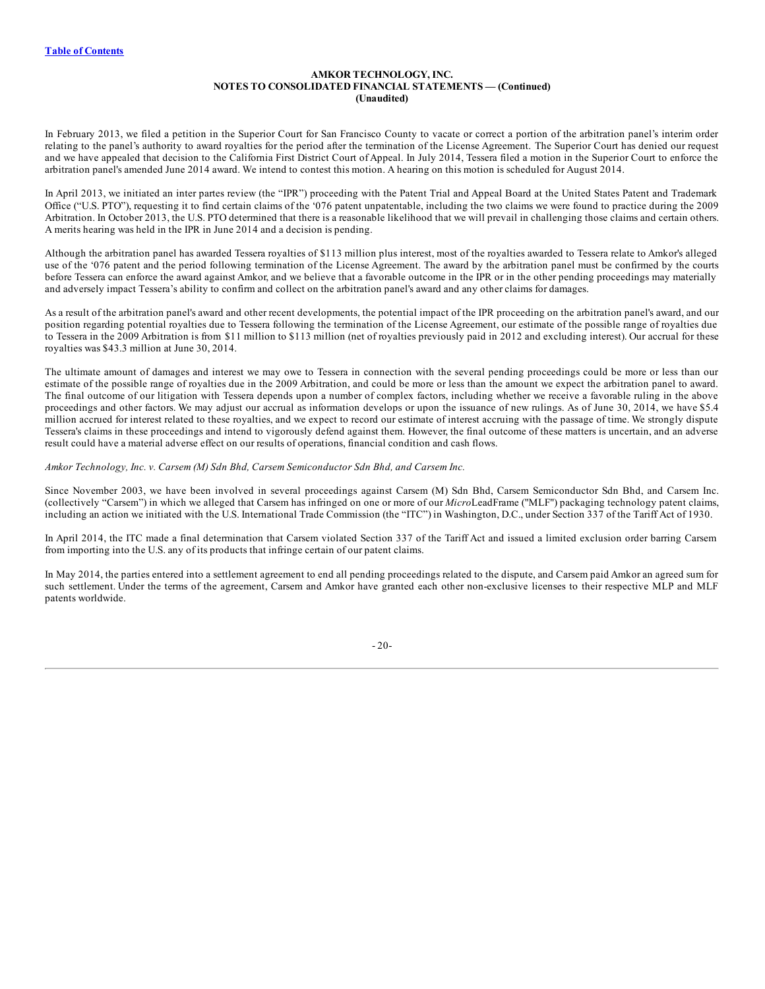In February 2013, we filed a petition in the Superior Court for San Francisco County to vacate or correct a portion of the arbitration panel's interim order relating to the panel's authority to award royalties for the period after the termination of the License Agreement. The Superior Court has denied our request and we have appealed that decision to the California First District Court of Appeal. In July 2014, Tessera filed a motion in the Superior Court to enforce the arbitration panel's amended June 2014 award. We intend to contest this motion. A hearing on this motion is scheduled for August 2014.

In April 2013, we initiated an inter partes review (the "IPR") proceeding with the Patent Trial and Appeal Board at the United States Patent and Trademark Office ("U.S. PTO"), requesting it to find certain claims of the '076 patent unpatentable, including the two claims we were found to practice during the 2009 Arbitration. In October 2013, the U.S. PTO determined that there is a reasonable likelihood that we will prevail in challenging those claims and certain others. A merits hearing was held in the IPR in June 2014 and a decision is pending.

Although the arbitration panel has awarded Tessera royalties of \$113 million plus interest, most of the royalties awarded to Tessera relate to Amkor's alleged use of the '076 patent and the period following termination of the License Agreement. The award by the arbitration panel must be confirmed by the courts before Tessera can enforce the award against Amkor, and we believe that a favorable outcome in the IPR or in the other pending proceedings may materially and adversely impact Tessera's ability to confirm and collect on the arbitration panel's award and any other claims for damages.

As a result of the arbitration panel's award and other recent developments, the potential impact of the IPR proceeding on the arbitration panel's award, and our position regarding potential royalties due to Tessera following the termination of the License Agreement, our estimate of the possible range of royalties due to Tessera in the 2009 Arbitration is from \$11 million to \$113 million (net of royalties previously paid in 2012 and excluding interest). Our accrual for these royalties was \$43.3 million at June 30, 2014.

The ultimate amount of damages and interest we may owe to Tessera in connection with the several pending proceedings could be more or less than our estimate of the possible range of royalties due in the 2009 Arbitration, and could be more or less than the amount we expect the arbitration panel to award. The final outcome of our litigation with Tessera depends upon a number of complex factors, including whether we receive a favorable ruling in the above proceedings and other factors. We may adjust our accrual as information develops or upon the issuance of new rulings. As of June 30, 2014, we have \$5.4 million accrued for interest related to these royalties, and we expect to record our estimate of interest accruing with the passage of time. We strongly dispute Tessera's claims in these proceedings and intend to vigorously defend against them. However, the final outcome of these matters is uncertain, and an adverse result could have a material adverse effect on our results of operations, financial condition and cash flows.

*Amkor Technology, Inc. v. Carsem (M) Sdn Bhd, Carsem Semiconductor Sdn Bhd, and Carsem Inc.*

Since November 2003, we have been involved in several proceedings against Carsem (M) Sdn Bhd, Carsem Semiconductor Sdn Bhd, and Carsem Inc. (collectively "Carsem") in which we alleged that Carsem has infringed on one or more of our *Micro*LeadFrame ("MLF") packaging technology patent claims, including an action we initiated with the U.S. International Trade Commission (the "ITC") in Washington, D.C., under Section 337 of the Tariff Act of 1930.

In April 2014, the ITC made a final determination that Carsem violated Section 337 of the Tariff Act and issued a limited exclusion order barring Carsem from importing into the U.S. any of its products that infringe certain of our patent claims.

In May 2014, the parties entered into a settlement agreement to end all pending proceedings related to the dispute, and Carsem paid Amkor an agreed sum for such settlement. Under the terms of the agreement, Carsem and Amkor have granted each other non-exclusive licenses to their respective MLP and MLF patents worldwide.

- 20-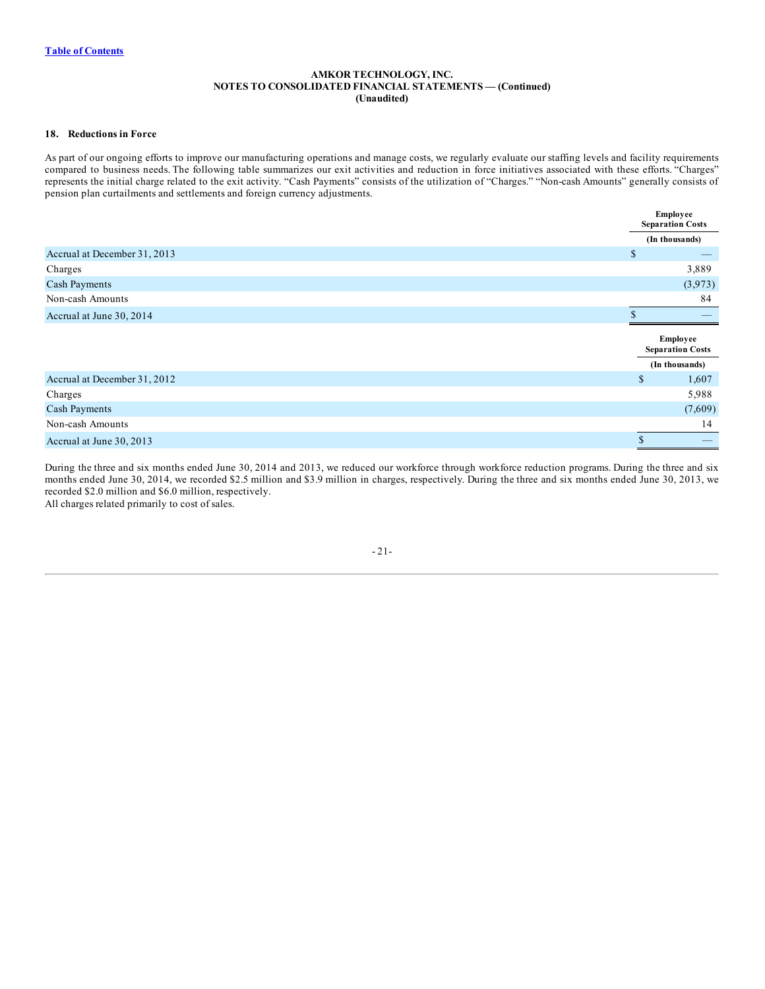#### <span id="page-21-0"></span>**18. Reductions in Force**

As part of our ongoing efforts to improve our manufacturing operations and manage costs, we regularly evaluate our staffing levels and facility requirements compared to business needs. The following table summarizes our exit activities and reduction in force initiatives associated with these efforts. "Charges" represents the initial charge related to the exit activity. "Cash Payments" consists of the utilization of "Charges." "Non-cash Amounts" generally consists of pension plan curtailments and settlements and foreign currency adjustments.

|                              | Employee<br><b>Separation Costs</b> |    |
|------------------------------|-------------------------------------|----|
|                              | (In thousands)                      |    |
| Accrual at December 31, 2013 | \$                                  |    |
| Charges                      | 3,889                               |    |
| <b>Cash Payments</b>         | (3,973)                             |    |
| Non-cash Amounts             |                                     | 84 |
| Accrual at June 30, 2014     |                                     |    |
|                              | Employee<br><b>Separation Costs</b> |    |
|                              | (In thousands)                      |    |
| Accrual at December 31, 2012 | $\mathbb{S}$<br>1,607               |    |
| Charges                      | 5,988                               |    |
| <b>Cash Payments</b>         | (7,609)                             |    |
| Non-cash Amounts             |                                     | 14 |
| Accrual at June 30, 2013     | <sup>\$</sup>                       |    |

During the three and six months ended June 30, 2014 and 2013, we reduced our workforce through workforce reduction programs. During the three and six months ended June 30, 2014, we recorded \$2.5 million and \$3.9 million in charges, respectively. During the three and six months ended June 30, 2013, we recorded \$2.0 million and \$6.0 million, respectively.

All charges related primarily to cost of sales.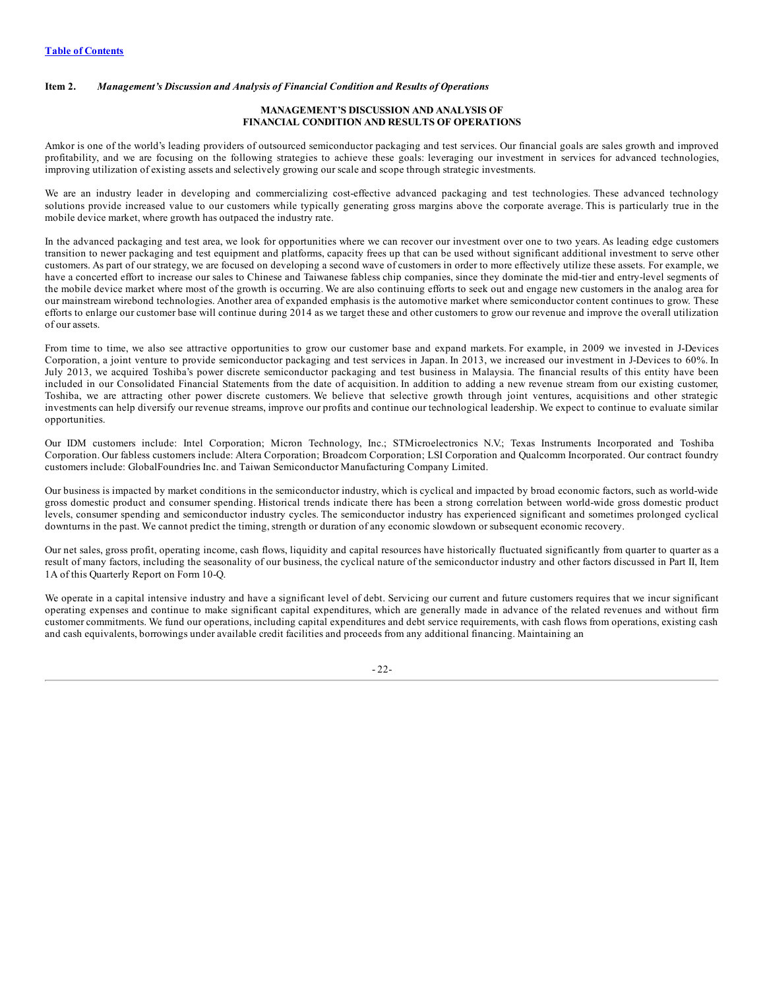# **Item 2.** *Management's Discussion and Analysis of Financial Condition and Results of Operations*

# **MANAGEMENT'S DISCUSSION AND ANALYSIS OF FINANCIAL CONDITION AND RESULTS OF OPERATIONS**

Amkor is one of the world's leading providers of outsourced semiconductor packaging and test services. Our financial goals are sales growth and improved profitability, and we are focusing on the following strategies to achieve these goals: leveraging our investment in services for advanced technologies, improving utilization of existing assets and selectively growing our scale and scope through strategic investments.

We are an industry leader in developing and commercializing cost-effective advanced packaging and test technologies. These advanced technology solutions provide increased value to our customers while typically generating gross margins above the corporate average. This is particularly true in the mobile device market, where growth has outpaced the industry rate.

In the advanced packaging and test area, we look for opportunities where we can recover our investment over one to two years. As leading edge customers transition to newer packaging and test equipment and platforms, capacity frees up that can be used without significant additional investment to serve other customers. As part of our strategy, we are focused on developing a second wave of customers in order to more effectively utilize these assets. For example, we have a concerted effort to increase our sales to Chinese and Taiwanese fabless chip companies, since they dominate the mid-tier and entry-level segments of the mobile device market where most of the growth is occurring. We are also continuing efforts to seek out and engage new customers in the analog area for our mainstream wirebond technologies. Another area of expanded emphasis is the automotive market where semiconductor content continues to grow. These efforts to enlarge our customer base will continue during 2014 as we target these and other customers to grow our revenue and improve the overall utilization of our assets.

From time to time, we also see attractive opportunities to grow our customer base and expand markets. For example, in 2009 we invested in J-Devices Corporation, a joint venture to provide semiconductor packaging and test services in Japan. In 2013, we increased our investment in J-Devices to 60%. In July 2013, we acquired Toshiba's power discrete semiconductor packaging and test business in Malaysia. The financial results of this entity have been included in our Consolidated Financial Statements from the date of acquisition. In addition to adding a new revenue stream from our existing customer, Toshiba, we are attracting other power discrete customers. We believe that selective growth through joint ventures, acquisitions and other strategic investments can help diversify our revenue streams, improve our profits and continue our technological leadership. We expect to continue to evaluate similar opportunities.

Our IDM customers include: Intel Corporation; Micron Technology, Inc.; STMicroelectronics N.V.; Texas Instruments Incorporated and Toshiba Corporation. Our fabless customers include: Altera Corporation; Broadcom Corporation; LSI Corporation and Qualcomm Incorporated. Our contract foundry customers include: GlobalFoundries Inc. and Taiwan Semiconductor Manufacturing Company Limited.

Our business is impacted by market conditions in the semiconductor industry, which is cyclical and impacted by broad economic factors, such as world-wide gross domestic product and consumer spending. Historical trends indicate there has been a strong correlation between world-wide gross domestic product levels, consumer spending and semiconductor industry cycles. The semiconductor industry has experienced significant and sometimes prolonged cyclical downturns in the past. We cannot predict the timing, strength or duration of any economic slowdown or subsequent economic recovery.

Our net sales, gross profit, operating income, cash flows, liquidity and capital resources have historically fluctuated significantly from quarter to quarter as a result of many factors, including the seasonality of our business, the cyclical nature of the semiconductor industry and other factors discussed in Part II, Item 1A of this Quarterly Report on Form 10-Q.

We operate in a capital intensive industry and have a significant level of debt. Servicing our current and future customers requires that we incur significant operating expenses and continue to make significant capital expenditures, which are generally made in advance of the related revenues and without firm customer commitments. We fund our operations, including capital expenditures and debt service requirements, with cash flows from operations, existing cash and cash equivalents, borrowings under available credit facilities and proceeds from any additional financing. Maintaining an

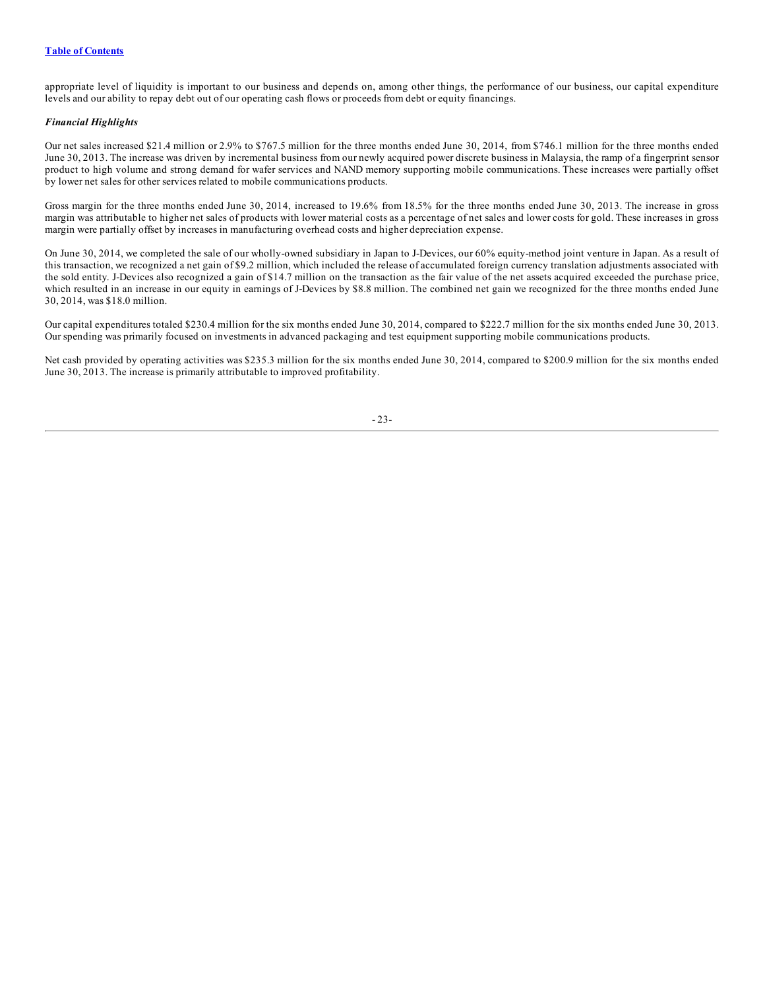appropriate level of liquidity is important to our business and depends on, among other things, the performance of our business, our capital expenditure levels and our ability to repay debt out of our operating cash flows or proceeds from debt or equity financings.

# *Financial Highlights*

Our net sales increased \$21.4 million or 2.9% to \$767.5 million for the three months ended June 30, 2014, from \$746.1 million for the three months ended June 30, 2013. The increase was driven by incremental business from our newly acquired power discrete business in Malaysia, the ramp of a fingerprint sensor product to high volume and strong demand for wafer services and NAND memory supporting mobile communications. These increases were partially offset by lower net sales for other services related to mobile communications products.

Gross margin for the three months ended June 30, 2014, increased to 19.6% from 18.5% for the three months ended June 30, 2013. The increase in gross margin was attributable to higher net sales of products with lower material costs as a percentage of net sales and lower costs for gold. These increases in gross margin were partially offset by increases in manufacturing overhead costs and higher depreciation expense.

On June 30, 2014, we completed the sale of our wholly-owned subsidiary in Japan to J-Devices, our 60% equity-method joint venture in Japan. As a result of this transaction, we recognized a net gain of \$9.2 million, which included the release of accumulated foreign currency translation adjustments associated with the sold entity. J-Devices also recognized a gain of \$14.7 million on the transaction as the fair value of the net assets acquired exceeded the purchase price, which resulted in an increase in our equity in earnings of J-Devices by \$8.8 million. The combined net gain we recognized for the three months ended June 30, 2014, was \$18.0 million.

Our capital expenditures totaled \$230.4 million for the six months ended June 30, 2014, compared to \$222.7 million for the six months ended June 30, 2013. Our spending was primarily focused on investments in advanced packaging and test equipment supporting mobile communications products.

Net cash provided by operating activities was \$235.3 million for the six months ended June 30, 2014, compared to \$200.9 million for the six months ended June 30, 2013. The increase is primarily attributable to improved profitability.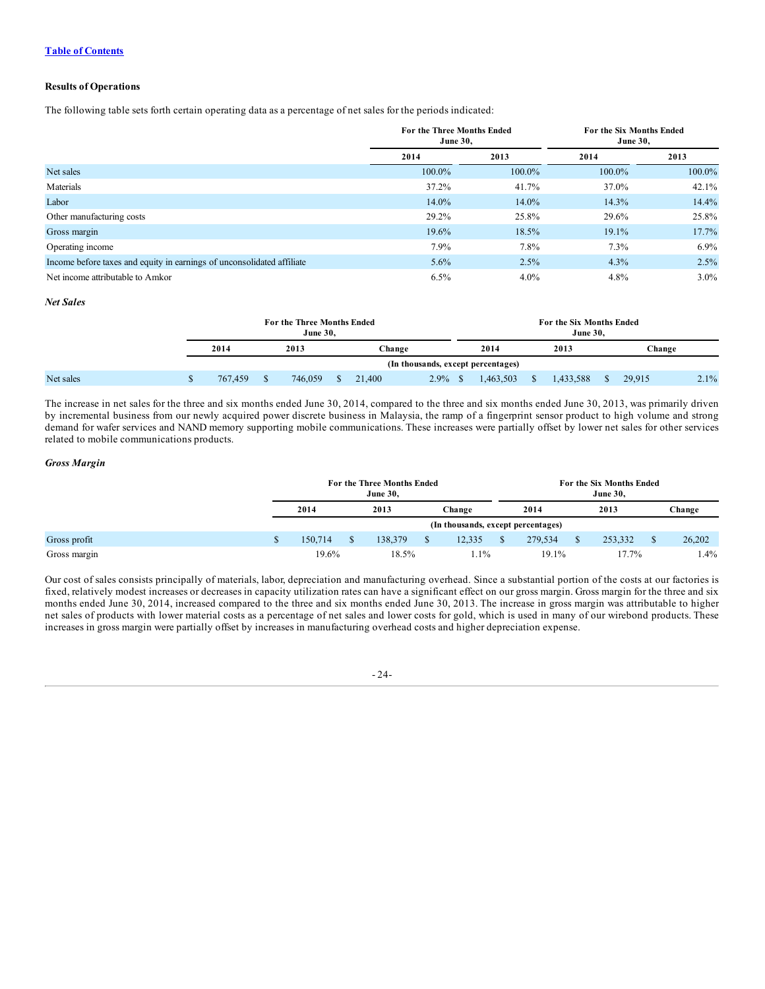# **Results of Operations**

The following table sets forth certain operating data as a percentage of net sales for the periods indicated:

|                                                                        | For the Three Months Ended<br><b>June 30,</b> |           | For the Six Months Ended<br><b>June 30,</b> |         |
|------------------------------------------------------------------------|-----------------------------------------------|-----------|---------------------------------------------|---------|
|                                                                        | 2014                                          | 2013      | 2014                                        | 2013    |
| Net sales                                                              | 100.0%                                        | $100.0\%$ | 100.0%                                      | 100.0%  |
| Materials                                                              | 37.2%                                         | 41.7%     | 37.0%                                       | 42.1%   |
| Labor                                                                  | 14.0%                                         | $14.0\%$  | 14.3%                                       | 14.4%   |
| Other manufacturing costs                                              | $29.2\%$                                      | 25.8%     | 29.6%                                       | 25.8%   |
| Gross margin                                                           | 19.6%                                         | 18.5%     | 19.1%                                       | 17.7%   |
| Operating income                                                       | 7.9%                                          | 7.8%      | 7.3%                                        | $6.9\%$ |
| Income before taxes and equity in earnings of unconsolidated affiliate | $5.6\%$                                       | $2.5\%$   | 4.3%                                        | 2.5%    |
| Net income attributable to Amkor                                       | $6.5\%$                                       | $4.0\%$   | 4.8%                                        | $3.0\%$ |

# *Net Sales*

|           |                        |  | For the Three Months Ended<br><b>June 30.</b> |  |        |                                    |           | For the Six Months Ended<br><b>June 30.</b> |        |      |
|-----------|------------------------|--|-----------------------------------------------|--|--------|------------------------------------|-----------|---------------------------------------------|--------|------|
|           | 2014<br>2013<br>Change |  |                                               |  |        |                                    | 2014      | 2013                                        | Change |      |
|           |                        |  |                                               |  |        | (In thousands, except percentages) |           |                                             |        |      |
| Net sales | 767,459                |  | 746,059                                       |  | 21,400 | 2.9%                               | 1.463.503 | 1.433.588                                   | 29.915 | 2.1% |

The increase in net sales for the three and six months ended June 30, 2014, compared to the three and six months ended June 30, 2013, was primarily driven by incremental business from our newly acquired power discrete business in Malaysia, the ramp of a fingerprint sensor product to high volume and strong demand for wafer services and NAND memory supporting mobile communications. These increases were partially offset by lower net sales for other services related to mobile communications products.

#### *Gross Margin*

|              |  |         | For the Three Months Ended<br><b>June 30.</b> |                                    |         | For the Six Months Ended |  |         |
|--------------|--|---------|-----------------------------------------------|------------------------------------|---------|--------------------------|--|---------|
|              |  | 2014    | 2013                                          | Change                             | 2014    | 2013                     |  | Change  |
|              |  |         |                                               | (In thousands, except percentages) |         |                          |  |         |
| Gross profit |  | 150.714 | 138,379                                       | 12,335                             | 279,534 | 253,332                  |  | 26,202  |
| Gross margin |  | 19.6%   | 18.5%                                         | $1.1\%$                            | 19.1%   | 17.7%                    |  | $1.4\%$ |

Our cost of sales consists principally of materials, labor, depreciation and manufacturing overhead. Since a substantial portion of the costs at our factories is fixed, relatively modest increases or decreases in capacity utilization rates can have a significant effect on our gross margin. Gross margin for the three and six months ended June 30, 2014, increased compared to the three and six months ended June 30, 2013. The increase in gross margin was attributable to higher net sales of products with lower material costs as a percentage of net sales and lower costs for gold, which is used in many of our wirebond products. These increases in gross margin were partially offset by increases in manufacturing overhead costs and higher depreciation expense.

- 24-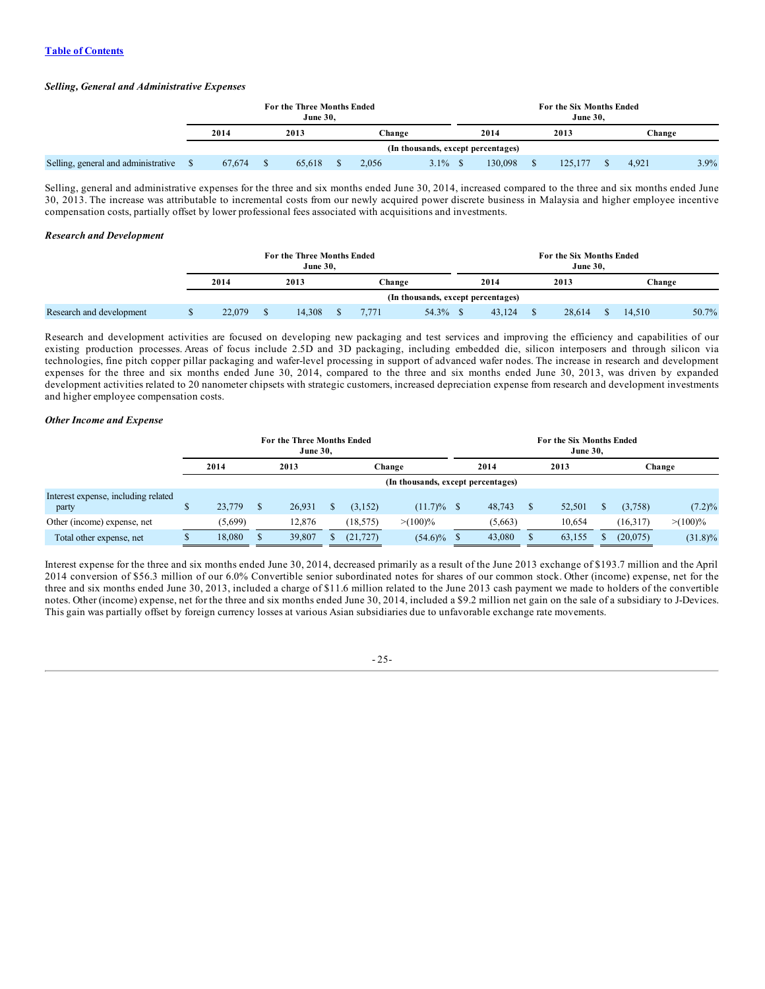# *Selling, General and Administrative Expenses*

|                                     |        | For the Three Months Ended<br><b>June 30,</b> |        |                                    |                        |         |  | For the Six Months Ended<br><b>June 30,</b> |  |       |      |
|-------------------------------------|--------|-----------------------------------------------|--------|------------------------------------|------------------------|---------|--|---------------------------------------------|--|-------|------|
|                                     | 2014   | 2013                                          | Change |                                    | 2014<br>2013<br>Change |         |  |                                             |  |       |      |
|                                     |        |                                               |        | (In thousands, except percentages) |                        |         |  |                                             |  |       |      |
| Selling, general and administrative | 67.674 | 65.618                                        | 2.056  | $3.1\%$ \$                         |                        | 130,098 |  | 125,177                                     |  | 4.921 | 3.9% |

Selling, general and administrative expenses for the three and six months ended June 30, 2014, increased compared to the three and six months ended June 30, 2013. The increase was attributable to incremental costs from our newly acquired power discrete business in Malaysia and higher employee incentive compensation costs, partially offset by lower professional fees associated with acquisitions and investments.

# *Research and Development*

|                          |        |   | For the Three Months Ended<br><b>June 30,</b> |       |                                    |        | For the Six Months Ended<br><b>June 30.</b> |        |       |
|--------------------------|--------|---|-----------------------------------------------|-------|------------------------------------|--------|---------------------------------------------|--------|-------|
|                          | 2014   |   | 2013                                          |       | Change                             | 2014   | 2013                                        | Change |       |
|                          |        |   |                                               |       | (In thousands, except percentages) |        |                                             |        |       |
| Research and development | 22,079 | Φ | 14.308                                        | 7.771 | 54.3%                              | 43.124 | 28.614                                      | 14.510 | 50.7% |

Research and development activities are focused on developing new packaging and test services and improving the efficiency and capabilities of our existing production processes. Areas of focus include 2.5D and 3D packaging, including embedded die, silicon interposers and through silicon via technologies, fine pitch copper pillar packaging and wafer-level processing in support of advanced wafer nodes. The increase in research and development expenses for the three and six months ended June 30, 2014, compared to the three and six months ended June 30, 2013, was driven by expanded development activities related to 20 nanometer chipsets with strategic customers, increased depreciation expense from research and development investments and higher employee compensation costs.

#### *Other Income and Expense*

|                                     |         | For the Three Months Ended<br><b>June 30,</b> |           |                                    | For the Six Months Ended<br><b>June 30,</b> |         |  |        |  |          |            |  |  |
|-------------------------------------|---------|-----------------------------------------------|-----------|------------------------------------|---------------------------------------------|---------|--|--------|--|----------|------------|--|--|
|                                     | 2014    | 2013                                          |           | Change                             |                                             | 2014    |  | 2013   |  |          | Change     |  |  |
|                                     |         |                                               |           | (In thousands, except percentages) |                                             |         |  |        |  |          |            |  |  |
| Interest expense, including related |         |                                               |           |                                    |                                             |         |  |        |  |          |            |  |  |
| party                               | 23,779  | 26,931                                        | (3,152)   | $(11.7)\%$ \$                      |                                             | 48.743  |  | 52.501 |  | (3,758)  | $(7.2)\%$  |  |  |
| Other (income) expense, net         | (5,699) | 12.876                                        | (18, 575) | $>(100)\%$                         |                                             | (5,663) |  | 10.654 |  | (16,317) | $>(100)\%$ |  |  |
| Total other expense, net            | 18.080  | 39,807                                        | (21, 727) | $(54.6)\%$ \$                      |                                             | 43,080  |  | 63,155 |  | (20,075) | $(31.8)\%$ |  |  |

Interest expense for the three and six months ended June 30, 2014, decreased primarily as a result of the June 2013 exchange of \$193.7 million and the April 2014 conversion of \$56.3 million of our 6.0% Convertible senior subordinated notes for shares of our common stock. Other (income) expense, net for the three and six months ended June 30, 2013, included a charge of \$11.6 million related to the June 2013 cash payment we made to holders of the convertible notes. Other (income) expense, net for the three and six months ended June 30, 2014, included a \$9.2 million net gain on the sale of a subsidiary to J-Devices. This gain was partially offset by foreign currency losses at various Asian subsidiaries due to unfavorable exchange rate movements.

- 25-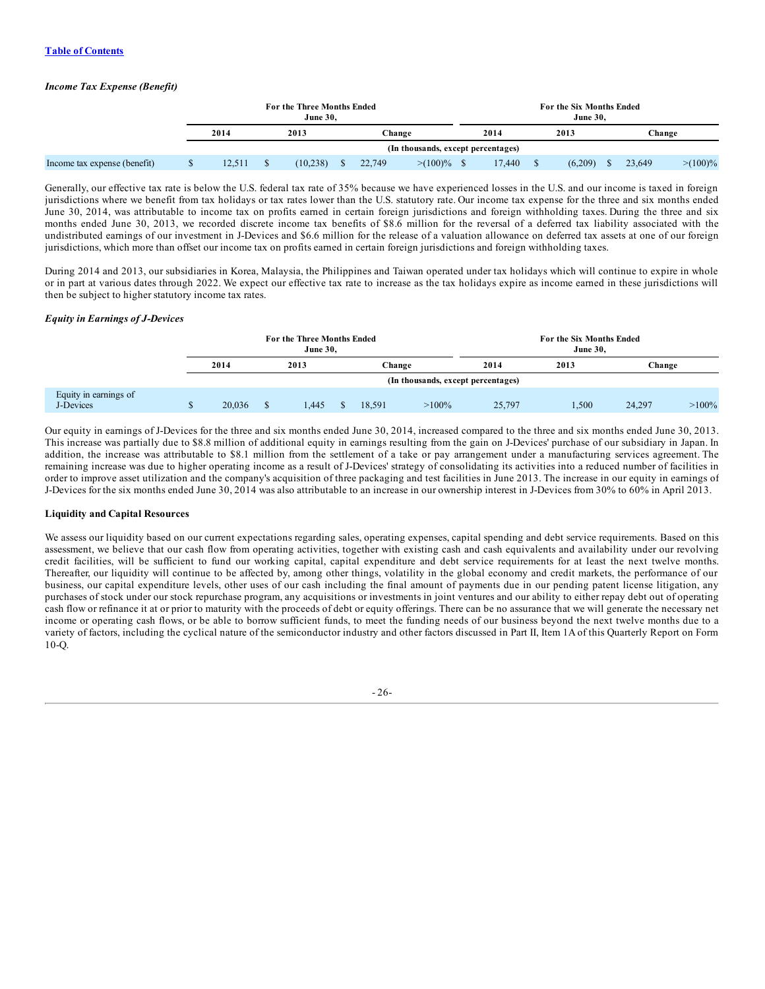# *Income Tax Expense (Benefit)*

|                              |              |  | For the Three Months Ended<br><b>June 30.</b> |  |        |                                    |        |      | For the Six Months Ended<br><b>June 30.</b> |        |            |
|------------------------------|--------------|--|-----------------------------------------------|--|--------|------------------------------------|--------|------|---------------------------------------------|--------|------------|
|                              | 2014<br>2013 |  |                                               |  |        | Change                             | 2014   | 2013 | Change                                      |        |            |
|                              |              |  |                                               |  |        | (In thousands, except percentages) |        |      |                                             |        |            |
| Income tax expense (benefit) | 12.511       |  | (10, 238)                                     |  | 22,749 | $> (100)\%$ \$                     | 17.440 |      | (6,209)                                     | 23,649 | $>(100)\%$ |

Generally, our effective tax rate is below the U.S. federal tax rate of 35% because we have experienced losses in the U.S. and our income is taxed in foreign jurisdictions where we benefit from tax holidays or tax rates lower than the U.S. statutory rate. Our income tax expense for the three and six months ended June 30, 2014, was attributable to income tax on profits earned in certain foreign jurisdictions and foreign withholding taxes. During the three and six months ended June 30, 2013, we recorded discrete income tax benefits of \$8.6 million for the reversal of a deferred tax liability associated with the undistributed earnings of our investment in J-Devices and \$6.6 million for the release of a valuation allowance on deferred tax assets at one of our foreign jurisdictions, which more than offset our income tax on profits earned in certain foreign jurisdictions and foreign withholding taxes.

During 2014 and 2013, our subsidiaries in Korea, Malaysia, the Philippines and Taiwan operated under tax holidays which will continue to expire in whole or in part at various dates through 2022. We expect our effective tax rate to increase as the tax holidays expire as income earned in these jurisdictions will then be subject to higher statutory income tax rates.

# *Equity in Earnings of J-Devices*

|                                    |        |   | For the Three Months Ended<br><b>June 30.</b> |        |                                    | For the Six Months Ended<br><b>June 30.</b> |       |        |          |  |  |  |
|------------------------------------|--------|---|-----------------------------------------------|--------|------------------------------------|---------------------------------------------|-------|--------|----------|--|--|--|
|                                    | 2014   |   | 2013                                          | Change |                                    | 2014                                        | 2013  | Change |          |  |  |  |
|                                    |        |   |                                               |        | (In thousands, except percentages) |                                             |       |        |          |  |  |  |
| Equity in earnings of<br>J-Devices | 20,036 | S | l.445                                         | 18.591 | $>100\%$                           | 25,797                                      | .,500 | 24.297 | $>100\%$ |  |  |  |

Our equity in earnings of J-Devices for the three and six months ended June 30, 2014, increased compared to the three and six months ended June 30, 2013. This increase was partially due to \$8.8 million of additional equity in earnings resulting from the gain on J-Devices' purchase of our subsidiary in Japan. In addition, the increase was attributable to \$8.1 million from the settlement of a take or pay arrangement under a manufacturing services agreement. The remaining increase was due to higher operating income as a result of J-Devices' strategy of consolidating its activities into a reduced number of facilities in order to improve asset utilization and the company's acquisition of three packaging and test facilities in June 2013. The increase in our equity in earnings of J-Devices for the six months ended June 30, 2014 was also attributable to an increase in our ownership interest in J-Devices from 30% to 60% in April 2013.

#### **Liquidity and Capital Resources**

We assess our liquidity based on our current expectations regarding sales, operating expenses, capital spending and debt service requirements. Based on this assessment, we believe that our cash flow from operating activities, together with existing cash and cash equivalents and availability under our revolving credit facilities, will be sufficient to fund our working capital, capital expenditure and debt service requirements for at least the next twelve months. Thereafter, our liquidity will continue to be affected by, among other things, volatility in the global economy and credit markets, the performance of our business, our capital expenditure levels, other uses of our cash including the final amount of payments due in our pending patent license litigation, any purchases of stock under our stock repurchase program, any acquisitions or investments in joint ventures and our ability to either repay debt out of operating cash flow or refinance it at or prior to maturity with the proceeds of debt or equity offerings. There can be no assurance that we will generate the necessary net income or operating cash flows, or be able to borrow sufficient funds, to meet the funding needs of our business beyond the next twelve months due to a variety of factors, including the cyclical nature of the semiconductor industry and other factors discussed in Part II, Item 1A of this Quarterly Report on Form 10-Q.

- 26-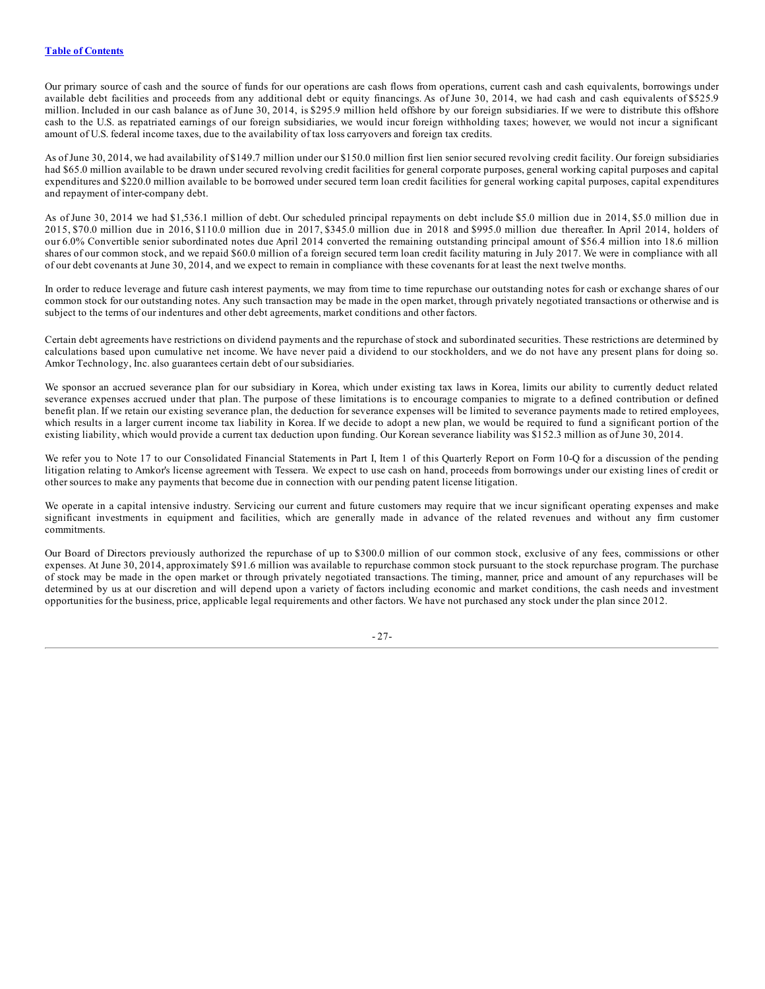Our primary source of cash and the source of funds for our operations are cash flows from operations, current cash and cash equivalents, borrowings under available debt facilities and proceeds from any additional debt or equity financings. As of June 30, 2014, we had cash and cash equivalents of \$525.9 million. Included in our cash balance as of June 30, 2014, is \$295.9 million held offshore by our foreign subsidiaries. If we were to distribute this offshore cash to the U.S. as repatriated earnings of our foreign subsidiaries, we would incur foreign withholding taxes; however, we would not incur a significant amount of U.S. federal income taxes, due to the availability of tax loss carryovers and foreign tax credits.

As of June 30, 2014, we had availability of \$149.7 million under our \$150.0 million first lien senior secured revolving credit facility. Our foreign subsidiaries had \$65.0 million available to be drawn under secured revolving credit facilities for general corporate purposes, general working capital purposes and capital expenditures and \$220.0 million available to be borrowed under secured term loan credit facilities for general working capital purposes, capital expenditures and repayment of inter-company debt.

As of June 30, 2014 we had \$1,536.1 million of debt. Our scheduled principal repayments on debt include \$5.0 million due in 2014, \$5.0 million due in 2015, \$70.0 million due in 2016, \$110.0 million due in 2017, \$345.0 million due in 2018 and \$995.0 million due thereafter. In April 2014, holders of our 6.0% Convertible senior subordinated notes due April 2014 converted the remaining outstanding principal amount of \$56.4 million into 18.6 million shares of our common stock, and we repaid \$60.0 million of a foreign secured term loan credit facility maturing in July 2017. We were in compliance with all of our debt covenants at June 30, 2014, and we expect to remain in compliance with these covenants for at least the next twelve months.

In order to reduce leverage and future cash interest payments, we may from time to time repurchase our outstanding notes for cash or exchange shares of our common stock for our outstanding notes. Any such transaction may be made in the open market, through privately negotiated transactions or otherwise and is subject to the terms of our indentures and other debt agreements, market conditions and other factors.

Certain debt agreements have restrictions on dividend payments and the repurchase of stock and subordinated securities. These restrictions are determined by calculations based upon cumulative net income. We have never paid a dividend to our stockholders, and we do not have any present plans for doing so. Amkor Technology, Inc. also guarantees certain debt of our subsidiaries.

We sponsor an accrued severance plan for our subsidiary in Korea, which under existing tax laws in Korea, limits our ability to currently deduct related severance expenses accrued under that plan. The purpose of these limitations is to encourage companies to migrate to a defined contribution or defined benefit plan. If we retain our existing severance plan, the deduction for severance expenses will be limited to severance payments made to retired employees, which results in a larger current income tax liability in Korea. If we decide to adopt a new plan, we would be required to fund a significant portion of the existing liability, which would provide a current tax deduction upon funding. Our Korean severance liability was \$152.3 million as of June 30, 2014.

We refer you to Note 17 to our Consolidated Financial Statements in Part I, Item 1 of this Quarterly Report on Form 10-Q for a discussion of the pending litigation relating to Amkor's license agreement with Tessera. We expect to use cash on hand, proceeds from borrowings under our existing lines of credit or other sources to make any payments that become due in connection with our pending patent license litigation.

We operate in a capital intensive industry. Servicing our current and future customers may require that we incur significant operating expenses and make significant investments in equipment and facilities, which are generally made in advance of the related revenues and without any firm customer commitments.

Our Board of Directors previously authorized the repurchase of up to \$300.0 million of our common stock, exclusive of any fees, commissions or other expenses. At June 30, 2014, approximately \$91.6 million was available to repurchase common stock pursuant to the stock repurchase program. The purchase of stock may be made in the open market or through privately negotiated transactions. The timing, manner, price and amount of any repurchases will be determined by us at our discretion and will depend upon a variety of factors including economic and market conditions, the cash needs and investment opportunities for the business, price, applicable legal requirements and other factors. We have not purchased any stock under the plan since 2012.

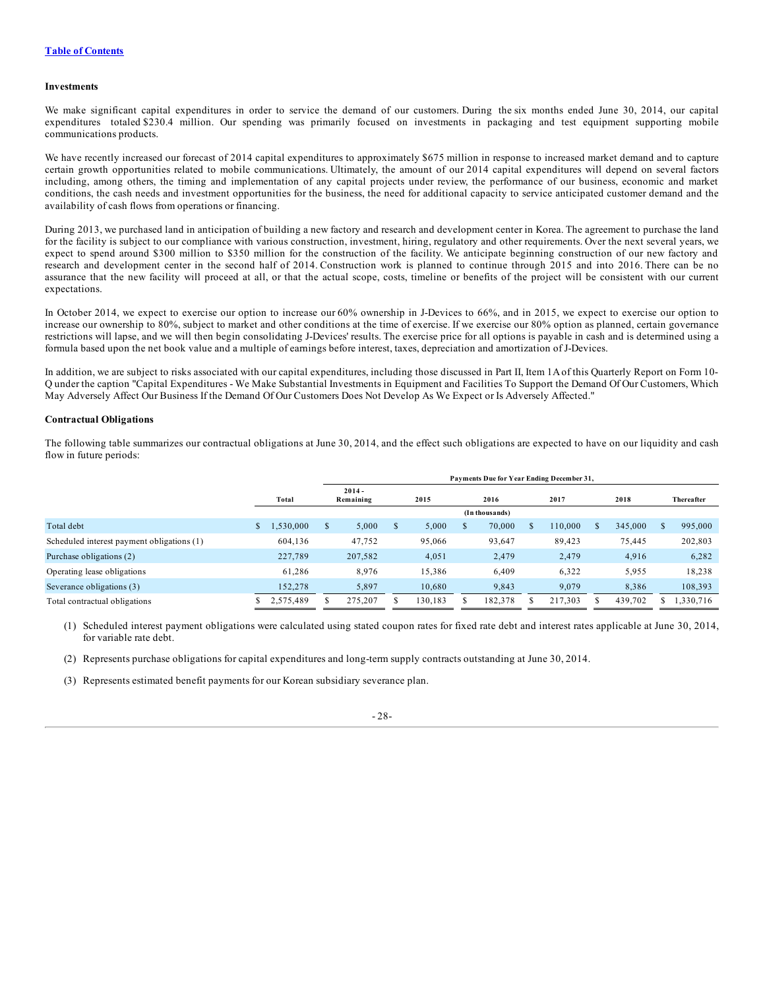#### **Investments**

We make significant capital expenditures in order to service the demand of our customers. During the six months ended June 30, 2014, our capital expenditures totaled \$230.4 million. Our spending was primarily focused on investments in packaging and test equipment supporting mobile communications products.

We have recently increased our forecast of 2014 capital expenditures to approximately \$675 million in response to increased market demand and to capture certain growth opportunities related to mobile communications. Ultimately, the amount of our 2014 capital expenditures will depend on several factors including, among others, the timing and implementation of any capital projects under review, the performance of our business, economic and market conditions, the cash needs and investment opportunities for the business, the need for additional capacity to service anticipated customer demand and the availability of cash flows from operations or financing.

During 2013, we purchased land in anticipation of building a new factory and research and development center in Korea. The agreement to purchase the land for the facility is subject to our compliance with various construction, investment, hiring, regulatory and other requirements. Over the next several years, we expect to spend around \$300 million to \$350 million for the construction of the facility. We anticipate beginning construction of our new factory and research and development center in the second half of 2014. Construction work is planned to continue through 2015 and into 2016. There can be no assurance that the new facility will proceed at all, or that the actual scope, costs, timeline or benefits of the project will be consistent with our current expectations.

In October 2014, we expect to exercise our option to increase our 60% ownership in J-Devices to 66%, and in 2015, we expect to exercise our option to increase our ownership to 80%, subject to market and other conditions at the time of exercise. If we exercise our 80% option as planned, certain governance restrictions will lapse, and we will then begin consolidating J-Devices' results. The exercise price for all options is payable in cash and is determined using a formula based upon the net book value and a multiple of earnings before interest, taxes, depreciation and amortization of J-Devices.

In addition, we are subject to risks associated with our capital expenditures, including those discussed in Part II, Item 1Aof this Quarterly Report on Form 10- Q under the caption "Capital Expenditures - We Make Substantial Investments in Equipment and Facilities To Support the Demand Of Our Customers, Which May Adversely Affect Our Business If the Demand Of Our Customers Does Not Develop As We Expect or Is Adversely Affected."

#### **Contractual Obligations**

The following table summarizes our contractual obligations at June 30, 2014, and the effect such obligations are expected to have on our liquidity and cash flow in future periods:

|                                            | Payments Due for Year Ending December 31, |     |                       |  |         |    |                |  |         |   |         |                   |
|--------------------------------------------|-------------------------------------------|-----|-----------------------|--|---------|----|----------------|--|---------|---|---------|-------------------|
|                                            | Total                                     |     | $2014 -$<br>Remaining |  | 2015    |    | 2016           |  | 2017    |   | 2018    | <b>Thereafter</b> |
|                                            |                                           |     |                       |  |         |    | (In thousands) |  |         |   |         |                   |
| Total debt                                 | 1,530,000                                 | \$. | 5.000                 |  | 5.000   | S. | 70,000         |  | 110,000 | S | 345,000 | 995,000           |
| Scheduled interest payment obligations (1) | 604,136                                   |     | 47,752                |  | 95,066  |    | 93,647         |  | 89.423  |   | 75,445  | 202,803           |
| Purchase obligations (2)                   | 227,789                                   |     | 207,582               |  | 4,051   |    | 2,479          |  | 2,479   |   | 4,916   | 6,282             |
| Operating lease obligations                | 61.286                                    |     | 8,976                 |  | 15,386  |    | 6,409          |  | 6,322   |   | 5,955   | 18,238            |
| Severance obligations (3)                  | 152,278                                   |     | 5,897                 |  | 10.680  |    | 9,843          |  | 9,079   |   | 8,386   | 108,393           |
| Total contractual obligations              | 2,575,489                                 |     | 275.207               |  | 130.183 |    | 182,378        |  | 217,303 |   | 439.702 | 1,330,716         |

(1) Scheduled interest payment obligations were calculated using stated coupon rates for fixed rate debt and interest rates applicable at June 30, 2014, for variable rate debt.

(2) Represents purchase obligations for capital expenditures and long-term supply contracts outstanding at June 30, 2014.

(3) Represents estimated benefit payments for our Korean subsidiary severance plan.

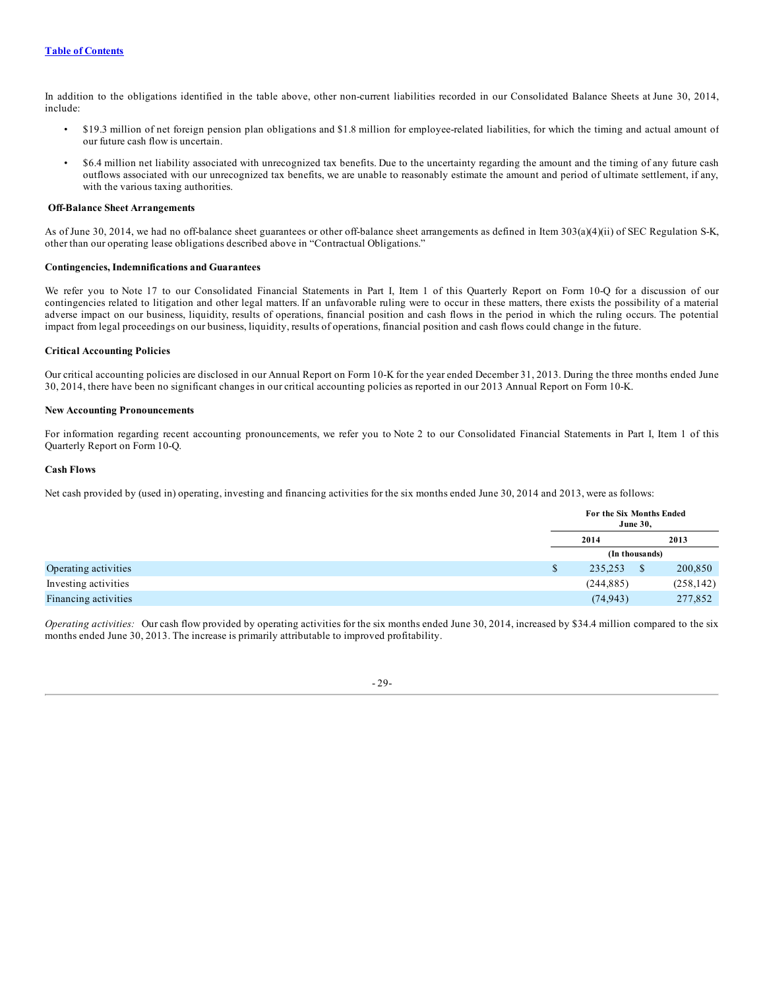In addition to the obligations identified in the table above, other non-current liabilities recorded in our Consolidated Balance Sheets at June 30, 2014, include:

- \$19.3 million of net foreign pension plan obligations and \$1.8 million for employee-related liabilities, for which the timing and actual amount of our future cash flow is uncertain.
- \$6.4 million net liability associated with unrecognized tax benefits. Due to the uncertainty regarding the amount and the timing of any future cash outflows associated with our unrecognized tax benefits, we are unable to reasonably estimate the amount and period of ultimate settlement, if any, with the various taxing authorities.

# **Off-Balance Sheet Arrangements**

As of June 30, 2014, we had no off-balance sheet guarantees or other off-balance sheet arrangements as defined in Item 303(a)(4)(ii) of SEC Regulation S-K, other than our operating lease obligations described above in "Contractual Obligations."

#### **Contingencies, Indemnifications and Guarantees**

We refer you to Note 17 to our Consolidated Financial Statements in Part I, Item 1 of this Quarterly Report on Form 10-Q for a discussion of our contingencies related to litigation and other legal matters. If an unfavorable ruling were to occur in these matters, there exists the possibility of a material adverse impact on our business, liquidity, results of operations, financial position and cash flows in the period in which the ruling occurs. The potential impact from legal proceedings on our business, liquidity, results of operations, financial position and cash flows could change in the future.

# **Critical Accounting Policies**

Our critical accounting policies are disclosed in our Annual Report on Form 10-K for the year ended December 31, 2013. During the three months ended June 30, 2014, there have been no significant changes in our critical accounting policies as reported in our 2013 Annual Report on Form 10-K.

# **New Accounting Pronouncements**

For information regarding recent accounting pronouncements, we refer you to Note 2 to our Consolidated Financial Statements in Part I, Item 1 of this Quarterly Report on Form 10-Q.

# **Cash Flows**

Net cash provided by (used in) operating, investing and financing activities for the six months ended June 30, 2014 and 2013, were as follows:

|                      |               | For the Six Months Ended<br><b>June 30,</b> |               |            |  |  |  |
|----------------------|---------------|---------------------------------------------|---------------|------------|--|--|--|
|                      |               | 2013<br>2014                                |               |            |  |  |  |
|                      |               | (In thousands)                              |               |            |  |  |  |
| Operating activities | $\mathbf{\$}$ | 235,253                                     | <sup>\$</sup> | 200,850    |  |  |  |
| Investing activities |               | (244, 885)                                  |               | (258, 142) |  |  |  |
| Financing activities |               | (74, 943)                                   |               | 277,852    |  |  |  |

*Operating activities:* Our cash flow provided by operating activities for the six months ended June 30, 2014, increased by \$34.4 million compared to the six months ended June 30, 2013. The increase is primarily attributable to improved profitability.

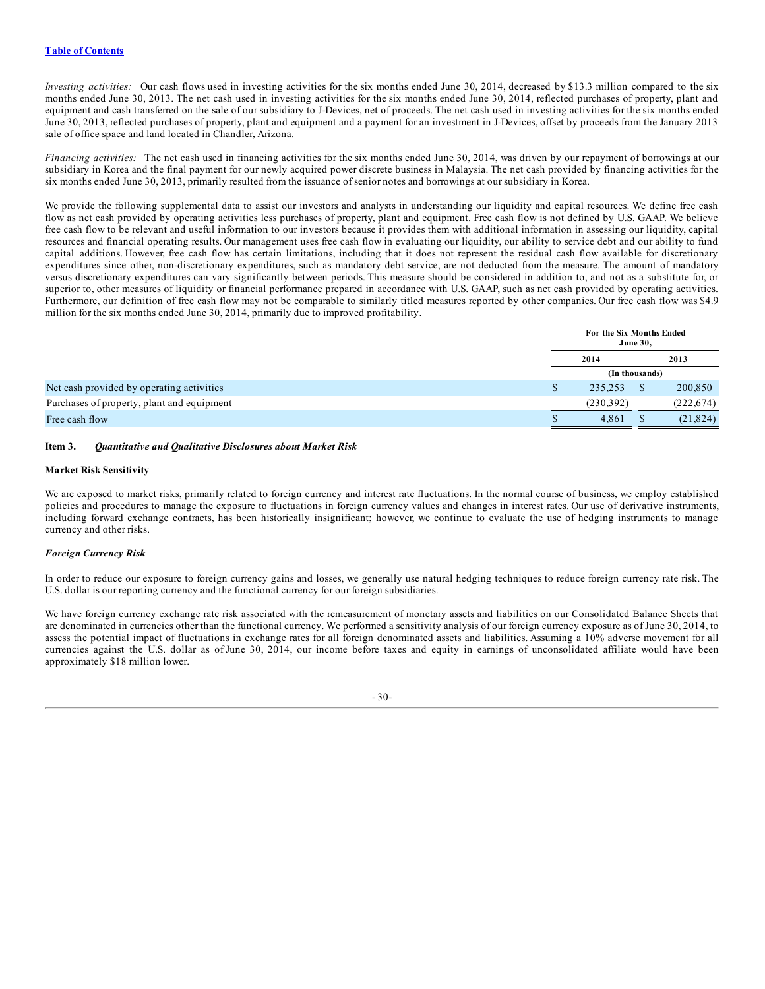<span id="page-30-0"></span>*Investing activities:* Our cash flows used in investing activities for the six months ended June 30, 2014, decreased by \$13.3 million compared to the six months ended June 30, 2013. The net cash used in investing activities for the six months ended June 30, 2014, reflected purchases of property, plant and equipment and cash transferred on the sale of our subsidiary to J-Devices, net of proceeds. The net cash used in investing activities for the six months ended June 30, 2013, reflected purchases of property, plant and equipment and a payment for an investment in J-Devices, offset by proceeds from the January 2013 sale of office space and land located in Chandler, Arizona.

*Financing activities:* The net cash used in financing activities for the six months ended June 30, 2014, was driven by our repayment of borrowings at our subsidiary in Korea and the final payment for our newly acquired power discrete business in Malaysia. The net cash provided by financing activities for the six months ended June 30, 2013, primarily resulted from the issuance of senior notes and borrowings at our subsidiary in Korea.

We provide the following supplemental data to assist our investors and analysts in understanding our liquidity and capital resources. We define free cash flow as net cash provided by operating activities less purchases of property, plant and equipment. Free cash flow is not defined by U.S. GAAP. We believe free cash flow to be relevant and useful information to our investors because it provides them with additional information in assessing our liquidity, capital resources and financial operating results. Our management uses free cash flow in evaluating our liquidity, our ability to service debt and our ability to fund capital additions. However, free cash flow has certain limitations, including that it does not represent the residual cash flow available for discretionary expenditures since other, non-discretionary expenditures, such as mandatory debt service, are not deducted from the measure. The amount of mandatory versus discretionary expenditures can vary significantly between periods. This measure should be considered in addition to, and not as a substitute for, or superior to, other measures of liquidity or financial performance prepared in accordance with U.S. GAAP, such as net cash provided by operating activities. Furthermore, our definition of free cash flow may not be comparable to similarly titled measures reported by other companies. Our free cash flow was \$4.9 million for the six months ended June 30, 2014, primarily due to improved profitability.

|                                            | For the Six Months Ended<br><b>June 30,</b> |                |               |            |  |
|--------------------------------------------|---------------------------------------------|----------------|---------------|------------|--|
|                                            | 2013<br>2014                                |                |               |            |  |
|                                            |                                             | (In thousands) |               |            |  |
| Net cash provided by operating activities  |                                             | 235,253        | <sup>\$</sup> | 200,850    |  |
| Purchases of property, plant and equipment |                                             | (230,392)      |               | (222, 674) |  |
| Free cash flow                             |                                             | 4.861          |               | (21, 824)  |  |

#### **Item 3.** *Quantitative and Qualitative Disclosures about Market Risk*

#### **Market Risk Sensitivity**

We are exposed to market risks, primarily related to foreign currency and interest rate fluctuations. In the normal course of business, we employ established policies and procedures to manage the exposure to fluctuations in foreign currency values and changes in interest rates. Our use of derivative instruments, including forward exchange contracts, has been historically insignificant; however, we continue to evaluate the use of hedging instruments to manage currency and other risks.

#### *Foreign Currency Risk*

In order to reduce our exposure to foreign currency gains and losses, we generally use natural hedging techniques to reduce foreign currency rate risk. The U.S. dollar is our reporting currency and the functional currency for our foreign subsidiaries.

We have foreign currency exchange rate risk associated with the remeasurement of monetary assets and liabilities on our Consolidated Balance Sheets that are denominated in currencies other than the functional currency. We performed a sensitivity analysis of our foreign currency exposure as of June 30, 2014, to assess the potential impact of fluctuations in exchange rates for all foreign denominated assets and liabilities. Assuming a 10% adverse movement for all currencies against the U.S. dollar as of June 30, 2014, our income before taxes and equity in earnings of unconsolidated affiliate would have been approximately \$18 million lower.

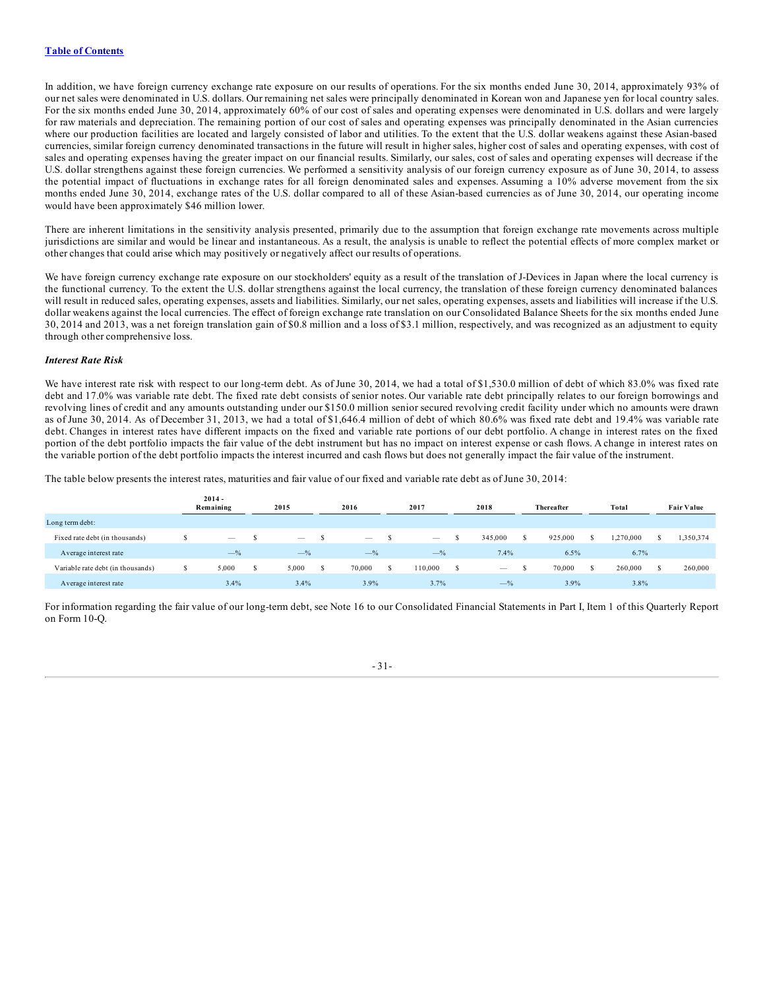In addition, we have foreign currency exchange rate exposure on our results of operations. For the six months ended June 30, 2014, approximately 93% of our net sales were denominated in U.S. dollars. Our remaining net sales were principally denominated in Korean won and Japanese yen for local country sales. For the six months ended June 30, 2014, approximately 60% of our cost of sales and operating expenses were denominated in U.S. dollars and were largely for raw materials and depreciation. The remaining portion of our cost of sales and operating expenses was principally denominated in the Asian currencies where our production facilities are located and largely consisted of labor and utilities. To the extent that the U.S. dollar weakens against these Asian-based currencies, similar foreign currency denominated transactions in the future will result in higher sales, higher cost of sales and operating expenses, with cost of sales and operating expenses having the greater impact on our financial results. Similarly, our sales, cost of sales and operating expenses will decrease if the U.S. dollar strengthens against these foreign currencies. We performed a sensitivity analysis of our foreign currency exposure as of June 30, 2014, to assess the potential impact of fluctuations in exchange rates for all foreign denominated sales and expenses. Assuming a 10% adverse movement from the six months ended June 30, 2014, exchange rates of the U.S. dollar compared to all of these Asian-based currencies as of June 30, 2014, our operating income would have been approximately \$46 million lower.

There are inherent limitations in the sensitivity analysis presented, primarily due to the assumption that foreign exchange rate movements across multiple jurisdictions are similar and would be linear and instantaneous. As a result, the analysis is unable to reflect the potential effects of more complex market or other changes that could arise which may positively or negatively affect our results of operations.

We have foreign currency exchange rate exposure on our stockholders' equity as a result of the translation of J-Devices in Japan where the local currency is the functional currency. To the extent the U.S. dollar strengthens against the local currency, the translation of these foreign currency denominated balances will result in reduced sales, operating expenses, assets and liabilities. Similarly, our net sales, operating expenses, assets and liabilities will increase if the U.S. dollar weakens against the local currencies. The effect of foreign exchange rate translation on our Consolidated Balance Sheets for the six months ended June 30, 2014 and 2013, was a net foreign translation gain of \$0.8 million and a loss of \$3.1 million, respectively, and was recognized as an adjustment to equity through other comprehensive loss.

#### *Interest Rate Risk*

We have interest rate risk with respect to our long-term debt. As of June 30, 2014, we had a total of \$1,530.0 million of debt of which 83.0% was fixed rate debt and 17.0% was variable rate debt. The fixed rate debt consists of senior notes. Our variable rate debt principally relates to our foreign borrowings and revolving lines of credit and any amounts outstanding under our \$150.0 million senior secured revolving credit facility under which no amounts were drawn as of June 30, 2014. As of December 31, 2013, we had a total of \$1,646.4 million of debt of which 80.6% was fixed rate debt and 19.4% was variable rate debt. Changes in interest rates have different impacts on the fixed and variable rate portions of our debt portfolio. A change in interest rates on the fixed portion of the debt portfolio impacts the fair value of the debt instrument but has no impact on interest expense or cash flows. A change in interest rates on the variable portion of the debt portfolio impacts the interest incurred and cash flows but does not generally impact the fair value of the instrument.

The table below presents the interest rates, maturities and fair value of our fixed and variable rate debt as of June 30, 2014:

|                                   | $2014 -$<br>Remaining | 2015                     | 2016                     | 2017                     | 2018                     | <b>Thereafter</b> | Total    | <b>Fair Value</b> |
|-----------------------------------|-----------------------|--------------------------|--------------------------|--------------------------|--------------------------|-------------------|----------|-------------------|
| Long term debt:                   |                       |                          |                          |                          |                          |                   |          |                   |
| Fixed rate debt (in thousands)    | $\sim$                | $\overline{\phantom{a}}$ | $\overline{\phantom{a}}$ | $\overline{\phantom{a}}$ | 345,000                  | 925,000           | ,270,000 | 1,350,374         |
| Average interest rate             | $-$ %                 | $-$ %                    | $-$ %                    | $-$ %                    | 7.4%                     | 6.5%              | 6.7%     |                   |
| Variable rate debt (in thousands) | 5,000                 | 5,000                    | 70,000                   | 110,000                  | $\overline{\phantom{a}}$ | 70,000            | 260,000  | 260,000           |
| Average interest rate             | 3.4%                  | 3.4%                     | 3.9%                     | 3.7%                     | $-$ %                    | 3.9%              | 3.8%     |                   |

For information regarding the fair value of our long-term debt, see Note 16 to our Consolidated Financial Statements in Part I, Item 1 of this Quarterly Report on Form 10-Q.

- 31-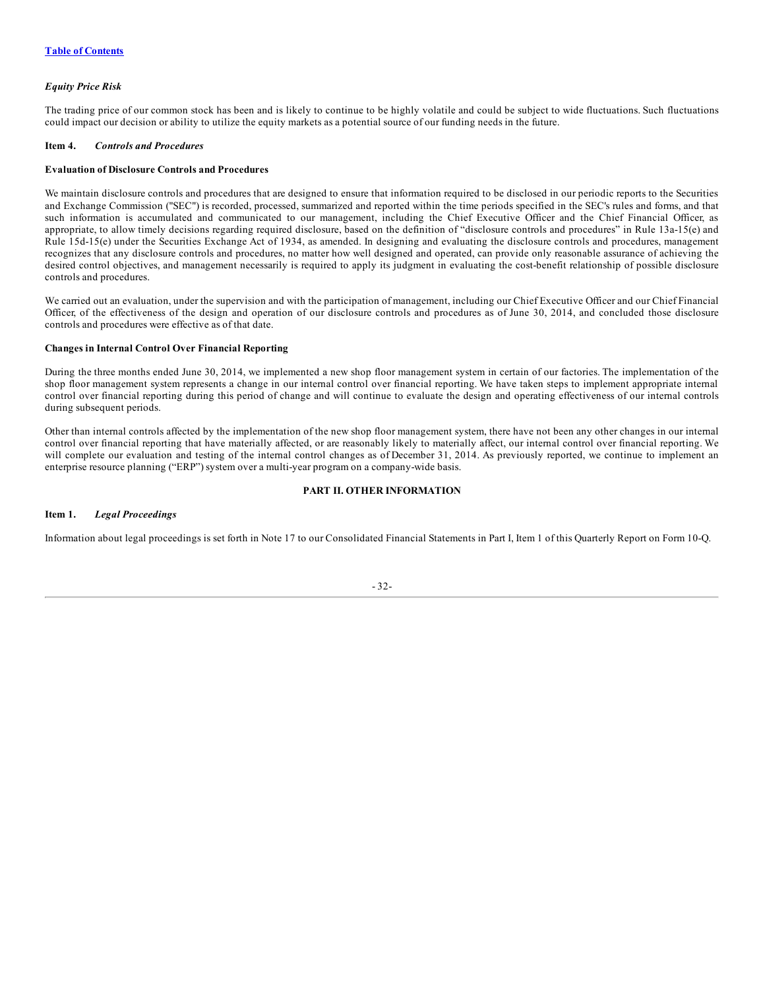# <span id="page-32-0"></span>*Equity Price Risk*

The trading price of our common stock has been and is likely to continue to be highly volatile and could be subject to wide fluctuations. Such fluctuations could impact our decision or ability to utilize the equity markets as a potential source of our funding needs in the future.

# **Item 4.** *Controls and Procedures*

# **Evaluation of Disclosure Controls and Procedures**

We maintain disclosure controls and procedures that are designed to ensure that information required to be disclosed in our periodic reports to the Securities and Exchange Commission ("SEC") is recorded, processed, summarized and reported within the time periods specified in the SEC's rules and forms, and that such information is accumulated and communicated to our management, including the Chief Executive Officer and the Chief Financial Officer, as appropriate, to allow timely decisions regarding required disclosure, based on the definition of "disclosure controls and procedures" in Rule 13a-15(e) and Rule 15d-15(e) under the Securities Exchange Act of 1934, as amended. In designing and evaluating the disclosure controls and procedures, management recognizes that any disclosure controls and procedures, no matter how well designed and operated, can provide only reasonable assurance of achieving the desired control objectives, and management necessarily is required to apply its judgment in evaluating the cost-benefit relationship of possible disclosure controls and procedures.

We carried out an evaluation, under the supervision and with the participation of management, including our Chief Executive Officer and our Chief Financial Officer, of the effectiveness of the design and operation of our disclosure controls and procedures as of June 30, 2014, and concluded those disclosure controls and procedures were effective as of that date.

# **Changes in Internal Control Over Financial Reporting**

During the three months ended June 30, 2014, we implemented a new shop floor management system in certain of our factories. The implementation of the shop floor management system represents a change in our internal control over financial reporting. We have taken steps to implement appropriate internal control over financial reporting during this period of change and will continue to evaluate the design and operating effectiveness of our internal controls during subsequent periods.

Other than internal controls affected by the implementation of the new shop floor management system, there have not been any other changes in our internal control over financial reporting that have materially affected, or are reasonably likely to materially affect, our internal control over financial reporting. We will complete our evaluation and testing of the internal control changes as of December 31, 2014. As previously reported, we continue to implement an enterprise resource planning ("ERP") system over a multi-year program on a company-wide basis.

# **PART II. OTHER INFORMATION**

#### **Item 1.** *Legal Proceedings*

Information about legal proceedings is set forth in Note 17 to our Consolidated Financial Statements in Part I, Item 1 of this Quarterly Report on Form 10-Q.

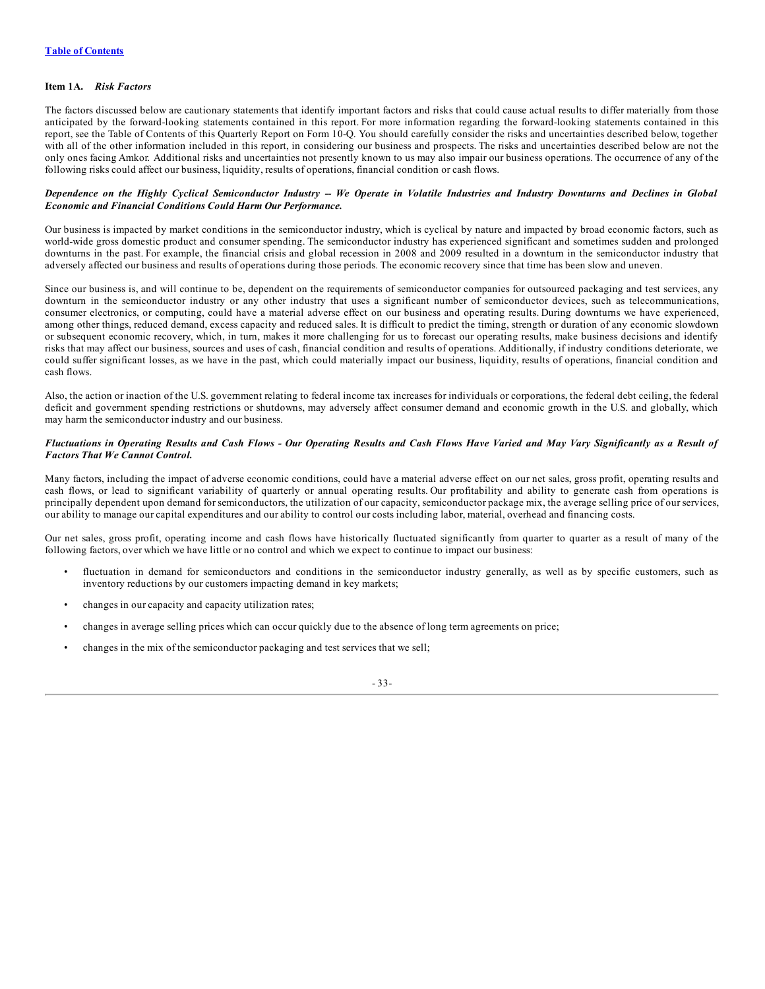# **Item 1A.** *Risk Factors*

The factors discussed below are cautionary statements that identify important factors and risks that could cause actual results to differ materially from those anticipated by the forward-looking statements contained in this report. For more information regarding the forward-looking statements contained in this report, see the Table of Contents of this Quarterly Report on Form 10-Q. You should carefully consider the risks and uncertainties described below, together with all of the other information included in this report, in considering our business and prospects. The risks and uncertainties described below are not the only ones facing Amkor. Additional risks and uncertainties not presently known to us may also impair our business operations. The occurrence of any of the following risks could affect our business, liquidity, results of operations, financial condition or cash flows.

# Dependence on the Highly Cyclical Semiconductor Industry - We Operate in Volatile Industries and Industry Downturns and Declines in Global *Economic and Financial Conditions Could Harm Our Performance.*

Our business is impacted by market conditions in the semiconductor industry, which is cyclical by nature and impacted by broad economic factors, such as world-wide gross domestic product and consumer spending. The semiconductor industry has experienced significant and sometimes sudden and prolonged downturns in the past. For example, the financial crisis and global recession in 2008 and 2009 resulted in a downturn in the semiconductor industry that adversely affected our business and results of operations during those periods. The economic recovery since that time has been slow and uneven.

Since our business is, and will continue to be, dependent on the requirements of semiconductor companies for outsourced packaging and test services, any downturn in the semiconductor industry or any other industry that uses a significant number of semiconductor devices, such as telecommunications, consumer electronics, or computing, could have a material adverse effect on our business and operating results. During downturns we have experienced, among other things, reduced demand, excess capacity and reduced sales. It is difficult to predict the timing, strength or duration of any economic slowdown or subsequent economic recovery, which, in turn, makes it more challenging for us to forecast our operating results, make business decisions and identify risks that may affect our business, sources and uses of cash, financial condition and results of operations. Additionally, if industry conditions deteriorate, we could suffer significant losses, as we have in the past, which could materially impact our business, liquidity, results of operations, financial condition and cash flows.

Also, the action or inaction of the U.S. government relating to federal income tax increases for individuals or corporations, the federal debt ceiling, the federal deficit and government spending restrictions or shutdowns, may adversely affect consumer demand and economic growth in the U.S. and globally, which may harm the semiconductor industry and our business.

# Fluctuations in Operating Results and Cash Flows - Our Operating Results and Cash Flows Have Varied and May Vary Significantly as a Result of *Factors That We Cannot Control.*

Many factors, including the impact of adverse economic conditions, could have a material adverse effect on our net sales, gross profit, operating results and cash flows, or lead to significant variability of quarterly or annual operating results. Our profitability and ability to generate cash from operations is principally dependent upon demand for semiconductors, the utilization of our capacity, semiconductor package mix, the average selling price of our services, our ability to manage our capital expenditures and our ability to control our costs including labor, material, overhead and financing costs.

Our net sales, gross profit, operating income and cash flows have historically fluctuated significantly from quarter to quarter as a result of many of the following factors, over which we have little or no control and which we expect to continue to impact our business:

- fluctuation in demand for semiconductors and conditions in the semiconductor industry generally, as well as by specific customers, such as inventory reductions by our customers impacting demand in key markets;
- changes in our capacity and capacity utilization rates;
- changes in average selling prices which can occur quickly due to the absence of long term agreements on price;
- changes in the mix of the semiconductor packaging and test services that we sell;

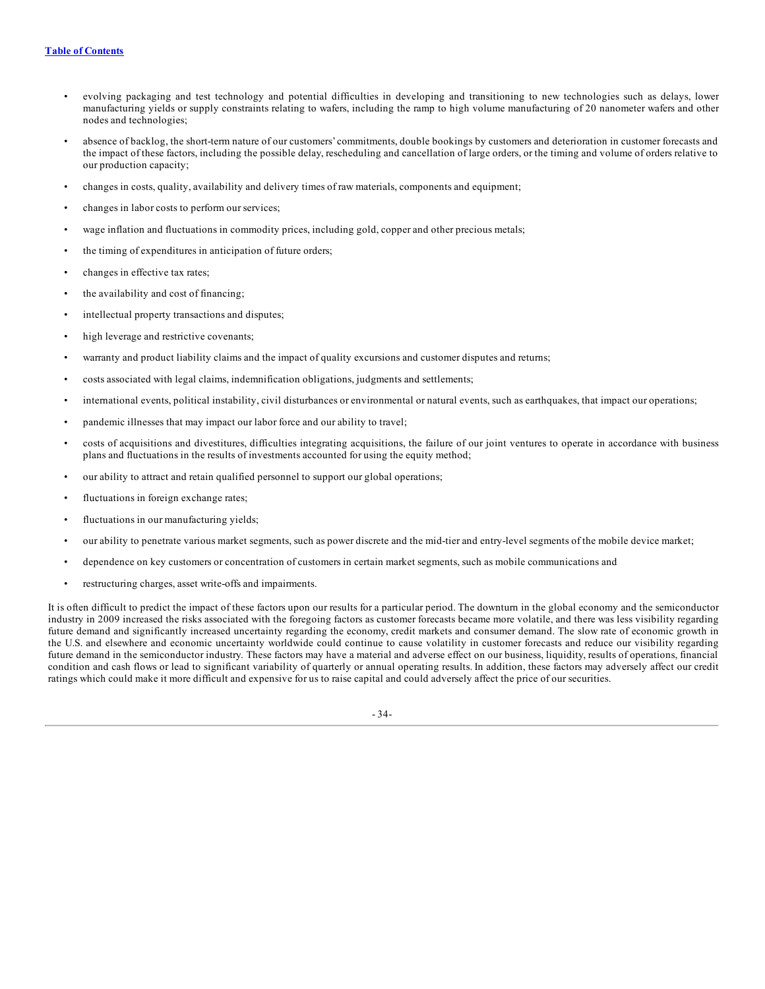- evolving packaging and test technology and potential difficulties in developing and transitioning to new technologies such as delays, lower manufacturing yields or supply constraints relating to wafers, including the ramp to high volume manufacturing of 20 nanometer wafers and other nodes and technologies;
- absence of backlog, the short-term nature of our customers' commitments, double bookings by customers and deterioration in customer forecasts and the impact of these factors, including the possible delay, rescheduling and cancellation of large orders, or the timing and volume of orders relative to our production capacity;
- changes in costs, quality, availability and delivery times of raw materials, components and equipment;
- changes in labor costs to perform our services;
- wage inflation and fluctuations in commodity prices, including gold, copper and other precious metals;
- the timing of expenditures in anticipation of future orders;
- changes in effective tax rates;
- the availability and cost of financing;
- intellectual property transactions and disputes;
- high leverage and restrictive covenants;
- warranty and product liability claims and the impact of quality excursions and customer disputes and returns;
- costs associated with legal claims, indemnification obligations, judgments and settlements;
- international events, political instability, civil disturbances or environmental or natural events, such as earthquakes, that impact our operations;
- pandemic illnesses that may impact our labor force and our ability to travel;
- costs of acquisitions and divestitures, difficulties integrating acquisitions, the failure of our joint ventures to operate in accordance with business plans and fluctuations in the results of investments accounted for using the equity method;
- our ability to attract and retain qualified personnel to support our global operations;
- fluctuations in foreign exchange rates;
- fluctuations in our manufacturing yields;
- our ability to penetrate various market segments, such as power discrete and the mid-tier and entry-level segments of the mobile device market;
- dependence on key customers or concentration of customers in certain market segments, such as mobile communications and
- restructuring charges, asset write-offs and impairments.

It is often difficult to predict the impact of these factors upon our results for a particular period. The downturn in the global economy and the semiconductor industry in 2009 increased the risks associated with the foregoing factors as customer forecasts became more volatile, and there was less visibility regarding future demand and significantly increased uncertainty regarding the economy, credit markets and consumer demand. The slow rate of economic growth in the U.S. and elsewhere and economic uncertainty worldwide could continue to cause volatility in customer forecasts and reduce our visibility regarding future demand in the semiconductor industry. These factors may have a material and adverse effect on our business, liquidity, results of operations, financial condition and cash flows or lead to significant variability of quarterly or annual operating results. In addition, these factors may adversely affect our credit ratings which could make it more difficult and expensive for us to raise capital and could adversely affect the price of our securities.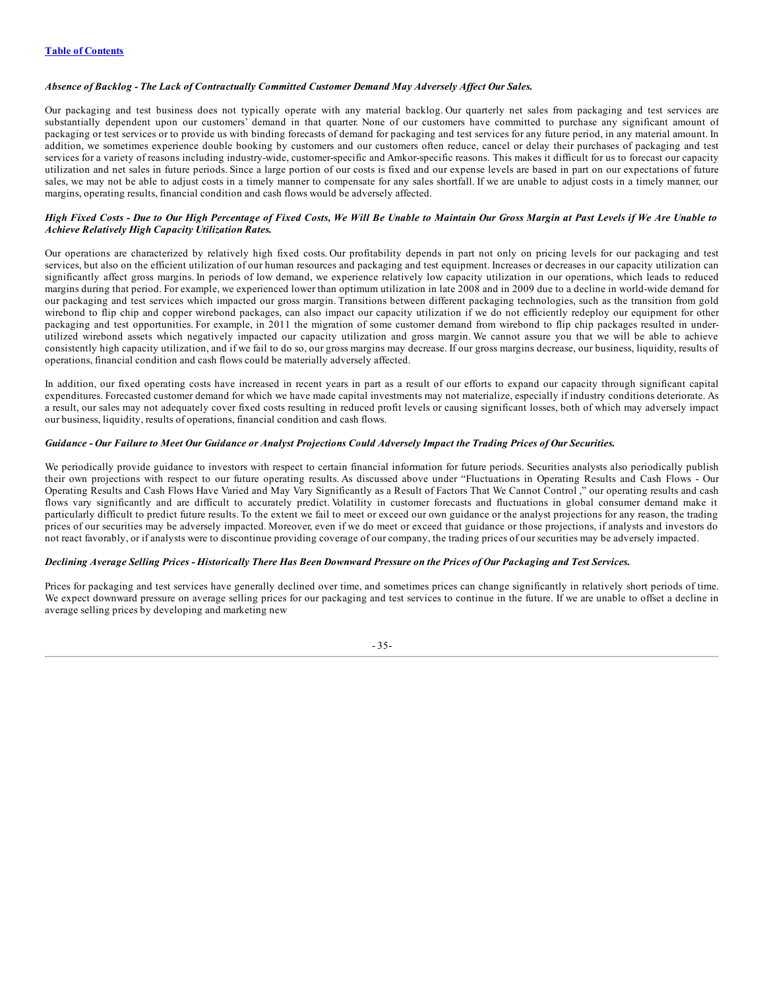# *Absence of Backlog - The Lack of Contractually Committed Customer Demand May Adversely Af ect Our Sales.*

Our packaging and test business does not typically operate with any material backlog. Our quarterly net sales from packaging and test services are substantially dependent upon our customers' demand in that quarter. None of our customers have committed to purchase any significant amount of packaging or test services or to provide us with binding forecasts of demand for packaging and test services for any future period, in any material amount. In addition, we sometimes experience double booking by customers and our customers often reduce, cancel or delay their purchases of packaging and test services for a variety of reasons including industry-wide, customer-specific and Amkor-specific reasons. This makes it difficult for us to forecast our capacity utilization and net sales in future periods. Since a large portion of our costs is fixed and our expense levels are based in part on our expectations of future sales, we may not be able to adjust costs in a timely manner to compensate for any sales shortfall. If we are unable to adjust costs in a timely manner, our margins, operating results, financial condition and cash flows would be adversely affected.

## High Fixed Costs - Due to Our High Percentage of Fixed Costs, We Will Be Unable to Maintain Our Gross Margin at Past Levels if We Are Unable to *Achieve Relatively High Capacity Utilization Rates.*

Our operations are characterized by relatively high fixed costs. Our profitability depends in part not only on pricing levels for our packaging and test services, but also on the efficient utilization of our human resources and packaging and test equipment. Increases or decreases in our capacity utilization can significantly affect gross margins. In periods of low demand, we experience relatively low capacity utilization in our operations, which leads to reduced margins during that period. For example, we experienced lower than optimum utilization in late 2008 and in 2009 due to a decline in world-wide demand for our packaging and test services which impacted our gross margin. Transitions between different packaging technologies, such as the transition from gold wirebond to flip chip and copper wirebond packages, can also impact our capacity utilization if we do not efficiently redeploy our equipment for other packaging and test opportunities. For example, in 2011 the migration of some customer demand from wirebond to flip chip packages resulted in underutilized wirebond assets which negatively impacted our capacity utilization and gross margin. We cannot assure you that we will be able to achieve consistently high capacity utilization, and if we fail to do so, our gross margins may decrease. If our gross margins decrease, our business, liquidity, results of operations, financial condition and cash flows could be materially adversely affected.

In addition, our fixed operating costs have increased in recent years in part as a result of our efforts to expand our capacity through significant capital expenditures. Forecasted customer demand for which we have made capital investments may not materialize, especially if industry conditions deteriorate. As a result, our sales may not adequately cover fixed costs resulting in reduced profit levels or causing significant losses, both of which may adversely impact our business, liquidity, results of operations, financial condition and cash flows.

#### Guidance - Our Failure to Meet Our Guidance or Analyst Projections Could Adversely Impact the Trading Prices of Our Securities.

We periodically provide guidance to investors with respect to certain financial information for future periods. Securities analysts also periodically publish their own projections with respect to our future operating results. As discussed above under "Fluctuations in Operating Results and Cash Flows - Our Operating Results and Cash Flows Have Varied and May Vary Significantly as a Result of Factors That We Cannot Control ," our operating results and cash flows vary significantly and are difficult to accurately predict. Volatility in customer forecasts and fluctuations in global consumer demand make it particularly difficult to predict future results. To the extent we fail to meet or exceed our own guidance or the analyst projections for any reason, the trading prices of our securities may be adversely impacted. Moreover, even if we do meet or exceed that guidance or those projections, if analysts and investors do not react favorably, or if analysts were to discontinue providing coverage of our company, the trading prices of our securities may be adversely impacted.

# Declining Average Selling Prices - Historically There Has Been Downward Pressure on the Prices of Our Packaging and Test Services.

Prices for packaging and test services have generally declined over time, and sometimes prices can change significantly in relatively short periods of time. We expect downward pressure on average selling prices for our packaging and test services to continue in the future. If we are unable to offset a decline in average selling prices by developing and marketing new

- 35-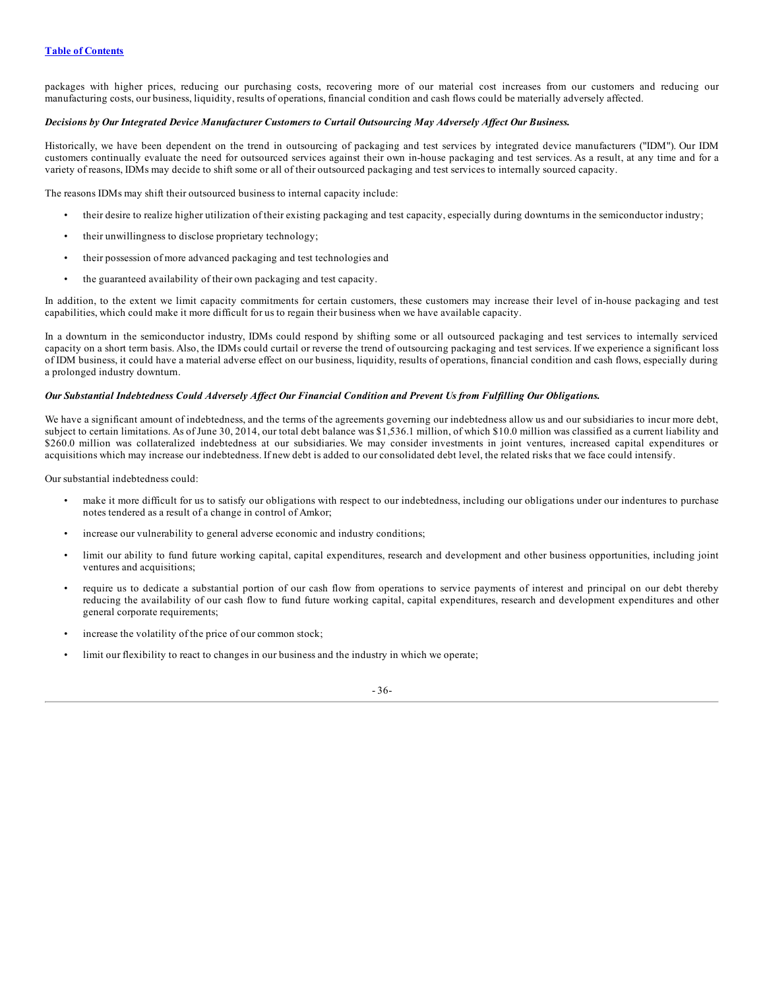packages with higher prices, reducing our purchasing costs, recovering more of our material cost increases from our customers and reducing our manufacturing costs, our business, liquidity, results of operations, financial condition and cash flows could be materially adversely affected.

# Decisions by Our Integrated Device Manufacturer Customers to Curtail Outsourcing May Adversely Affect Our Business.

Historically, we have been dependent on the trend in outsourcing of packaging and test services by integrated device manufacturers ("IDM"). Our IDM customers continually evaluate the need for outsourced services against their own in-house packaging and test services. As a result, at any time and for a variety of reasons, IDMs may decide to shift some or all of their outsourced packaging and test services to internally sourced capacity.

The reasons IDMs may shift their outsourced business to internal capacity include:

- their desire to realize higher utilization of their existing packaging and test capacity, especially during downturns in the semiconductor industry;
- their unwillingness to disclose proprietary technology;
- their possession of more advanced packaging and test technologies and
- the guaranteed availability of their own packaging and test capacity.

In addition, to the extent we limit capacity commitments for certain customers, these customers may increase their level of in-house packaging and test capabilities, which could make it more difficult for us to regain their business when we have available capacity.

In a downturn in the semiconductor industry, IDMs could respond by shifting some or all outsourced packaging and test services to internally serviced capacity on a short term basis. Also, the IDMs could curtail or reverse the trend of outsourcing packaging and test services. If we experience a significant loss of IDM business, it could have a material adverse effect on our business, liquidity, results of operations, financial condition and cash flows, especially during a prolonged industry downturn.

#### Our Substantial Indebtedness Could Adversely Affect Our Financial Condition and Prevent Us from Fulfilling Our Obligations.

We have a significant amount of indebtedness, and the terms of the agreements governing our indebtedness allow us and our subsidiaries to incur more debt, subject to certain limitations. As of June 30, 2014, our total debt balance was \$1,536.1 million, of which \$10.0 million was classified as a current liability and \$260.0 million was collateralized indebtedness at our subsidiaries. We may consider investments in joint ventures, increased capital expenditures or acquisitions which may increase our indebtedness. If new debt is added to our consolidated debt level, the related risks that we face could intensify.

Our substantial indebtedness could:

- make it more difficult for us to satisfy our obligations with respect to our indebtedness, including our obligations under our indentures to purchase notes tendered as a result of a change in control of Amkor;
- increase our vulnerability to general adverse economic and industry conditions;
- limit our ability to fund future working capital, capital expenditures, research and development and other business opportunities, including joint ventures and acquisitions;
- require us to dedicate a substantial portion of our cash flow from operations to service payments of interest and principal on our debt thereby reducing the availability of our cash flow to fund future working capital, capital expenditures, research and development expenditures and other general corporate requirements;
- increase the volatility of the price of our common stock;
- limit our flexibility to react to changes in our business and the industry in which we operate;

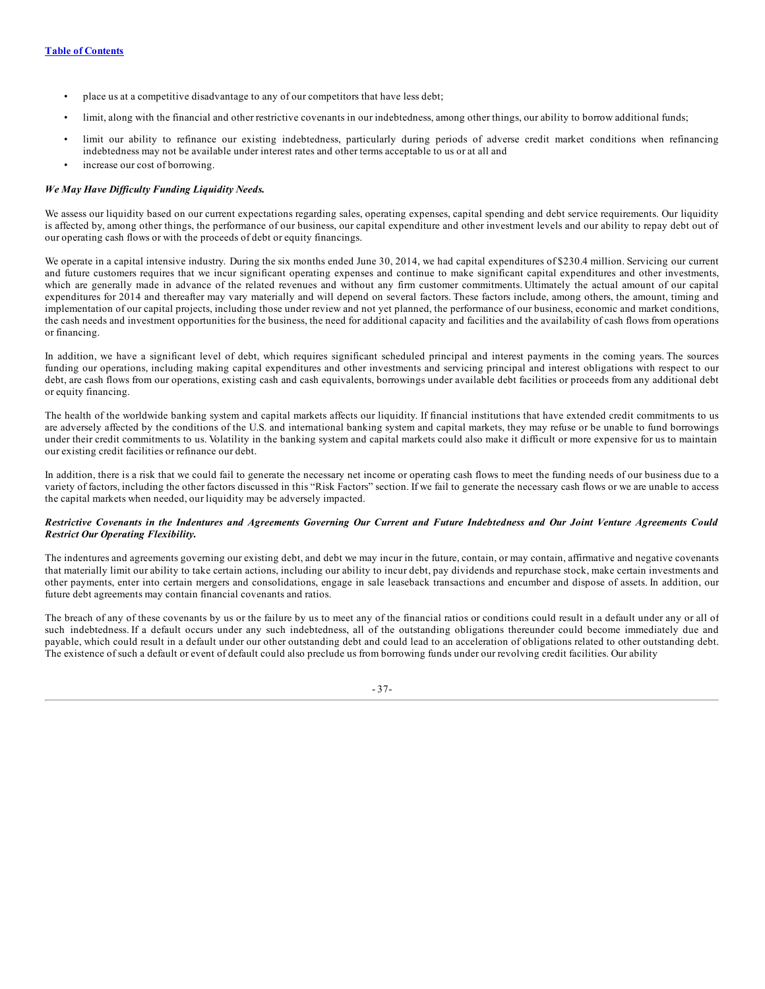- place us at a competitive disadvantage to any of our competitors that have less debt;
- limit, along with the financial and other restrictive covenants in our indebtedness, among other things, our ability to borrow additional funds;
- limit our ability to refinance our existing indebtedness, particularly during periods of adverse credit market conditions when refinancing indebtedness may not be available under interest rates and other terms acceptable to us or at all and
- increase our cost of borrowing.

#### *We May Have Dif iculty Funding Liquidity Needs.*

We assess our liquidity based on our current expectations regarding sales, operating expenses, capital spending and debt service requirements. Our liquidity is affected by, among other things, the performance of our business, our capital expenditure and other investment levels and our ability to repay debt out of our operating cash flows or with the proceeds of debt or equity financings.

We operate in a capital intensive industry. During the six months ended June 30, 2014, we had capital expenditures of \$230.4 million. Servicing our current and future customers requires that we incur significant operating expenses and continue to make significant capital expenditures and other investments, which are generally made in advance of the related revenues and without any firm customer commitments. Ultimately the actual amount of our capital expenditures for 2014 and thereafter may vary materially and will depend on several factors. These factors include, among others, the amount, timing and implementation of our capital projects, including those under review and not yet planned, the performance of our business, economic and market conditions, the cash needs and investment opportunities for the business, the need for additional capacity and facilities and the availability of cash flows from operations or financing.

In addition, we have a significant level of debt, which requires significant scheduled principal and interest payments in the coming years. The sources funding our operations, including making capital expenditures and other investments and servicing principal and interest obligations with respect to our debt, are cash flows from our operations, existing cash and cash equivalents, borrowings under available debt facilities or proceeds from any additional debt or equity financing.

The health of the worldwide banking system and capital markets affects our liquidity. If financial institutions that have extended credit commitments to us are adversely affected by the conditions of the U.S. and international banking system and capital markets, they may refuse or be unable to fund borrowings under their credit commitments to us. Volatility in the banking system and capital markets could also make it difficult or more expensive for us to maintain our existing credit facilities or refinance our debt.

In addition, there is a risk that we could fail to generate the necessary net income or operating cash flows to meet the funding needs of our business due to a variety of factors, including the other factors discussed in this "Risk Factors" section. If we fail to generate the necessary cash flows or we are unable to access the capital markets when needed, our liquidity may be adversely impacted.

# Restrictive Covenants in the Indentures and Agreements Governing Our Current and Future Indebtedness and Our Joint Venture Agreements Could *Restrict Our Operating Flexibility.*

The indentures and agreements governing our existing debt, and debt we may incur in the future, contain, or may contain, affirmative and negative covenants that materially limit our ability to take certain actions, including our ability to incur debt, pay dividends and repurchase stock, make certain investments and other payments, enter into certain mergers and consolidations, engage in sale leaseback transactions and encumber and dispose of assets. In addition, our future debt agreements may contain financial covenants and ratios.

The breach of any of these covenants by us or the failure by us to meet any of the financial ratios or conditions could result in a default under any or all of such indebtedness. If a default occurs under any such indebtedness, all of the outstanding obligations thereunder could become immediately due and payable, which could result in a default under our other outstanding debt and could lead to an acceleration of obligations related to other outstanding debt. The existence of such a default or event of default could also preclude us from borrowing funds under our revolving credit facilities. Our ability

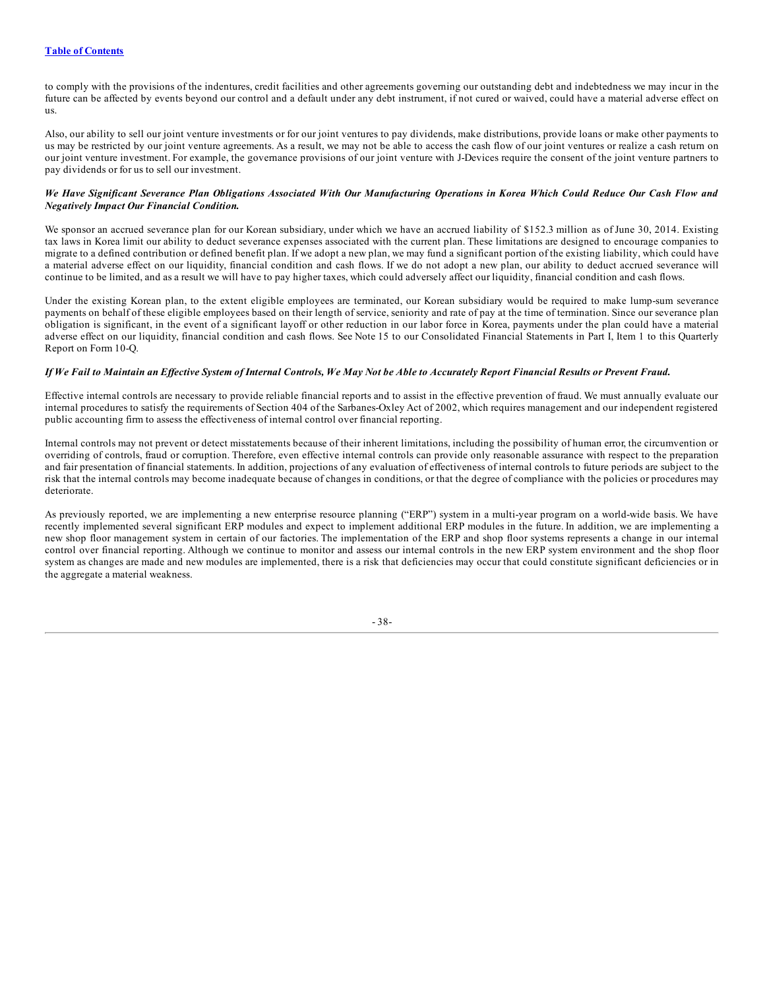to comply with the provisions of the indentures, credit facilities and other agreements governing our outstanding debt and indebtedness we may incur in the future can be affected by events beyond our control and a default under any debt instrument, if not cured or waived, could have a material adverse effect on us.

Also, our ability to sell our joint venture investments or for our joint ventures to pay dividends, make distributions, provide loans or make other payments to us may be restricted by our joint venture agreements. As a result, we may not be able to access the cash flow of our joint ventures or realize a cash return on our joint venture investment. For example, the governance provisions of our joint venture with J-Devices require the consent of the joint venture partners to pay dividends or for us to sell our investment.

# We Have Significant Severance Plan Obligations Associated With Our Manufacturing Operations in Korea Which Could Reduce Our Cash Flow and *Negatively Impact Our Financial Condition.*

We sponsor an accrued severance plan for our Korean subsidiary, under which we have an accrued liability of \$152.3 million as of June 30, 2014. Existing tax laws in Korea limit our ability to deduct severance expenses associated with the current plan. These limitations are designed to encourage companies to migrate to a defined contribution or defined benefit plan. If we adopt a new plan, we may fund a significant portion of the existing liability, which could have a material adverse effect on our liquidity, financial condition and cash flows. If we do not adopt a new plan, our ability to deduct accrued severance will continue to be limited, and as a result we will have to pay higher taxes, which could adversely affect our liquidity, financial condition and cash flows.

Under the existing Korean plan, to the extent eligible employees are terminated, our Korean subsidiary would be required to make lump-sum severance payments on behalf of these eligible employees based on their length of service, seniority and rate of pay at the time of termination. Since our severance plan obligation is significant, in the event of a significant layoff or other reduction in our labor force in Korea, payments under the plan could have a material adverse effect on our liquidity, financial condition and cash flows. See Note 15 to our Consolidated Financial Statements in Part I, Item 1 to this Quarterly Report on Form 10-Q.

# If We Fail to Maintain an Effective System of Internal Controls, We May Not be Able to Accurately Report Financial Results or Prevent Fraud.

Effective internal controls are necessary to provide reliable financial reports and to assist in the effective prevention of fraud. We must annually evaluate our internal procedures to satisfy the requirements of Section 404 of the Sarbanes-Oxley Act of 2002, which requires management and our independent registered public accounting firm to assess the effectiveness of internal control over financial reporting.

Internal controls may not prevent or detect misstatements because of their inherent limitations, including the possibility of human error, the circumvention or overriding of controls, fraud or corruption. Therefore, even effective internal controls can provide only reasonable assurance with respect to the preparation and fair presentation of financial statements. In addition, projections of any evaluation of effectiveness of internal controls to future periods are subject to the risk that the internal controls may become inadequate because of changes in conditions, or that the degree of compliance with the policies or procedures may deteriorate.

As previously reported, we are implementing a new enterprise resource planning ("ERP") system in a multi-year program on a world-wide basis. We have recently implemented several significant ERP modules and expect to implement additional ERP modules in the future. In addition, we are implementing a new shop floor management system in certain of our factories. The implementation of the ERP and shop floor systems represents a change in our internal control over financial reporting. Although we continue to monitor and assess our internal controls in the new ERP system environment and the shop floor system as changes are made and new modules are implemented, there is a risk that deficiencies may occur that could constitute significant deficiencies or in the aggregate a material weakness.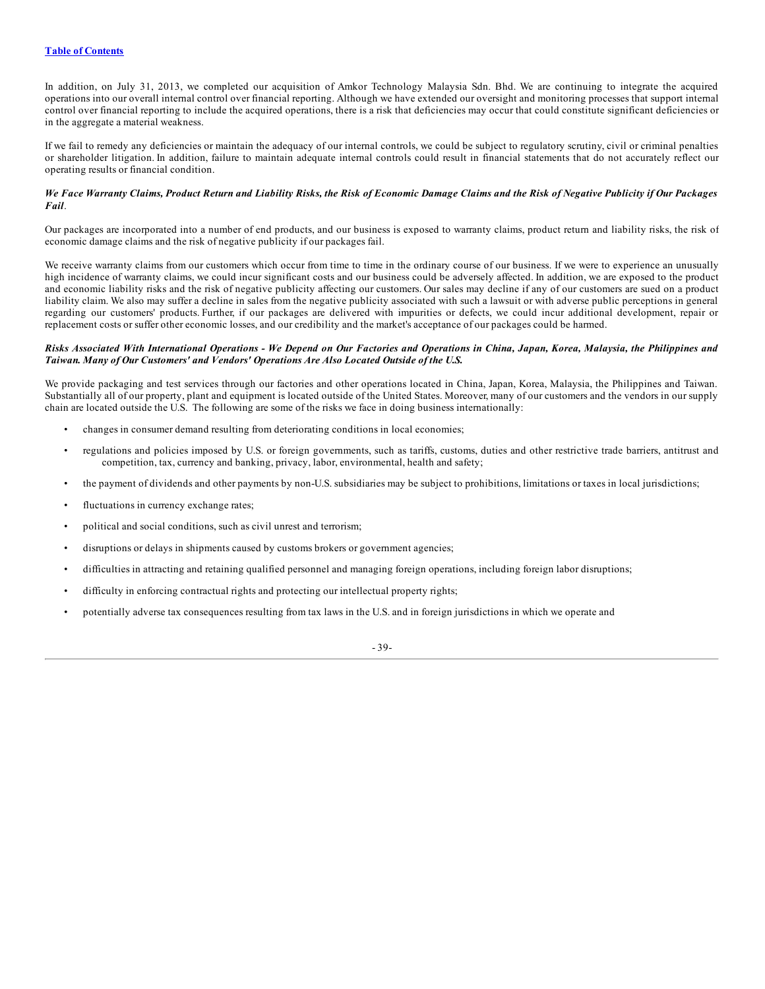In addition, on July 31, 2013, we completed our acquisition of Amkor Technology Malaysia Sdn. Bhd. We are continuing to integrate the acquired operations into our overall internal control over financial reporting. Although we have extended our oversight and monitoring processes that support internal control over financial reporting to include the acquired operations, there is a risk that deficiencies may occur that could constitute significant deficiencies or in the aggregate a material weakness.

If we fail to remedy any deficiencies or maintain the adequacy of our internal controls, we could be subject to regulatory scrutiny, civil or criminal penalties or shareholder litigation. In addition, failure to maintain adequate internal controls could result in financial statements that do not accurately reflect our operating results or financial condition.

# We Face Warranty Claims, Product Return and Liability Risks, the Risk of Economic Damage Claims and the Risk of Negative Publicity if Our Packages *Fail*.

Our packages are incorporated into a number of end products, and our business is exposed to warranty claims, product return and liability risks, the risk of economic damage claims and the risk of negative publicity if our packages fail.

We receive warranty claims from our customers which occur from time to time in the ordinary course of our business. If we were to experience an unusually high incidence of warranty claims, we could incur significant costs and our business could be adversely affected. In addition, we are exposed to the product and economic liability risks and the risk of negative publicity affecting our customers. Our sales may decline if any of our customers are sued on a product liability claim. We also may suffer a decline in sales from the negative publicity associated with such a lawsuit or with adverse public perceptions in general regarding our customers' products. Further, if our packages are delivered with impurities or defects, we could incur additional development, repair or replacement costs or suffer other economic losses, and our credibility and the market's acceptance of our packages could be harmed.

#### Risks Associated With International Operations - We Depend on Our Factories and Operations in China, Japan, Korea, Malaysia, the Philippines and *Taiwan. Many of Our Customers' and Vendors' Operations Are Also Located Outside of the U.S.*

We provide packaging and test services through our factories and other operations located in China, Japan, Korea, Malaysia, the Philippines and Taiwan. Substantially all of our property, plant and equipment is located outside of the United States. Moreover, many of our customers and the vendors in our supply chain are located outside the U.S. The following are some of the risks we face in doing business internationally:

- changes in consumer demand resulting from deteriorating conditions in local economies;
- regulations and policies imposed by U.S. or foreign governments, such as tariffs, customs, duties and other restrictive trade barriers, antitrust and competition, tax, currency and banking, privacy, labor, environmental, health and safety;
- the payment of dividends and other payments by non-U.S. subsidiaries may be subject to prohibitions, limitations or taxes in local jurisdictions;
- fluctuations in currency exchange rates;
- political and social conditions, such as civil unrest and terrorism;
- disruptions or delays in shipments caused by customs brokers or government agencies;
- difficulties in attracting and retaining qualified personnel and managing foreign operations, including foreign labor disruptions;
- difficulty in enforcing contractual rights and protecting our intellectual property rights;
- potentially adverse tax consequences resulting from tax laws in the U.S. and in foreign jurisdictions in which we operate and

- 39-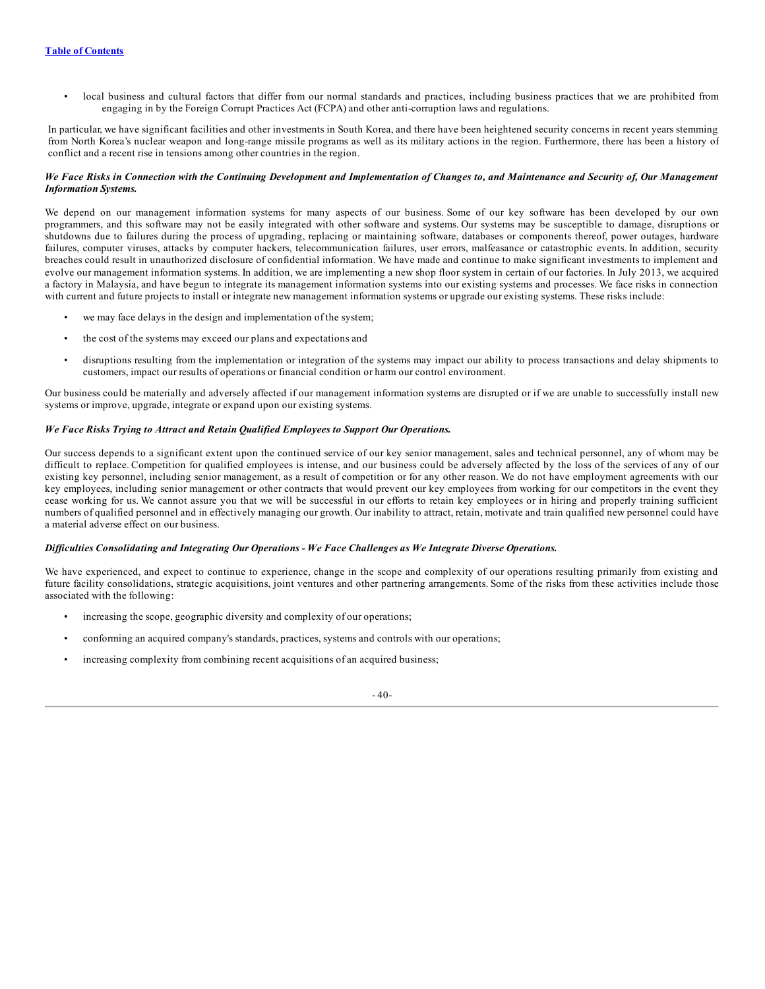• local business and cultural factors that differ from our normal standards and practices, including business practices that we are prohibited from engaging in by the Foreign Corrupt Practices Act (FCPA) and other anti-corruption laws and regulations.

In particular, we have significant facilities and other investments in South Korea, and there have been heightened security concerns in recent years stemming from North Korea's nuclear weapon and long-range missile programs as well as its military actions in the region. Furthermore, there has been a history of conflict and a recent rise in tensions among other countries in the region.

#### We Face Risks in Connection with the Continuing Development and Implementation of Changes to, and Maintenance and Security of, Our Management *Information Systems.*

We depend on our management information systems for many aspects of our business. Some of our key software has been developed by our own programmers, and this software may not be easily integrated with other software and systems. Our systems may be susceptible to damage, disruptions or shutdowns due to failures during the process of upgrading, replacing or maintaining software, databases or components thereof, power outages, hardware failures, computer viruses, attacks by computer hackers, telecommunication failures, user errors, malfeasance or catastrophic events. In addition, security breaches could result in unauthorized disclosure of confidential information. We have made and continue to make significant investments to implement and evolve our management information systems. In addition, we are implementing a new shop floor system in certain of our factories. In July 2013, we acquired a factory in Malaysia, and have begun to integrate its management information systems into our existing systems and processes. We face risks in connection with current and future projects to install or integrate new management information systems or upgrade our existing systems. These risks include:

- we may face delays in the design and implementation of the system;
- the cost of the systems may exceed our plans and expectations and
- disruptions resulting from the implementation or integration of the systems may impact our ability to process transactions and delay shipments to customers, impact our results of operations or financial condition or harm our control environment.

Our business could be materially and adversely affected if our management information systems are disrupted or if we are unable to successfully install new systems or improve, upgrade, integrate or expand upon our existing systems.

# *We Face Risks Trying to Attract and Retain Qualified Employees to Support Our Operations.*

Our success depends to a significant extent upon the continued service of our key senior management, sales and technical personnel, any of whom may be difficult to replace. Competition for qualified employees is intense, and our business could be adversely affected by the loss of the services of any of our existing key personnel, including senior management, as a result of competition or for any other reason. We do not have employment agreements with our key employees, including senior management or other contracts that would prevent our key employees from working for our competitors in the event they cease working for us. We cannot assure you that we will be successful in our efforts to retain key employees or in hiring and properly training sufficient numbers of qualified personnel and in effectively managing our growth. Our inability to attract, retain, motivate and train qualified new personnel could have a material adverse effect on our business.

# Difficulties Consolidating and Integrating Our Operations - We Face Challenges as We Integrate Diverse Operations.

We have experienced, and expect to continue to experience, change in the scope and complexity of our operations resulting primarily from existing and future facility consolidations, strategic acquisitions, joint ventures and other partnering arrangements. Some of the risks from these activities include those associated with the following:

- increasing the scope, geographic diversity and complexity of our operations;
- conforming an acquired company's standards, practices, systems and controls with our operations;
- increasing complexity from combining recent acquisitions of an acquired business;

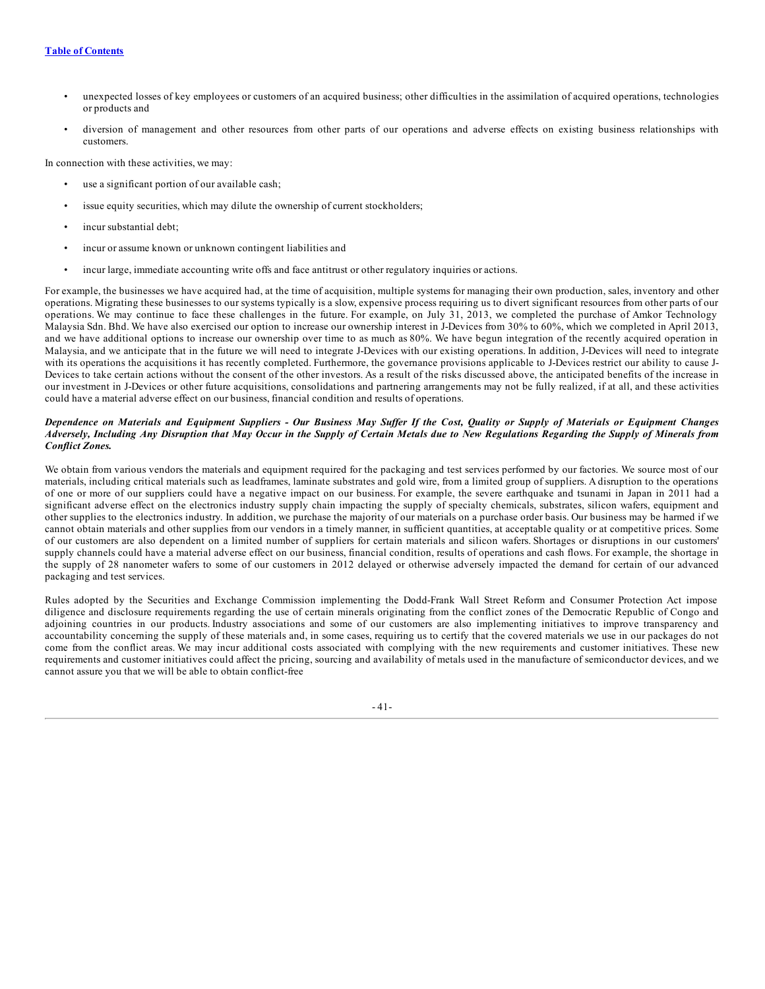- unexpected losses of key employees or customers of an acquired business; other difficulties in the assimilation of acquired operations, technologies or products and
- diversion of management and other resources from other parts of our operations and adverse effects on existing business relationships with customers.

In connection with these activities, we may:

- use a significant portion of our available cash;
- issue equity securities, which may dilute the ownership of current stockholders;
- incur substantial debt;
- incur or assume known or unknown contingent liabilities and
- incur large, immediate accounting write offs and face antitrust or other regulatory inquiries or actions.

For example, the businesses we have acquired had, at the time of acquisition, multiple systems for managing their own production, sales, inventory and other operations. Migrating these businesses to our systems typically is a slow, expensive process requiring us to divert significant resources from other parts of our operations. We may continue to face these challenges in the future. For example, on July 31, 2013, we completed the purchase of Amkor Technology Malaysia Sdn. Bhd. We have also exercised our option to increase our ownership interest in J-Devices from 30% to 60%, which we completed in April 2013, and we have additional options to increase our ownership over time to as much as 80%. We have begun integration of the recently acquired operation in Malaysia, and we anticipate that in the future we will need to integrate J-Devices with our existing operations. In addition, J-Devices will need to integrate with its operations the acquisitions it has recently completed. Furthermore, the governance provisions applicable to J-Devices restrict our ability to cause J-Devices to take certain actions without the consent of the other investors. As a result of the risks discussed above, the anticipated benefits of the increase in our investment in J-Devices or other future acquisitions, consolidations and partnering arrangements may not be fully realized, if at all, and these activities could have a material adverse effect on our business, financial condition and results of operations.

# Dependence on Materials and Equipment Suppliers - Our Business May Suffer If the Cost, Quality or Supply of Materials or Equipment Changes Adversely, Including Any Disruption that May Occur in the Supply of Certain Metals due to New Regulations Regarding the Supply of Minerals from *Conflict Zones.*

We obtain from various vendors the materials and equipment required for the packaging and test services performed by our factories. We source most of our materials, including critical materials such as leadframes, laminate substrates and gold wire, from a limited group of suppliers. A disruption to the operations of one or more of our suppliers could have a negative impact on our business. For example, the severe earthquake and tsunami in Japan in 2011 had a significant adverse effect on the electronics industry supply chain impacting the supply of specialty chemicals, substrates, silicon wafers, equipment and other supplies to the electronics industry. In addition, we purchase the majority of our materials on a purchase order basis. Our business may be harmed if we cannot obtain materials and other supplies from our vendors in a timely manner, in sufficient quantities, at acceptable quality or at competitive prices. Some of our customers are also dependent on a limited number of suppliers for certain materials and silicon wafers. Shortages or disruptions in our customers' supply channels could have a material adverse effect on our business, financial condition, results of operations and cash flows. For example, the shortage in the supply of 28 nanometer wafers to some of our customers in 2012 delayed or otherwise adversely impacted the demand for certain of our advanced packaging and test services.

Rules adopted by the Securities and Exchange Commission implementing the Dodd-Frank Wall Street Reform and Consumer Protection Act impose diligence and disclosure requirements regarding the use of certain minerals originating from the conflict zones of the Democratic Republic of Congo and adjoining countries in our products. Industry associations and some of our customers are also implementing initiatives to improve transparency and accountability concerning the supply of these materials and, in some cases, requiring us to certify that the covered materials we use in our packages do not come from the conflict areas. We may incur additional costs associated with complying with the new requirements and customer initiatives. These new requirements and customer initiatives could affect the pricing, sourcing and availability of metals used in the manufacture of semiconductor devices, and we cannot assure you that we will be able to obtain conflict-free

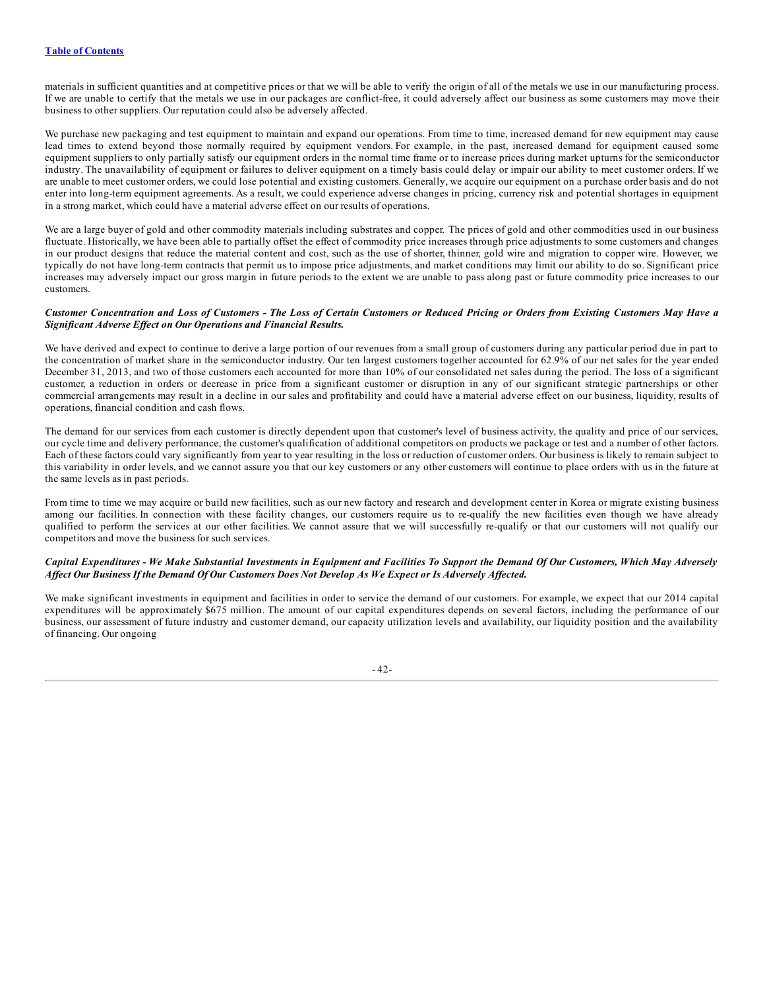materials in sufficient quantities and at competitive prices or that we will be able to verify the origin of all of the metals we use in our manufacturing process. If we are unable to certify that the metals we use in our packages are conflict-free, it could adversely affect our business as some customers may move their business to other suppliers. Our reputation could also be adversely affected.

We purchase new packaging and test equipment to maintain and expand our operations. From time to time, increased demand for new equipment may cause lead times to extend beyond those normally required by equipment vendors. For example, in the past, increased demand for equipment caused some equipment suppliers to only partially satisfy our equipment orders in the normal time frame or to increase prices during market upturns for the semiconductor industry. The unavailability of equipment or failures to deliver equipment on a timely basis could delay or impair our ability to meet customer orders. If we are unable to meet customer orders, we could lose potential and existing customers. Generally, we acquire our equipment on a purchase order basis and do not enter into long-term equipment agreements. As a result, we could experience adverse changes in pricing, currency risk and potential shortages in equipment in a strong market, which could have a material adverse effect on our results of operations.

We are a large buyer of gold and other commodity materials including substrates and copper. The prices of gold and other commodities used in our business fluctuate. Historically, we have been able to partially offset the effect of commodity price increases through price adjustments to some customers and changes in our product designs that reduce the material content and cost, such as the use of shorter, thinner, gold wire and migration to copper wire. However, we typically do not have long-term contracts that permit us to impose price adjustments, and market conditions may limit our ability to do so. Significant price increases may adversely impact our gross margin in future periods to the extent we are unable to pass along past or future commodity price increases to our customers.

# Customer Concentration and Loss of Customers - The Loss of Certain Customers or Reduced Pricing or Orders from Existing Customers May Have a *Significant Adverse Ef ect on Our Operations and Financial Results.*

We have derived and expect to continue to derive a large portion of our revenues from a small group of customers during any particular period due in part to the concentration of market share in the semiconductor industry. Our ten largest customers together accounted for 62.9% of our net sales for the year ended December 31, 2013, and two of those customers each accounted for more than 10% of our consolidated net sales during the period. The loss of a significant customer, a reduction in orders or decrease in price from a significant customer or disruption in any of our significant strategic partnerships or other commercial arrangements may result in a decline in our sales and profitability and could have a material adverse effect on our business, liquidity, results of operations, financial condition and cash flows.

The demand for our services from each customer is directly dependent upon that customer's level of business activity, the quality and price of our services, our cycle time and delivery performance, the customer's qualification of additional competitors on products we package or test and a number of other factors. Each of these factors could vary significantly from year to year resulting in the loss or reduction of customer orders. Our business is likely to remain subject to this variability in order levels, and we cannot assure you that our key customers or any other customers will continue to place orders with us in the future at the same levels as in past periods.

From time to time we may acquire or build new facilities, such as our new factory and research and development center in Korea or migrate existing business among our facilities. In connection with these facility changes, our customers require us to re-qualify the new facilities even though we have already qualified to perform the services at our other facilities. We cannot assure that we will successfully re-qualify or that our customers will not qualify our competitors and move the business for such services.

# Capital Expenditures - We Make Substantial Investments in Equipment and Facilities To Support the Demand Of Our Customers, Which May Adversely Affect Our Business If the Demand Of Our Customers Does Not Develop As We Expect or Is Adversely Affected.

We make significant investments in equipment and facilities in order to service the demand of our customers. For example, we expect that our 2014 capital expenditures will be approximately \$675 million. The amount of our capital expenditures depends on several factors, including the performance of our business, our assessment of future industry and customer demand, our capacity utilization levels and availability, our liquidity position and the availability of financing. Our ongoing

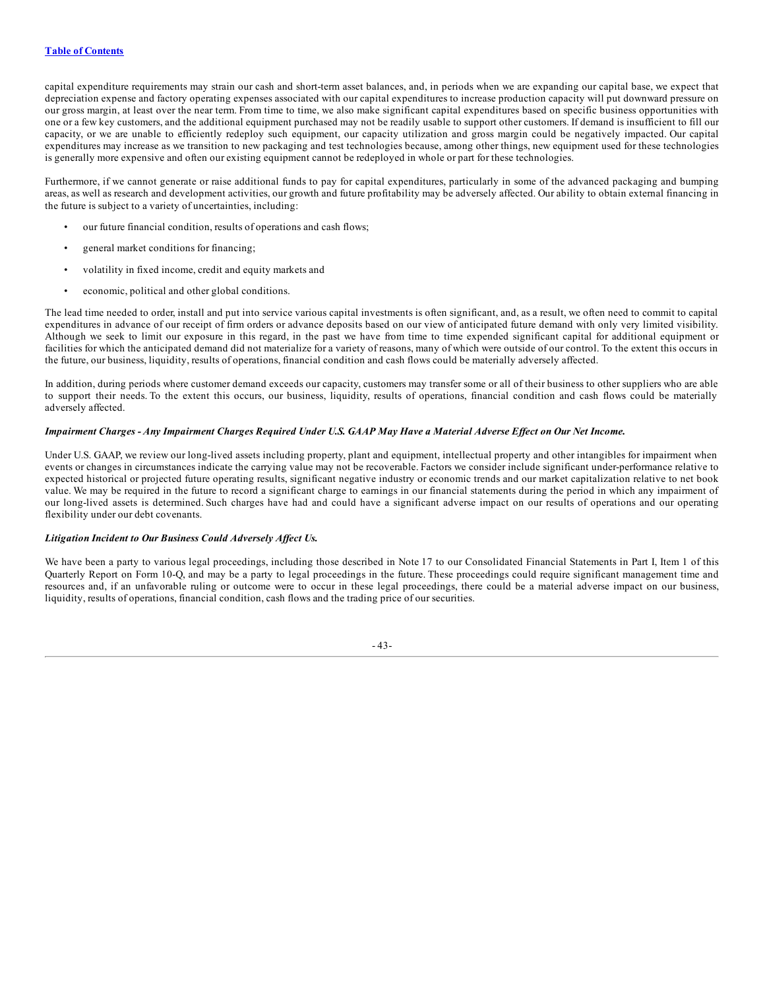capital expenditure requirements may strain our cash and short-term asset balances, and, in periods when we are expanding our capital base, we expect that depreciation expense and factory operating expenses associated with our capital expenditures to increase production capacity will put downward pressure on our gross margin, at least over the near term. From time to time, we also make significant capital expenditures based on specific business opportunities with one or a few key customers, and the additional equipment purchased may not be readily usable to support other customers. If demand is insufficient to fill our capacity, or we are unable to efficiently redeploy such equipment, our capacity utilization and gross margin could be negatively impacted. Our capital expenditures may increase as we transition to new packaging and test technologies because, among other things, new equipment used for these technologies is generally more expensive and often our existing equipment cannot be redeployed in whole or part for these technologies.

Furthermore, if we cannot generate or raise additional funds to pay for capital expenditures, particularly in some of the advanced packaging and bumping areas, as well as research and development activities, our growth and future profitability may be adversely affected. Our ability to obtain external financing in the future is subject to a variety of uncertainties, including:

- our future financial condition, results of operations and cash flows;
- general market conditions for financing;
- volatility in fixed income, credit and equity markets and
- economic, political and other global conditions.

The lead time needed to order, install and put into service various capital investments is often significant, and, as a result, we often need to commit to capital expenditures in advance of our receipt of firm orders or advance deposits based on our view of anticipated future demand with only very limited visibility. Although we seek to limit our exposure in this regard, in the past we have from time to time expended significant capital for additional equipment or facilities for which the anticipated demand did not materialize for a variety of reasons, many of which were outside of our control. To the extent this occurs in the future, our business, liquidity, results of operations, financial condition and cash flows could be materially adversely affected.

In addition, during periods where customer demand exceeds our capacity, customers may transfer some or all of their business to other suppliers who are able to support their needs. To the extent this occurs, our business, liquidity, results of operations, financial condition and cash flows could be materially adversely affected.

# Impairment Charges - Any Impairment Charges Required Under U.S. GAAP May Have a Material Adverse Effect on Our Net Income.

Under U.S. GAAP, we review our long-lived assets including property, plant and equipment, intellectual property and other intangibles for impairment when events or changes in circumstances indicate the carrying value may not be recoverable. Factors we consider include significant under-performance relative to expected historical or projected future operating results, significant negative industry or economic trends and our market capitalization relative to net book value. We may be required in the future to record a significant charge to earnings in our financial statements during the period in which any impairment of our long-lived assets is determined. Such charges have had and could have a significant adverse impact on our results of operations and our operating flexibility under our debt covenants.

#### *Litigation Incident to Our Business Could Adversely Af ect Us.*

We have been a party to various legal proceedings, including those described in Note 17 to our Consolidated Financial Statements in Part I, Item 1 of this Quarterly Report on Form 10-Q, and may be a party to legal proceedings in the future. These proceedings could require significant management time and resources and, if an unfavorable ruling or outcome were to occur in these legal proceedings, there could be a material adverse impact on our business, liquidity, results of operations, financial condition, cash flows and the trading price of our securities.

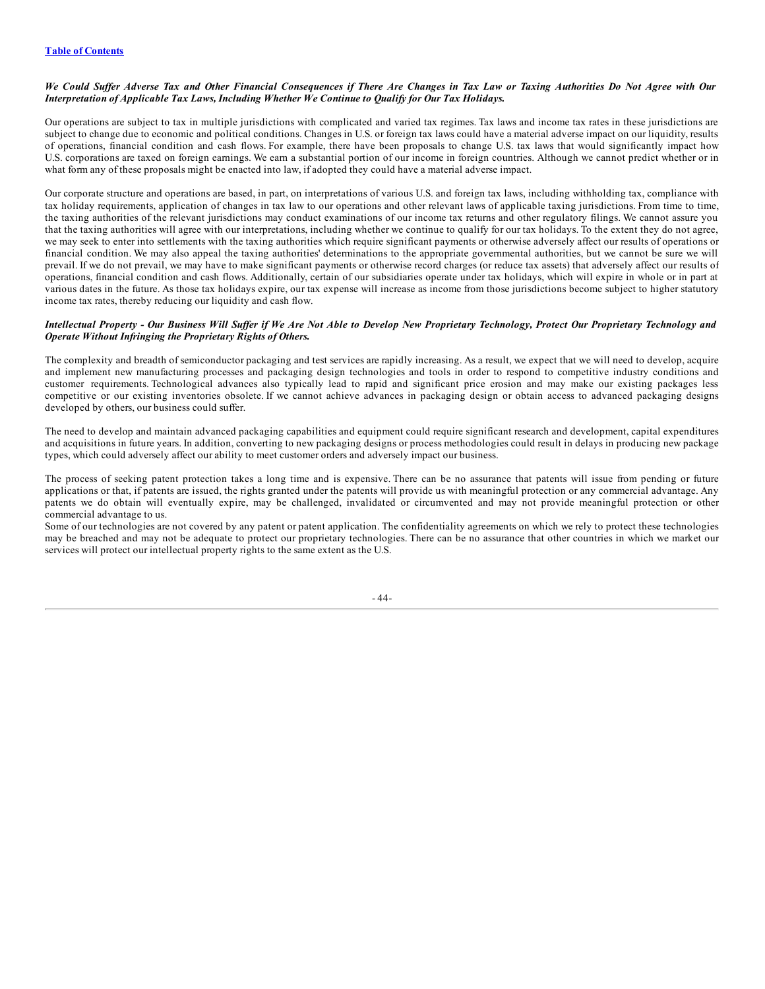# We Could Suffer Adverse Tax and Other Financial Consequences if There Are Changes in Tax Law or Taxing Authorities Do Not Agree with Our *Interpretation of Applicable Tax Laws, Including Whether We Continue to Qualify for Our Tax Holidays.*

Our operations are subject to tax in multiple jurisdictions with complicated and varied tax regimes. Tax laws and income tax rates in these jurisdictions are subject to change due to economic and political conditions. Changes in U.S. or foreign tax laws could have a material adverse impact on our liquidity, results of operations, financial condition and cash flows. For example, there have been proposals to change U.S. tax laws that would significantly impact how U.S. corporations are taxed on foreign earnings. We earn a substantial portion of our income in foreign countries. Although we cannot predict whether or in what form any of these proposals might be enacted into law, if adopted they could have a material adverse impact.

Our corporate structure and operations are based, in part, on interpretations of various U.S. and foreign tax laws, including withholding tax, compliance with tax holiday requirements, application of changes in tax law to our operations and other relevant laws of applicable taxing jurisdictions. From time to time, the taxing authorities of the relevant jurisdictions may conduct examinations of our income tax returns and other regulatory filings. We cannot assure you that the taxing authorities will agree with our interpretations, including whether we continue to qualify for our tax holidays. To the extent they do not agree, we may seek to enter into settlements with the taxing authorities which require significant payments or otherwise adversely affect our results of operations or financial condition. We may also appeal the taxing authorities' determinations to the appropriate governmental authorities, but we cannot be sure we will prevail. If we do not prevail, we may have to make significant payments or otherwise record charges (or reduce tax assets) that adversely affect our results of operations, financial condition and cash flows. Additionally, certain of our subsidiaries operate under tax holidays, which will expire in whole or in part at various dates in the future. As those tax holidays expire, our tax expense will increase as income from those jurisdictions become subject to higher statutory income tax rates, thereby reducing our liquidity and cash flow.

# Intellectual Property - Our Business Will Suffer if We Are Not Able to Develop New Proprietary Technology, Protect Our Proprietary Technology and *Operate Without Infringing the Proprietary Rights of Others.*

The complexity and breadth of semiconductor packaging and test services are rapidly increasing. As a result, we expect that we will need to develop, acquire and implement new manufacturing processes and packaging design technologies and tools in order to respond to competitive industry conditions and customer requirements. Technological advances also typically lead to rapid and significant price erosion and may make our existing packages less competitive or our existing inventories obsolete. If we cannot achieve advances in packaging design or obtain access to advanced packaging designs developed by others, our business could suffer.

The need to develop and maintain advanced packaging capabilities and equipment could require significant research and development, capital expenditures and acquisitions in future years. In addition, converting to new packaging designs or process methodologies could result in delays in producing new package types, which could adversely affect our ability to meet customer orders and adversely impact our business.

The process of seeking patent protection takes a long time and is expensive. There can be no assurance that patents will issue from pending or future applications or that, if patents are issued, the rights granted under the patents will provide us with meaningful protection or any commercial advantage. Any patents we do obtain will eventually expire, may be challenged, invalidated or circumvented and may not provide meaningful protection or other commercial advantage to us.

Some of our technologies are not covered by any patent or patent application. The confidentiality agreements on which we rely to protect these technologies may be breached and may not be adequate to protect our proprietary technologies. There can be no assurance that other countries in which we market our services will protect our intellectual property rights to the same extent as the U.S.

- 44-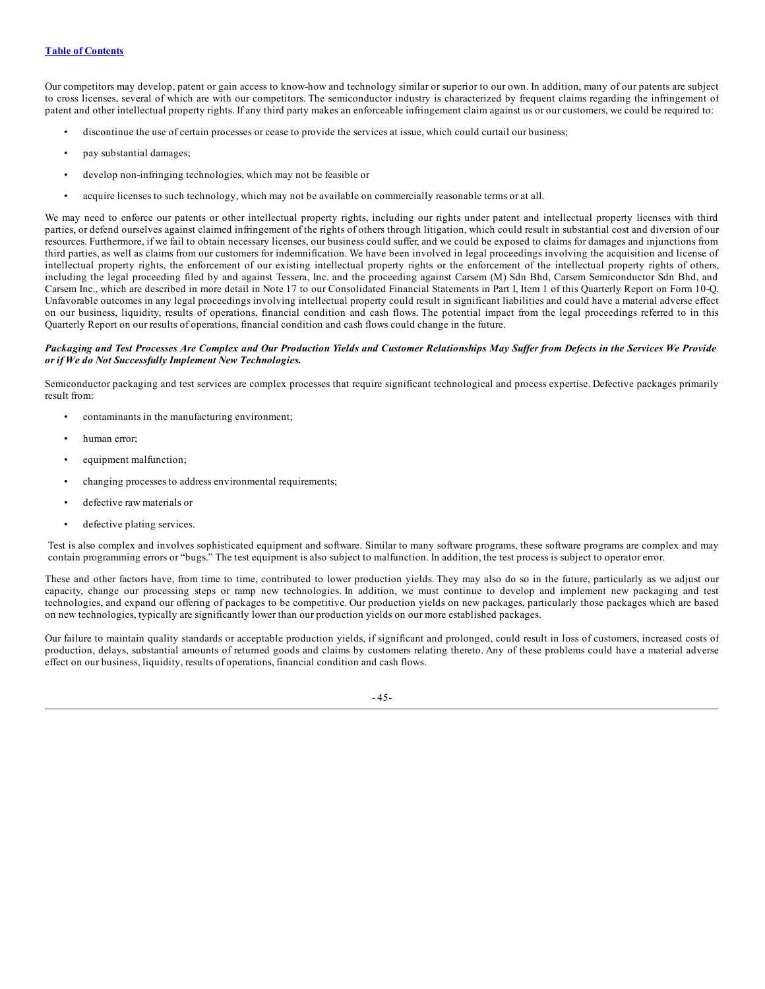Our competitors may develop, patent or gain access to know-how and technology similar or superior to our own. In addition, many of our patents are subject to cross licenses, several of which are with our competitors. The semiconductor industry is characterized by frequent claims regarding the infringement of patent and other intellectual property rights. If any third party makes an enforceable infringement claim against us or our customers, we could be required to:

- discontinue the use of certain processes or cease to provide the services at issue, which could curtail our business;
- pay substantial damages;
- develop non-infringing technologies, which may not be feasible or
- acquire licenses to such technology, which may not be available on commercially reasonable terms or at all.

We may need to enforce our patents or other intellectual property rights, including our rights under patent and intellectual property licenses with third parties, or defend ourselves against claimed infringement of the rights of others through litigation, which could result in substantial cost and diversion of our resources. Furthermore, if we fail to obtain necessary licenses, our business could suffer, and we could be exposed to claims for damages and injunctions from third parties, as well as claims from our customers for indemnification. We have been involved in legal proceedings involving the acquisition and license of intellectual property rights, the enforcement of our existing intellectual property rights or the enforcement of the intellectual property rights of others, including the legal proceeding filed by and against Tessera, Inc. and the proceeding against Carsem (M) Sdn Bhd, Carsem Semiconductor Sdn Bhd, and Carsem Inc., which are described in more detail in Note 17 to our Consolidated Financial Statements in Part I, Item 1 of this Quarterly Report on Form 10-Q. Unfavorable outcomes in any legal proceedings involving intellectual property could result in significant liabilities and could have a material adverse effect on our business, liquidity, results of operations, financial condition and cash flows. The potential impact from the legal proceedings referred to in this Quarterly Report on our results of operations, financial condition and cash flows could change in the future.

#### Packaging and Test Processes Are Complex and Our Production Yields and Customer Relationships May Suffer from Defects in the Services We Provide *or if We do Not Successfully Implement New Technologies.*

Semiconductor packaging and test services are complex processes that require significant technological and process expertise. Defective packages primarily result from:

- contaminants in the manufacturing environment;
- human error;
- equipment malfunction;
- changing processes to address environmental requirements;
- defective raw materials or
- defective plating services.

Test is also complex and involves sophisticated equipment and software. Similar to many software programs, these software programs are complex and may contain programming errors or "bugs." The test equipment is also subject to malfunction. In addition, the test process is subject to operator error.

These and other factors have, from time to time, contributed to lower production yields. They may also do so in the future, particularly as we adjust our capacity, change our processing steps or ramp new technologies. In addition, we must continue to develop and implement new packaging and test technologies, and expand our offering of packages to be competitive. Our production yields on new packages, particularly those packages which are based on new technologies, typically are significantly lower than our production yields on our more established packages.

Our failure to maintain quality standards or acceptable production yields, if significant and prolonged, could result in loss of customers, increased costs of production, delays, substantial amounts of returned goods and claims by customers relating thereto. Any of these problems could have a material adverse effect on our business, liquidity, results of operations, financial condition and cash flows.

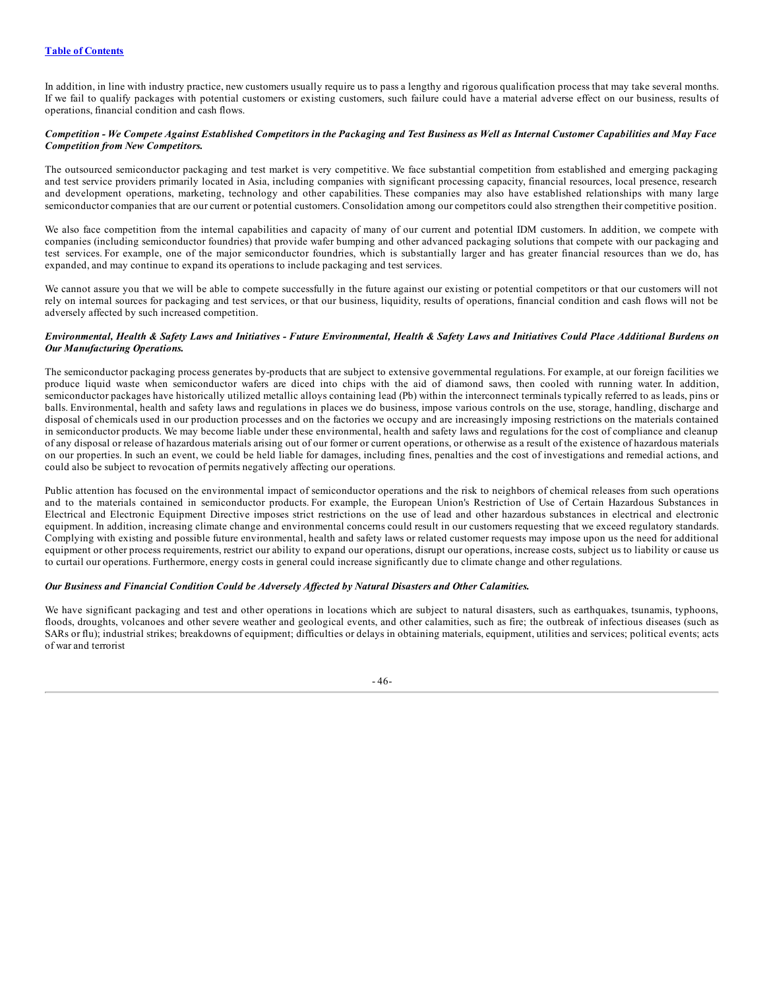In addition, in line with industry practice, new customers usually require us to pass a lengthy and rigorous qualification process that may take several months. If we fail to qualify packages with potential customers or existing customers, such failure could have a material adverse effect on our business, results of operations, financial condition and cash flows.

# Competition - We Compete Against Established Competitors in the Packaging and Test Business as Well as Internal Customer Capabilities and May Face *Competition from New Competitors.*

The outsourced semiconductor packaging and test market is very competitive. We face substantial competition from established and emerging packaging and test service providers primarily located in Asia, including companies with significant processing capacity, financial resources, local presence, research and development operations, marketing, technology and other capabilities. These companies may also have established relationships with many large semiconductor companies that are our current or potential customers. Consolidation among our competitors could also strengthen their competitive position.

We also face competition from the internal capabilities and capacity of many of our current and potential IDM customers. In addition, we compete with companies (including semiconductor foundries) that provide wafer bumping and other advanced packaging solutions that compete with our packaging and test services. For example, one of the major semiconductor foundries, which is substantially larger and has greater financial resources than we do, has expanded, and may continue to expand its operations to include packaging and test services.

We cannot assure you that we will be able to compete successfully in the future against our existing or potential competitors or that our customers will not rely on internal sources for packaging and test services, or that our business, liquidity, results of operations, financial condition and cash flows will not be adversely affected by such increased competition.

# Environmental, Health & Safety Laws and Initiatives - Future Environmental, Health & Safety Laws and Initiatives Could Place Additional Burdens on *Our Manufacturing Operations.*

The semiconductor packaging process generates by-products that are subject to extensive governmental regulations. For example, at our foreign facilities we produce liquid waste when semiconductor wafers are diced into chips with the aid of diamond saws, then cooled with running water. In addition, semiconductor packages have historically utilized metallic alloys containing lead (Pb) within the interconnect terminals typically referred to as leads, pins or balls. Environmental, health and safety laws and regulations in places we do business, impose various controls on the use, storage, handling, discharge and disposal of chemicals used in our production processes and on the factories we occupy and are increasingly imposing restrictions on the materials contained in semiconductor products. We may become liable under these environmental, health and safety laws and regulations for the cost of compliance and cleanup of any disposal or release of hazardous materials arising out of our former or current operations, or otherwise as a result of the existence of hazardous materials on our properties. In such an event, we could be held liable for damages, including fines, penalties and the cost of investigations and remedial actions, and could also be subject to revocation of permits negatively affecting our operations.

Public attention has focused on the environmental impact of semiconductor operations and the risk to neighbors of chemical releases from such operations and to the materials contained in semiconductor products. For example, the European Union's Restriction of Use of Certain Hazardous Substances in Electrical and Electronic Equipment Directive imposes strict restrictions on the use of lead and other hazardous substances in electrical and electronic equipment. In addition, increasing climate change and environmental concerns could result in our customers requesting that we exceed regulatory standards. Complying with existing and possible future environmental, health and safety laws or related customer requests may impose upon us the need for additional equipment or other process requirements, restrict our ability to expand our operations, disrupt our operations, increase costs, subject us to liability or cause us to curtail our operations. Furthermore, energy costs in general could increase significantly due to climate change and other regulations.

#### *Our Business and Financial Condition Could be Adversely Af ected by Natural Disasters and Other Calamities.*

We have significant packaging and test and other operations in locations which are subject to natural disasters, such as earthquakes, tsunamis, typhoons, floods, droughts, volcanoes and other severe weather and geological events, and other calamities, such as fire; the outbreak of infectious diseases (such as SARs or flu); industrial strikes; breakdowns of equipment; difficulties or delays in obtaining materials, equipment, utilities and services; political events; acts of war and terrorist

- 46-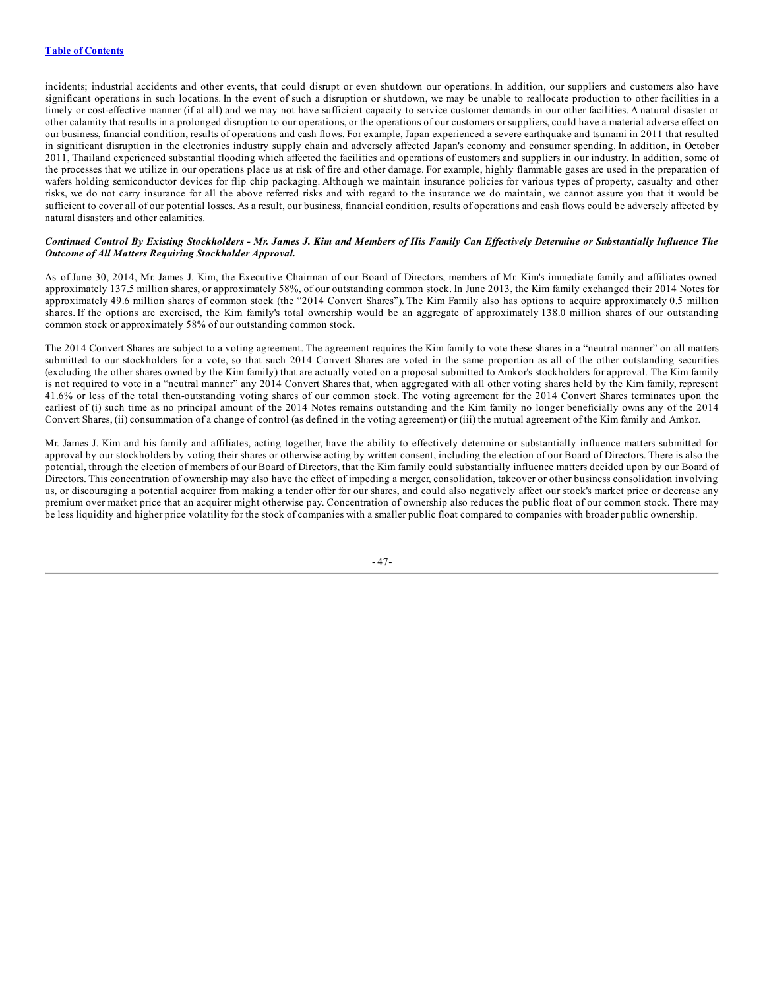incidents; industrial accidents and other events, that could disrupt or even shutdown our operations. In addition, our suppliers and customers also have significant operations in such locations. In the event of such a disruption or shutdown, we may be unable to reallocate production to other facilities in a timely or cost-effective manner (if at all) and we may not have sufficient capacity to service customer demands in our other facilities. A natural disaster or other calamity that results in a prolonged disruption to our operations, or the operations of our customers or suppliers, could have a material adverse effect on our business, financial condition, results of operations and cash flows. For example, Japan experienced a severe earthquake and tsunami in 2011 that resulted in significant disruption in the electronics industry supply chain and adversely affected Japan's economy and consumer spending. In addition, in October 2011, Thailand experienced substantial flooding which affected the facilities and operations of customers and suppliers in our industry. In addition, some of the processes that we utilize in our operations place us at risk of fire and other damage. For example, highly flammable gases are used in the preparation of wafers holding semiconductor devices for flip chip packaging. Although we maintain insurance policies for various types of property, casualty and other risks, we do not carry insurance for all the above referred risks and with regard to the insurance we do maintain, we cannot assure you that it would be sufficient to cover all of our potential losses. As a result, our business, financial condition, results of operations and cash flows could be adversely affected by natural disasters and other calamities.

# Continued Control By Existing Stockholders - Mr. James J. Kim and Members of His Family Can Effectively Determine or Substantially Influence The *Outcome of All Matters Requiring Stockholder Approval.*

As of June 30, 2014, Mr. James J. Kim, the Executive Chairman of our Board of Directors, members of Mr. Kim's immediate family and affiliates owned approximately 137.5 million shares, or approximately 58%, of our outstanding common stock. In June 2013, the Kim family exchanged their 2014 Notes for approximately 49.6 million shares of common stock (the "2014 Convert Shares"). The Kim Family also has options to acquire approximately 0.5 million shares. If the options are exercised, the Kim family's total ownership would be an aggregate of approximately 138.0 million shares of our outstanding common stock or approximately 58% of our outstanding common stock.

The 2014 Convert Shares are subject to a voting agreement. The agreement requires the Kim family to vote these shares in a "neutral manner" on all matters submitted to our stockholders for a vote, so that such 2014 Convert Shares are voted in the same proportion as all of the other outstanding securities (excluding the other shares owned by the Kim family) that are actually voted on a proposal submitted to Amkor's stockholders for approval. The Kim family is not required to vote in a "neutral manner" any 2014 Convert Shares that, when aggregated with all other voting shares held by the Kim family, represent 41.6% or less of the total then-outstanding voting shares of our common stock. The voting agreement for the 2014 Convert Shares terminates upon the earliest of (i) such time as no principal amount of the 2014 Notes remains outstanding and the Kim family no longer beneficially owns any of the 2014 Convert Shares, (ii) consummation of a change of control (as defined in the voting agreement) or (iii) the mutual agreement of the Kim family and Amkor.

Mr. James J. Kim and his family and affiliates, acting together, have the ability to effectively determine or substantially influence matters submitted for approval by our stockholders by voting their shares or otherwise acting by written consent, including the election of our Board of Directors. There is also the potential, through the election of members of our Board of Directors, that the Kim family could substantially influence matters decided upon by our Board of Directors. This concentration of ownership may also have the effect of impeding a merger, consolidation, takeover or other business consolidation involving us, or discouraging a potential acquirer from making a tender offer for our shares, and could also negatively affect our stock's market price or decrease any premium over market price that an acquirer might otherwise pay. Concentration of ownership also reduces the public float of our common stock. There may be less liquidity and higher price volatility for the stock of companies with a smaller public float compared to companies with broader public ownership.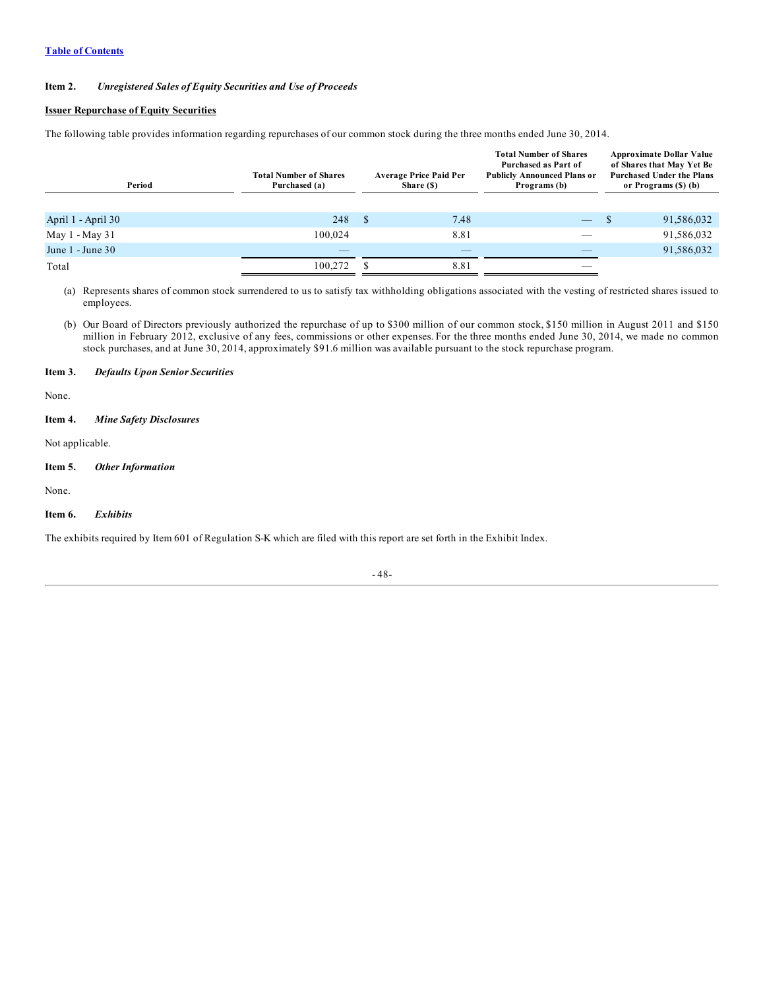# <span id="page-48-0"></span>**Item 2.** *Unregistered Sales of Equity Securities and Use of Proceeds*

# **Issuer Repurchase of Equity Securities**

The following table provides information regarding repurchases of our common stock during the three months ended June 30, 2014.

| Period               | <b>Total Number of Shares</b><br>Purchased (a) |  | <b>Average Price Paid Per</b><br>Share (\$) | <b>Total Number of Shares</b><br>Purchased as Part of<br><b>Publicly Announced Plans or</b><br>Programs (b) | <b>Approximate Dollar Value</b><br>of Shares that May Yet Be<br><b>Purchased Under the Plans</b><br>or Programs (\$) (b) |            |  |  |
|----------------------|------------------------------------------------|--|---------------------------------------------|-------------------------------------------------------------------------------------------------------------|--------------------------------------------------------------------------------------------------------------------------|------------|--|--|
|                      |                                                |  |                                             |                                                                                                             |                                                                                                                          |            |  |  |
| April 1 - April 30   | 248                                            |  | 7.48                                        | $\qquad \qquad -$                                                                                           |                                                                                                                          | 91,586,032 |  |  |
| May 1 - May 31       | 100.024                                        |  | 8.81                                        |                                                                                                             |                                                                                                                          | 91,586,032 |  |  |
| June $1 -$ June $30$ |                                                |  |                                             | --                                                                                                          |                                                                                                                          | 91,586,032 |  |  |
| Total                | 100.272                                        |  | 8.81                                        |                                                                                                             |                                                                                                                          |            |  |  |

(a) Represents shares of common stock surrendered to us to satisfy tax withholding obligations associated with the vesting of restricted shares issued to employees.

(b) Our Board of Directors previously authorized the repurchase of up to \$300 million of our common stock, \$150 million in August 2011 and \$150 million in February 2012, exclusive of any fees, commissions or other expenses. For the three months ended June 30, 2014, we made no common stock purchases, and at June 30, 2014, approximately \$91.6 million was available pursuant to the stock repurchase program.

# **Item 3.** *Defaults Upon Senior Securities*

None.

# **Item 4.** *Mine Safety Disclosures*

Not applicable.

# **Item 5.** *Other Information*

None.

# **Item 6.** *Exhibits*

The exhibits required by Item 601 of Regulation S-K which are filed with this report are set forth in the Exhibit Index.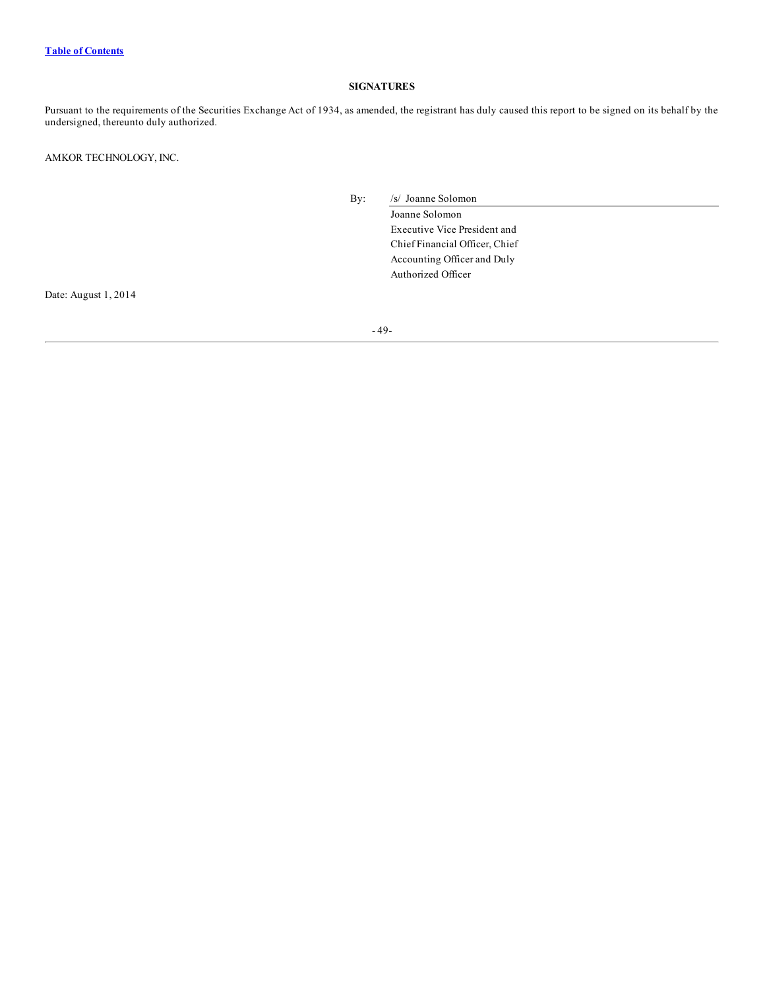# **SIGNATURES**

Pursuant to the requirements of the Securities Exchange Act of 1934, as amended, the registrant has duly caused this report to be signed on its behalf by the undersigned, thereunto duly authorized.

AMKOR TECHNOLOGY, INC.

By: /s/ Joanne Solomon

Joanne Solomon Executive Vice President and Chief Financial Officer, Chief Accounting Officer and Duly Authorized Officer

Date: August 1, 2014

- 49-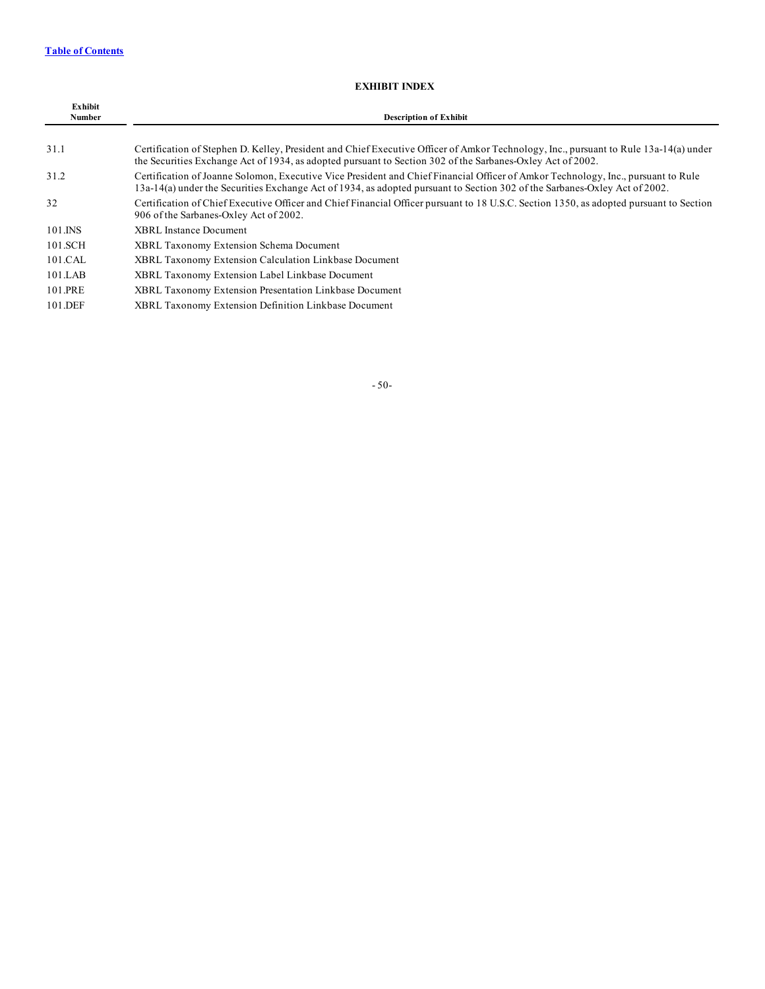# **EXHIBIT INDEX**

| <b>Exhibit</b><br>Number | <b>Description of Exhibit</b>                                                                                                                                                                                                                                   |
|--------------------------|-----------------------------------------------------------------------------------------------------------------------------------------------------------------------------------------------------------------------------------------------------------------|
|                          |                                                                                                                                                                                                                                                                 |
| 31.1                     | Certification of Stephen D. Kelley, President and Chief Executive Officer of Amkor Technology, Inc., pursuant to Rule 13a-14(a) under<br>the Securities Exchange Act of 1934, as adopted pursuant to Section 302 of the Sarbanes-Oxley Act of 2002.             |
| 31.2                     | Certification of Joanne Solomon, Executive Vice President and Chief Financial Officer of Amkor Technology, Inc., pursuant to Rule<br>13a-14(a) under the Securities Exchange Act of 1934, as adopted pursuant to Section 302 of the Sarbanes-Oxley Act of 2002. |
| 32                       | Certification of Chief Executive Officer and Chief Financial Officer pursuant to 18 U.S.C. Section 1350, as adopted pursuant to Section<br>906 of the Sarbanes-Oxley Act of 2002.                                                                               |
| 101.INS                  | <b>XBRL</b> Instance Document                                                                                                                                                                                                                                   |
| 101.SCH                  | <b>XBRL Taxonomy Extension Schema Document</b>                                                                                                                                                                                                                  |
| 101.CAL                  | <b>XBRL Taxonomy Extension Calculation Linkbase Document</b>                                                                                                                                                                                                    |
| 101.LAB                  | XBRL Taxonomy Extension Label Linkbase Document                                                                                                                                                                                                                 |
| 101.PRE                  | XBRL Taxonomy Extension Presentation Linkbase Document                                                                                                                                                                                                          |
| 101.DEF                  | <b>XBRL Taxonomy Extension Definition Linkbase Document</b>                                                                                                                                                                                                     |

- 50-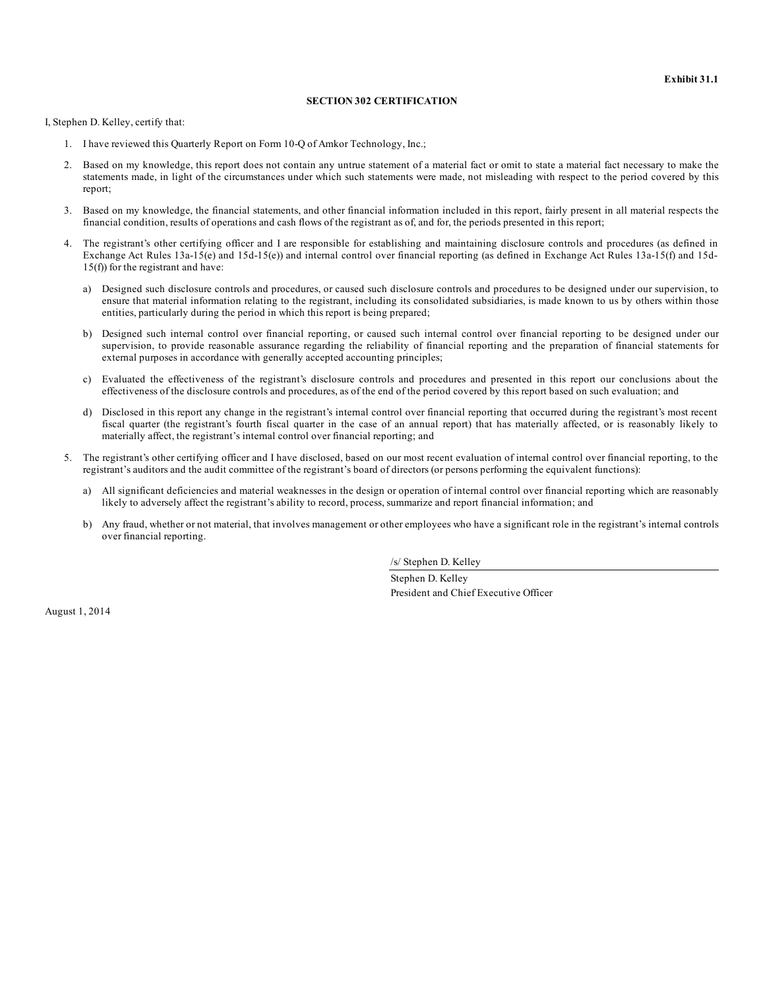# **SECTION 302 CERTIFICATION**

I, Stephen D. Kelley, certify that:

- 1. I have reviewed this Quarterly Report on Form 10-Q of Amkor Technology, Inc.;
- 2. Based on my knowledge, this report does not contain any untrue statement of a material fact or omit to state a material fact necessary to make the statements made, in light of the circumstances under which such statements were made, not misleading with respect to the period covered by this report;
- 3. Based on my knowledge, the financial statements, and other financial information included in this report, fairly present in all material respects the financial condition, results of operations and cash flows of the registrant as of, and for, the periods presented in this report;
- 4. The registrant's other certifying officer and I are responsible for establishing and maintaining disclosure controls and procedures (as defined in Exchange Act Rules 13a-15(e) and 15d-15(e)) and internal control over financial reporting (as defined in Exchange Act Rules 13a-15(f) and 15d-15(f)) for the registrant and have:
	- a) Designed such disclosure controls and procedures, or caused such disclosure controls and procedures to be designed under our supervision, to ensure that material information relating to the registrant, including its consolidated subsidiaries, is made known to us by others within those entities, particularly during the period in which this report is being prepared;
	- b) Designed such internal control over financial reporting, or caused such internal control over financial reporting to be designed under our supervision, to provide reasonable assurance regarding the reliability of financial reporting and the preparation of financial statements for external purposes in accordance with generally accepted accounting principles;
	- c) Evaluated the effectiveness of the registrant's disclosure controls and procedures and presented in this report our conclusions about the effectiveness of the disclosure controls and procedures, as of the end of the period covered by this report based on such evaluation; and
	- d) Disclosed in this report any change in the registrant's internal control over financial reporting that occurred during the registrant's most recent fiscal quarter (the registrant's fourth fiscal quarter in the case of an annual report) that has materially affected, or is reasonably likely to materially affect, the registrant's internal control over financial reporting; and
- 5. The registrant's other certifying officer and I have disclosed, based on our most recent evaluation of internal control over financial reporting, to the registrant's auditors and the audit committee of the registrant's board of directors (or persons performing the equivalent functions):
	- a) All significant deficiencies and material weaknesses in the design or operation of internal control over financial reporting which are reasonably likely to adversely affect the registrant's ability to record, process, summarize and report financial information; and
	- b) Any fraud, whether or not material, that involves management or other employees who have a significant role in the registrant's internal controls over financial reporting.

/s/ Stephen D. Kelley

Stephen D. Kelley President and Chief Executive Officer

August 1, 2014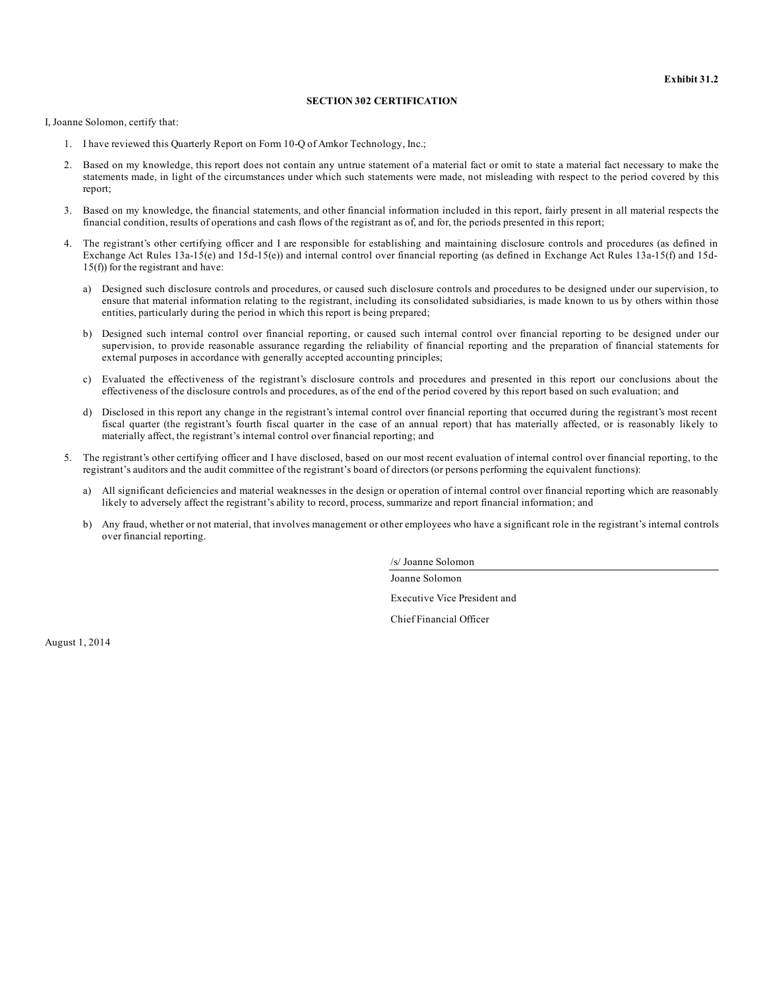# **SECTION 302 CERTIFICATION**

I, Joanne Solomon, certify that:

- 1. I have reviewed this Quarterly Report on Form 10-Q of Amkor Technology, Inc.;
- 2. Based on my knowledge, this report does not contain any untrue statement of a material fact or omit to state a material fact necessary to make the statements made, in light of the circumstances under which such statements were made, not misleading with respect to the period covered by this report;
- 3. Based on my knowledge, the financial statements, and other financial information included in this report, fairly present in all material respects the financial condition, results of operations and cash flows of the registrant as of, and for, the periods presented in this report;
- 4. The registrant's other certifying officer and I are responsible for establishing and maintaining disclosure controls and procedures (as defined in Exchange Act Rules 13a-15(e) and 15d-15(e)) and internal control over financial reporting (as defined in Exchange Act Rules 13a-15(f) and 15d-15(f)) for the registrant and have:
	- a) Designed such disclosure controls and procedures, or caused such disclosure controls and procedures to be designed under our supervision, to ensure that material information relating to the registrant, including its consolidated subsidiaries, is made known to us by others within those entities, particularly during the period in which this report is being prepared;
	- b) Designed such internal control over financial reporting, or caused such internal control over financial reporting to be designed under our supervision, to provide reasonable assurance regarding the reliability of financial reporting and the preparation of financial statements for external purposes in accordance with generally accepted accounting principles;
	- c) Evaluated the effectiveness of the registrant's disclosure controls and procedures and presented in this report our conclusions about the effectiveness of the disclosure controls and procedures, as of the end of the period covered by this report based on such evaluation; and
	- d) Disclosed in this report any change in the registrant's internal control over financial reporting that occurred during the registrant's most recent fiscal quarter (the registrant's fourth fiscal quarter in the case of an annual report) that has materially affected, or is reasonably likely to materially affect, the registrant's internal control over financial reporting; and
- 5. The registrant's other certifying officer and I have disclosed, based on our most recent evaluation of internal control over financial reporting, to the registrant's auditors and the audit committee of the registrant's board of directors (or persons performing the equivalent functions):
	- a) All significant deficiencies and material weaknesses in the design or operation of internal control over financial reporting which are reasonably likely to adversely affect the registrant's ability to record, process, summarize and report financial information; and
	- b) Any fraud, whether or not material, that involves management or other employees who have a significant role in the registrant's internal controls over financial reporting.

/s/ Joanne Solomon

Joanne Solomon Executive Vice President and Chief Financial Officer

August 1, 2014